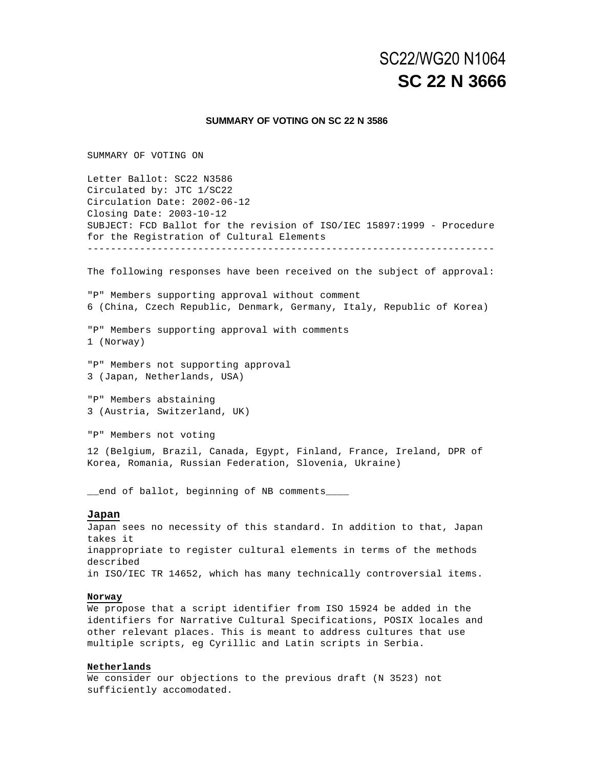# **SC 22 N 3666** SC22/WG20 N1064

#### **SUMMARY OF VOTING ON SC 22 N 3586**

SUMMARY OF VOTING ON

Letter Ballot: SC22 N3586 Circulated by: JTC 1/SC22 Circulation Date: 2002-06-12 Closing Date: 2003-10-12 SUBJECT: FCD Ballot for the revision of ISO/IEC 15897:1999 - Procedure for the Registration of Cultural Elements ---------------------------------------------------------------------- The following responses have been received on the subject of approval: "P" Members supporting approval without comment 6 (China, Czech Republic, Denmark, Germany, Italy, Republic of Korea) "P" Members supporting approval with comments 1 (Norway) "P" Members not supporting approval 3 (Japan, Netherlands, USA) "P" Members abstaining 3 (Austria, Switzerland, UK) "P" Members not voting 12 (Belgium, Brazil, Canada, Egypt, Finland, France, Ireland, DPR of Korea, Romania, Russian Federation, Slovenia, Ukraine)

\_\_end of ballot, beginning of NB comments\_\_\_\_

#### **Japan**

Japan sees no necessity of this standard. In addition to that, Japan takes it inappropriate to register cultural elements in terms of the methods described in ISO/IEC TR 14652, which has many technically controversial items.

#### **Norway**

We propose that a script identifier from ISO 15924 be added in the identifiers for Narrative Cultural Specifications, POSIX locales and other relevant places. This is meant to address cultures that use multiple scripts, eg Cyrillic and Latin scripts in Serbia.

#### **Netherlands**

We consider our objections to the previous draft (N 3523) not sufficiently accomodated.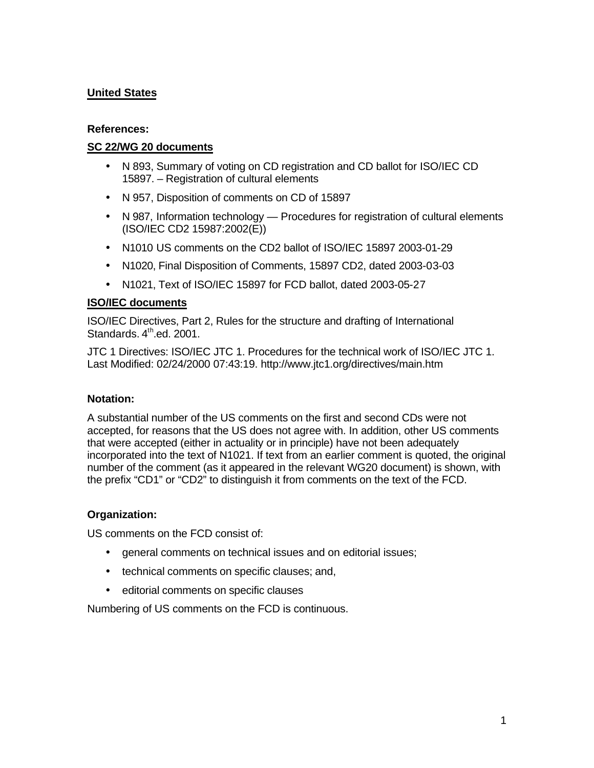# **United States**

### **References:**

# **SC 22/WG 20 documents**

- N 893, Summary of voting on CD registration and CD ballot for ISO/IEC CD 15897. – Registration of cultural elements
- N 957, Disposition of comments on CD of 15897
- N 987, Information technology Procedures for registration of cultural elements (ISO/IEC CD2 15987:2002(E))
- N1010 US comments on the CD2 ballot of ISO/IEC 15897 2003-01-29
- N1020, Final Disposition of Comments, 15897 CD2, dated 2003-03-03
- N1021, Text of ISO/IEC 15897 for FCD ballot, dated 2003-05-27

### **ISO/IEC documents**

ISO/IEC Directives, Part 2, Rules for the structure and drafting of International Standards, 4<sup>th</sup>.ed. 2001.

JTC 1 Directives: ISO/IEC JTC 1. Procedures for the technical work of ISO/IEC JTC 1. Last Modified: 02/24/2000 07:43:19. http://www.jtc1.org/directives/main.htm

# **Notation:**

A substantial number of the US comments on the first and second CDs were not accepted, for reasons that the US does not agree with. In addition, other US comments that were accepted (either in actuality or in principle) have not been adequately incorporated into the text of N1021. If text from an earlier comment is quoted, the original number of the comment (as it appeared in the relevant WG20 document) is shown, with the prefix "CD1" or "CD2" to distinguish it from comments on the text of the FCD.

# **Organization:**

US comments on the FCD consist of:

- general comments on technical issues and on editorial issues;
- technical comments on specific clauses; and,
- editorial comments on specific clauses

Numbering of US comments on the FCD is continuous.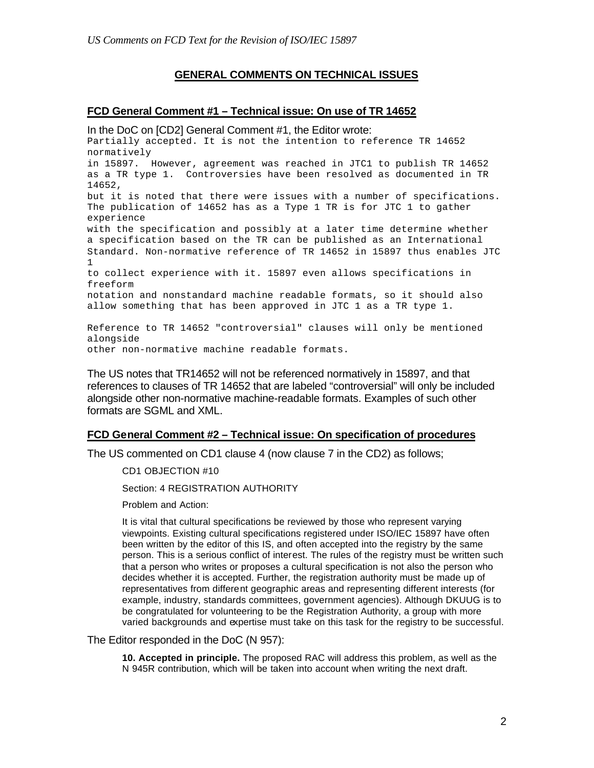### **GENERAL COMMENTS ON TECHNICAL ISSUES**

#### **FCD General Comment #1 – Technical issue: On use of TR 14652**

In the DoC on [CD2] General Comment #1, the Editor wrote: Partially accepted. It is not the intention to reference TR 14652 normatively in 15897. However, agreement was reached in JTC1 to publish TR 14652 as a TR type 1. Controversies have been resolved as documented in TR 14652, but it is noted that there were issues with a number of specifications. The publication of 14652 has as a Type 1 TR is for JTC 1 to gather experience with the specification and possibly at a later time determine whether a specification based on the TR can be published as an International Standard. Non-normative reference of TR 14652 in 15897 thus enables JTC 1 to collect experience with it. 15897 even allows specifications in freeform notation and nonstandard machine readable formats, so it should also allow something that has been approved in JTC 1 as a TR type 1.

Reference to TR 14652 "controversial" clauses will only be mentioned alongside other non-normative machine readable formats.

The US notes that TR14652 will not be referenced normatively in 15897, and that references to clauses of TR 14652 that are labeled "controversial" will only be included alongside other non-normative machine-readable formats. Examples of such other formats are SGML and XML.

### **FCD General Comment #2 – Technical issue: On specification of procedures**

The US commented on CD1 clause 4 (now clause 7 in the CD2) as follows;

CD1 OBJECTION #10

Section: 4 REGISTRATION AUTHORITY

Problem and Action:

It is vital that cultural specifications be reviewed by those who represent varying viewpoints. Existing cultural specifications registered under ISO/IEC 15897 have often been written by the editor of this IS, and often accepted into the registry by the same person. This is a serious conflict of interest. The rules of the registry must be written such that a person who writes or proposes a cultural specification is not also the person who decides whether it is accepted. Further, the registration authority must be made up of representatives from different geographic areas and representing different interests (for example, industry, standards committees, government agencies). Although DKUUG is to be congratulated for volunteering to be the Registration Authority, a group with more varied backgrounds and expertise must take on this task for the registry to be successful.

The Editor responded in the DoC (N 957):

**10. Accepted in principle.** The proposed RAC will address this problem, as well as the N 945R contribution, which will be taken into account when writing the next draft.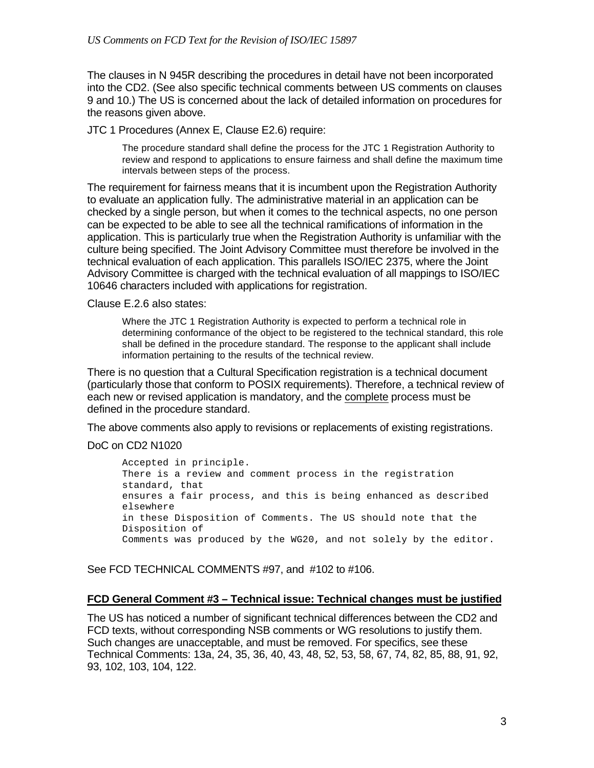The clauses in N 945R describing the procedures in detail have not been incorporated into the CD2. (See also specific technical comments between US comments on clauses 9 and 10.) The US is concerned about the lack of detailed information on procedures for the reasons given above.

JTC 1 Procedures (Annex E, Clause E2.6) require:

The procedure standard shall define the process for the JTC 1 Registration Authority to review and respond to applications to ensure fairness and shall define the maximum time intervals between steps of the process.

The requirement for fairness means that it is incumbent upon the Registration Authority to evaluate an application fully. The administrative material in an application can be checked by a single person, but when it comes to the technical aspects, no one person can be expected to be able to see all the technical ramifications of information in the application. This is particularly true when the Registration Authority is unfamiliar with the culture being specified. The Joint Advisory Committee must therefore be involved in the technical evaluation of each application. This parallels ISO/IEC 2375, where the Joint Advisory Committee is charged with the technical evaluation of all mappings to ISO/IEC 10646 characters included with applications for registration.

Clause E.2.6 also states:

Where the JTC 1 Registration Authority is expected to perform a technical role in determining conformance of the object to be registered to the technical standard, this role shall be defined in the procedure standard. The response to the applicant shall include information pertaining to the results of the technical review.

There is no question that a Cultural Specification registration is a technical document (particularly those that conform to POSIX requirements). Therefore, a technical review of each new or revised application is mandatory, and the complete process must be defined in the procedure standard.

The above comments also apply to revisions or replacements of existing registrations.

### DoC on CD2 N1020

Accepted in principle. There is a review and comment process in the registration standard, that ensures a fair process, and this is being enhanced as described elsewhere in these Disposition of Comments. The US should note that the Disposition of Comments was produced by the WG20, and not solely by the editor.

See FCD TECHNICAL COMMENTS #97, and #102 to #106.

### **FCD General Comment #3 – Technical issue: Technical changes must be justified**

The US has noticed a number of significant technical differences between the CD2 and FCD texts, without corresponding NSB comments or WG resolutions to justify them. Such changes are unacceptable, and must be removed. For specifics, see these Technical Comments: 13a, 24, 35, 36, 40, 43, 48, 52, 53, 58, 67, 74, 82, 85, 88, 91, 92, 93, 102, 103, 104, 122.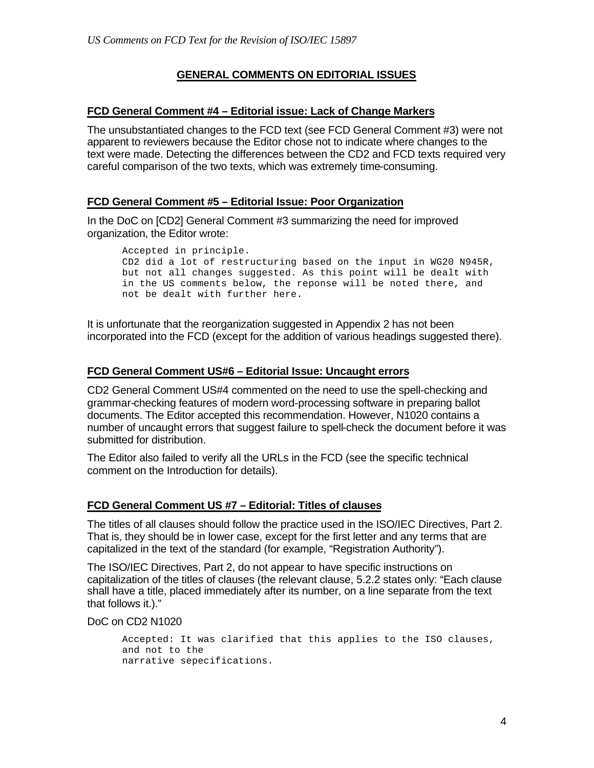### **GENERAL COMMENTS ON EDITORIAL ISSUES**

### **FCD General Comment #4 – Editorial issue: Lack of Change Markers**

The unsubstantiated changes to the FCD text (see FCD General Comment #3) were not apparent to reviewers because the Editor chose not to indicate where changes to the text were made. Detecting the differences between the CD2 and FCD texts required very careful comparison of the two texts, which was extremely time-consuming.

### **FCD General Comment #5 – Editorial Issue: Poor Organization**

In the DoC on [CD2] General Comment #3 summarizing the need for improved organization, the Editor wrote:

Accepted in principle. CD2 did a lot of restructuring based on the input in WG20 N945R, but not all changes suggested. As this point will be dealt with in the US comments below, the reponse will be noted there, and not be dealt with further here.

It is unfortunate that the reorganization suggested in Appendix 2 has not been incorporated into the FCD (except for the addition of various headings suggested there).

### **FCD General Comment US#6 – Editorial Issue: Uncaught errors**

CD2 General Comment US#4 commented on the need to use the spell-checking and grammar-checking features of modern word-processing software in preparing ballot documents. The Editor accepted this recommendation. However, N1020 contains a number of uncaught errors that suggest failure to spell-check the document before it was submitted for distribution.

The Editor also failed to verify all the URLs in the FCD (see the specific technical comment on the Introduction for details).

### **FCD General Comment US #7 – Editorial: Titles of clauses**

The titles of all clauses should follow the practice used in the ISO/IEC Directives, Part 2. That is, they should be in lower case, except for the first letter and any terms that are capitalized in the text of the standard (for example, "Registration Authority").

The ISO/IEC Directives, Part 2, do not appear to have specific instructions on capitalization of the titles of clauses (the relevant clause, 5.2.2 states only: "Each clause shall have a title, placed immediately after its number, on a line separate from the text that follows it.)."

DoC on CD2 N1020

Accepted: It was clarified that this applies to the ISO clauses, and not to the narrative sepecifications.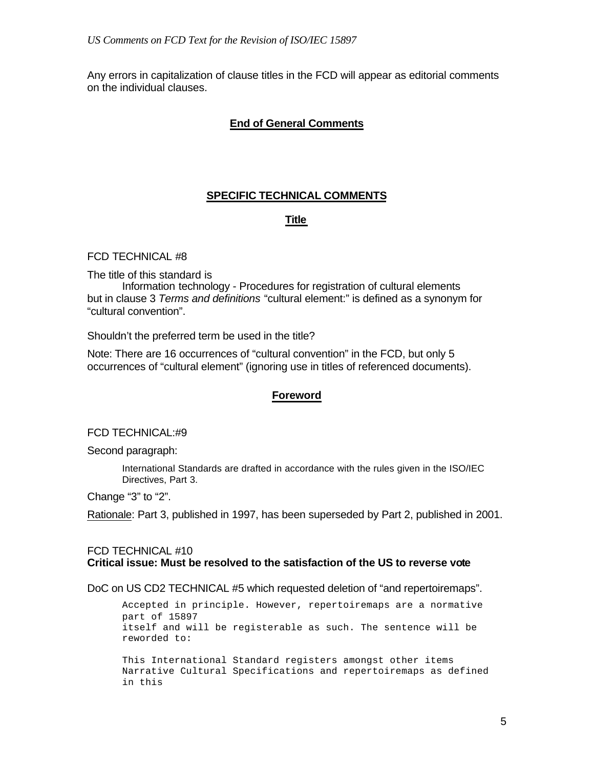Any errors in capitalization of clause titles in the FCD will appear as editorial comments on the individual clauses.

### **End of General Comments**

# **SPECIFIC TECHNICAL COMMENTS**

### **Title**

### FCD TECHNICAL #8

The title of this standard is

Information technology - Procedures for registration of cultural elements but in clause 3 *Terms and definitions* "cultural element:" is defined as a synonym for "cultural convention".

Shouldn't the preferred term be used in the title?

Note: There are 16 occurrences of "cultural convention" in the FCD, but only 5 occurrences of "cultural element" (ignoring use in titles of referenced documents).

### **Foreword**

### FCD TECHNICAL:#9

Second paragraph:

International Standards are drafted in accordance with the rules given in the ISO/IEC Directives, Part 3.

Change "3" to "2".

Rationale: Part 3, published in 1997, has been superseded by Part 2, published in 2001.

### FCD TECHNICAL #10 **Critical issue: Must be resolved to the satisfaction of the US to reverse vote**

DoC on US CD2 TECHNICAL #5 which requested deletion of "and repertoiremaps".

Accepted in principle. However, repertoiremaps are a normative part of 15897 itself and will be registerable as such. The sentence will be reworded to:

This International Standard registers amongst other items Narrative Cultural Specifications and repertoiremaps as defined in this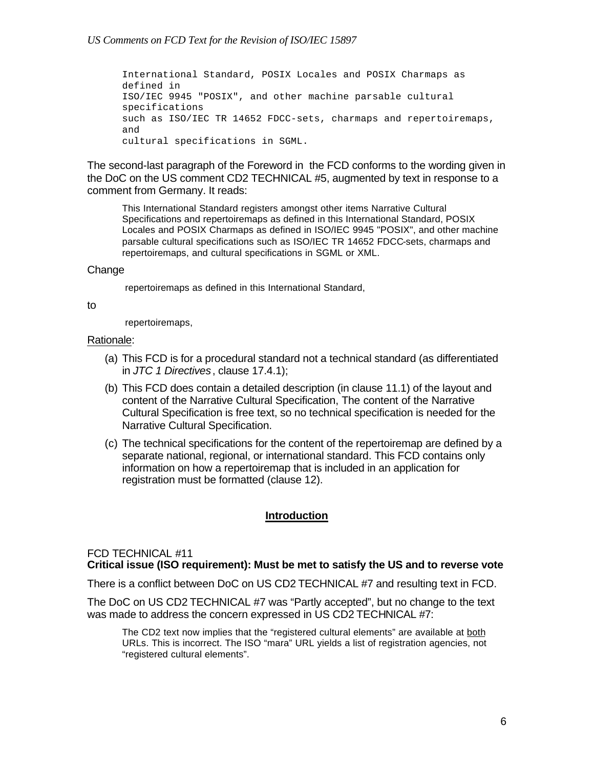International Standard, POSIX Locales and POSIX Charmaps as defined in ISO/IEC 9945 "POSIX", and other machine parsable cultural specifications such as ISO/IEC TR 14652 FDCC-sets, charmaps and repertoiremaps, and cultural specifications in SGML.

The second-last paragraph of the Foreword in the FCD conforms to the wording given in the DoC on the US comment CD2 TECHNICAL #5, augmented by text in response to a comment from Germany. It reads:

This International Standard registers amongst other items Narrative Cultural Specifications and repertoiremaps as defined in this International Standard, POSIX Locales and POSIX Charmaps as defined in ISO/IEC 9945 "POSIX", and other machine parsable cultural specifications such as ISO/IEC TR 14652 FDCC-sets, charmaps and repertoiremaps, and cultural specifications in SGML or XML.

### Change

repertoiremaps as defined in this International Standard,

#### to

repertoiremaps,

### Rationale:

- (a) This FCD is for a procedural standard not a technical standard (as differentiated in *JTC 1 Directives*, clause 17.4.1);
- (b) This FCD does contain a detailed description (in clause 11.1) of the layout and content of the Narrative Cultural Specification, The content of the Narrative Cultural Specification is free text, so no technical specification is needed for the Narrative Cultural Specification.
- (c) The technical specifications for the content of the repertoiremap are defined by a separate national, regional, or international standard. This FCD contains only information on how a repertoiremap that is included in an application for registration must be formatted (clause 12).

### **Introduction**

### FCD TECHNICAL #11

# **Critical issue (ISO requirement): Must be met to satisfy the US and to reverse vote**

There is a conflict between DoC on US CD2 TECHNICAL #7 and resulting text in FCD.

The DoC on US CD2 TECHNICAL #7 was "Partly accepted", but no change to the text was made to address the concern expressed in US CD2 TECHNICAL #7:

The CD2 text now implies that the "registered cultural elements" are available at both URLs. This is incorrect. The ISO "mara" URL yields a list of registration agencies, not "registered cultural elements".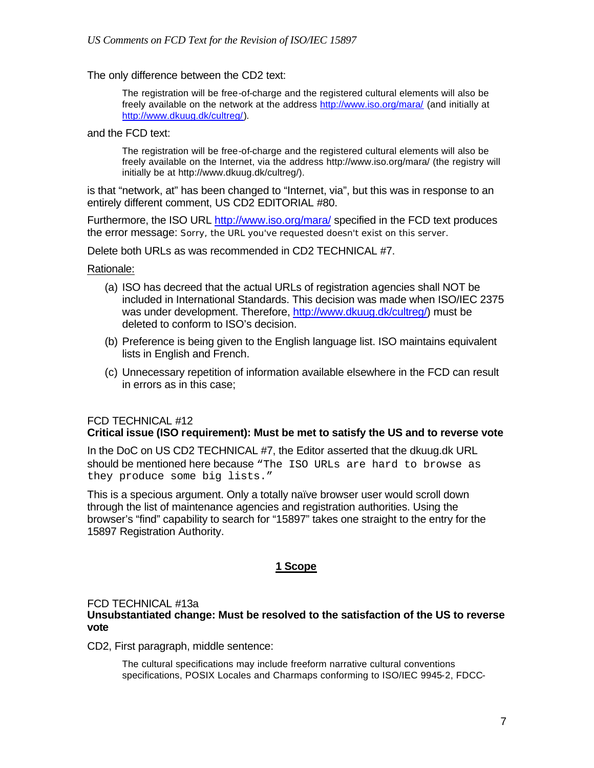The only difference between the CD2 text:

The registration will be free-of-charge and the registered cultural elements will also be freely available on the network at the address http://www.iso.org/mara/ (and initially at http://www.dkuug.dk/cultreg/).

and the FCD text:

The registration will be free-of-charge and the registered cultural elements will also be freely available on the Internet, via the address http://www.iso.org/mara/ (the registry will initially be at http://www.dkuug.dk/cultreg/).

is that "network, at" has been changed to "Internet, via", but this was in response to an entirely different comment, US CD2 EDITORIAL #80.

Furthermore, the ISO URL http://www.iso.org/mara/ specified in the FCD text produces the error message: Sorry, the URL you've requested doesn't exist on this server.

Delete both URLs as was recommended in CD2 TECHNICAL #7.

Rationale:

- (a) ISO has decreed that the actual URLs of registration agencies shall NOT be included in International Standards. This decision was made when ISO/IEC 2375 was under development. Therefore, http://www.dkuug.dk/cultreg/) must be deleted to conform to ISO's decision.
- (b) Preference is being given to the English language list. ISO maintains equivalent lists in English and French.
- (c) Unnecessary repetition of information available elsewhere in the FCD can result in errors as in this case;

### FCD TECHNICAL #12 **Critical issue (ISO requirement): Must be met to satisfy the US and to reverse vote**

In the DoC on US CD2 TECHNICAL #7, the Editor asserted that the dkuug.dk URL should be mentioned here because "The ISO URLs are hard to browse as they produce some big lists."

This is a specious argument. Only a totally naïve browser user would scroll down through the list of maintenance agencies and registration authorities. Using the browser's "find" capability to search for "15897" takes one straight to the entry for the 15897 Registration Authority.

### **1 Scope**

#### FCD TECHNICAL #13a **Unsubstantiated change: Must be resolved to the satisfaction of the US to reverse vote**

CD2, First paragraph, middle sentence:

The cultural specifications may include freeform narrative cultural conventions specifications, POSIX Locales and Charmaps conforming to ISO/IEC 9945-2, FDCC-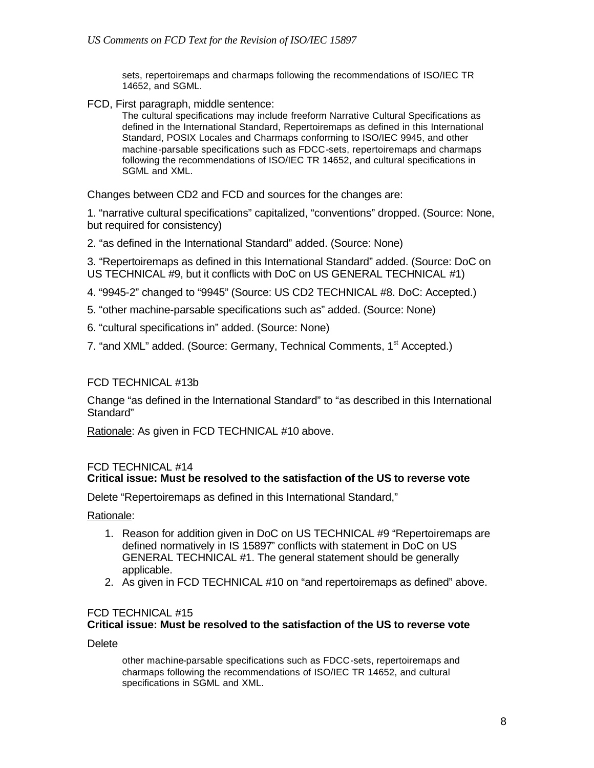sets, repertoiremaps and charmaps following the recommendations of ISO/IEC TR 14652, and SGML.

FCD, First paragraph, middle sentence:

The cultural specifications may include freeform Narrative Cultural Specifications as defined in the International Standard, Repertoiremaps as defined in this International Standard, POSIX Locales and Charmaps conforming to ISO/IEC 9945, and other machine-parsable specifications such as FDCC-sets, repertoiremaps and charmaps following the recommendations of ISO/IEC TR 14652, and cultural specifications in SGML and XML.

Changes between CD2 and FCD and sources for the changes are:

1. "narrative cultural specifications" capitalized, "conventions" dropped. (Source: None, but required for consistency)

2. "as defined in the International Standard" added. (Source: None)

3. "Repertoiremaps as defined in this International Standard" added. (Source: DoC on US TECHNICAL #9, but it conflicts with DoC on US GENERAL TECHNICAL #1)

4. "9945-2" changed to "9945" (Source: US CD2 TECHNICAL #8. DoC: Accepted.)

- 5. "other machine-parsable specifications such as" added. (Source: None)
- 6. "cultural specifications in" added. (Source: None)
- 7. "and XML" added. (Source: Germany, Technical Comments, 1<sup>st</sup> Accepted.)

### FCD TECHNICAL #13b

Change "as defined in the International Standard" to "as described in this International Standard"

Rationale: As given in FCD TECHNICAL #10 above.

### FCD TECHNICAL #14 **Critical issue: Must be resolved to the satisfaction of the US to reverse vote**

Delete "Repertoiremaps as defined in this International Standard,"

Rationale:

- 1. Reason for addition given in DoC on US TECHNICAL #9 "Repertoiremaps are defined normatively in IS 15897" conflicts with statement in DoC on US GENERAL TECHNICAL #1. The general statement should be generally applicable.
- 2. As given in FCD TECHNICAL #10 on "and repertoiremaps as defined" above.

### FCD TECHNICAL #15

### **Critical issue: Must be resolved to the satisfaction of the US to reverse vote**

**Delete** 

other machine-parsable specifications such as FDCC-sets, repertoiremaps and charmaps following the recommendations of ISO/IEC TR 14652, and cultural specifications in SGML and XML.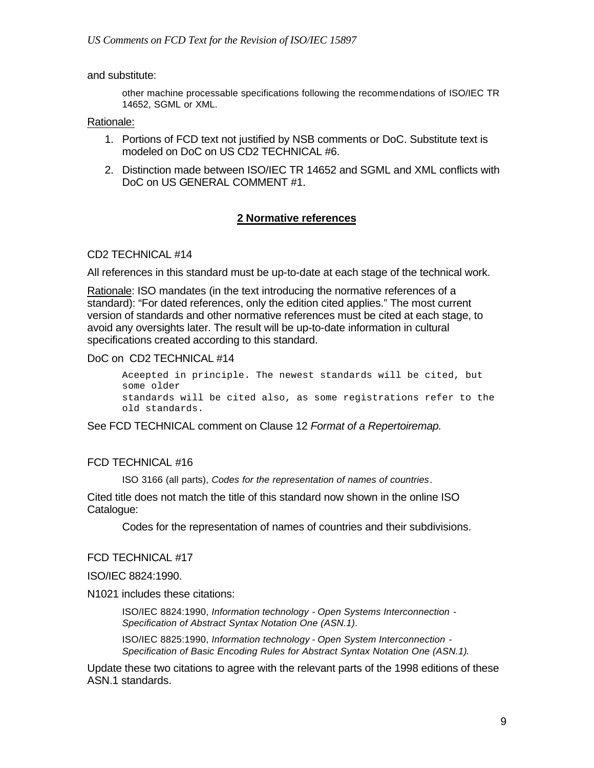### and substitute:

other machine processable specifications following the recommendations of ISO/IEC TR 14652, SGML or XML.

#### Rationale:

- 1. Portions of FCD text not justified by NSB comments or DoC. Substitute text is modeled on DoC on US CD2 TECHNICAL #6.
- 2. Distinction made between ISO/IEC TR 14652 and SGML and XML conflicts with DoC on US GENERAL COMMENT #1.

### **2 Normative references**

#### CD2 TECHNICAL #14

All references in this standard must be up-to-date at each stage of the technical work.

Rationale: ISO mandates (in the text introducing the normative references of a standard): "For dated references, only the edition cited applies." The most current version of standards and other normative references must be cited at each stage, to avoid any oversights later. The result will be up-to-date information in cultural specifications created according to this standard.

#### DoC on CD2 TECHNICAL #14

Aceepted in principle. The newest standards will be cited, but some older standards will be cited also, as some registrations refer to the old standards.

See FCD TECHNICAL comment on Clause 12 *Format of a Repertoiremap.*

### FCD TECHNICAL #16

ISO 3166 (all parts), *Codes for the representation of names of countries*.

Cited title does not match the title of this standard now shown in the online ISO Catalogue:

Codes for the representation of names of countries and their subdivisions.

#### FCD TECHNICAL #17

#### ISO/IEC 8824:1990.

N1021 includes these citations:

ISO/IEC 8824:1990, *Information technology - Open Systems Interconnection - Specification of Abstract Syntax Notation One (ASN.1)*.

ISO/IEC 8825:1990, *Information technology - Open System Interconnection - Specification of Basic Encoding Rules for Abstract Syntax Notation One (ASN.1)*.

Update these two citations to agree with the relevant parts of the 1998 editions of these ASN.1 standards.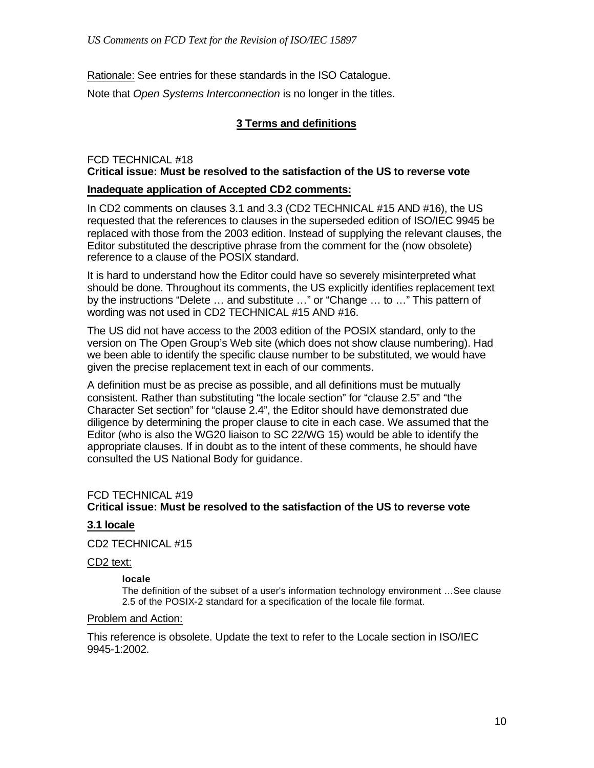Rationale: See entries for these standards in the ISO Catalogue.

Note that *Open Systems Interconnection* is no longer in the titles.

# **3 Terms and definitions**

# FCD TECHNICAL #18 **Critical issue: Must be resolved to the satisfaction of the US to reverse vote**

### **Inadequate application of Accepted CD2 comments:**

In CD2 comments on clauses 3.1 and 3.3 (CD2 TECHNICAL #15 AND #16), the US requested that the references to clauses in the superseded edition of ISO/IEC 9945 be replaced with those from the 2003 edition. Instead of supplying the relevant clauses, the Editor substituted the descriptive phrase from the comment for the (now obsolete) reference to a clause of the POSIX standard.

It is hard to understand how the Editor could have so severely misinterpreted what should be done. Throughout its comments, the US explicitly identifies replacement text by the instructions "Delete … and substitute …" or "Change … to …" This pattern of wording was not used in CD2 TECHNICAL #15 AND #16.

The US did not have access to the 2003 edition of the POSIX standard, only to the version on The Open Group's Web site (which does not show clause numbering). Had we been able to identify the specific clause number to be substituted, we would have given the precise replacement text in each of our comments.

A definition must be as precise as possible, and all definitions must be mutually consistent. Rather than substituting "the locale section" for "clause 2.5" and "the Character Set section" for "clause 2.4", the Editor should have demonstrated due diligence by determining the proper clause to cite in each case. We assumed that the Editor (who is also the WG20 liaison to SC 22/WG 15) would be able to identify the appropriate clauses. If in doubt as to the intent of these comments, he should have consulted the US National Body for guidance.

# FCD TECHNICAL #19

# **Critical issue: Must be resolved to the satisfaction of the US to reverse vote**

# **3.1 locale**

CD2 TECHNICAL #15

CD2 text:

### **locale**

The definition of the subset of a user's information technology environment …See clause 2.5 of the POSIX-2 standard for a specification of the locale file format.

### Problem and Action:

This reference is obsolete. Update the text to refer to the Locale section in ISO/IEC 9945-1:2002.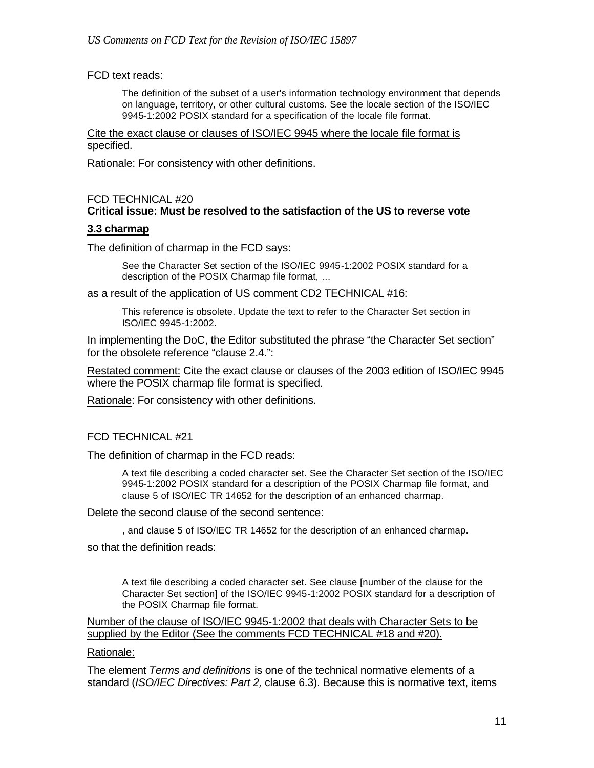### FCD text reads:

The definition of the subset of a user's information technology environment that depends on language, territory, or other cultural customs. See the locale section of the ISO/IEC 9945-1:2002 POSIX standard for a specification of the locale file format.

Cite the exact clause or clauses of ISO/IEC 9945 where the locale file format is specified.

Rationale: For consistency with other definitions.

### FCD TECHNICAL #20 **Critical issue: Must be resolved to the satisfaction of the US to reverse vote**

### **3.3 charmap**

The definition of charmap in the FCD says:

See the Character Set section of the ISO/IEC 9945-1:2002 POSIX standard for a description of the POSIX Charmap file format, …

as a result of the application of US comment CD2 TECHNICAL #16:

This reference is obsolete. Update the text to refer to the Character Set section in ISO/IEC 9945-1:2002.

In implementing the DoC, the Editor substituted the phrase "the Character Set section" for the obsolete reference "clause 2.4.":

Restated comment: Cite the exact clause or clauses of the 2003 edition of ISO/IEC 9945 where the POSIX charmap file format is specified.

Rationale: For consistency with other definitions.

### FCD TECHNICAL #21

The definition of charmap in the FCD reads:

A text file describing a coded character set. See the Character Set section of the ISO/IEC 9945-1:2002 POSIX standard for a description of the POSIX Charmap file format, and clause 5 of ISO/IEC TR 14652 for the description of an enhanced charmap.

Delete the second clause of the second sentence:

, and clause 5 of ISO/IEC TR 14652 for the description of an enhanced charmap.

so that the definition reads:

A text file describing a coded character set. See clause [number of the clause for the Character Set section] of the ISO/IEC 9945-1:2002 POSIX standard for a description of the POSIX Charmap file format.

Number of the clause of ISO/IEC 9945-1:2002 that deals with Character Sets to be supplied by the Editor (See the comments FCD TECHNICAL #18 and #20).

### Rationale:

The element *Terms and definitions* is one of the technical normative elements of a standard (*ISO/IEC Directives: Part 2,* clause 6.3). Because this is normative text, items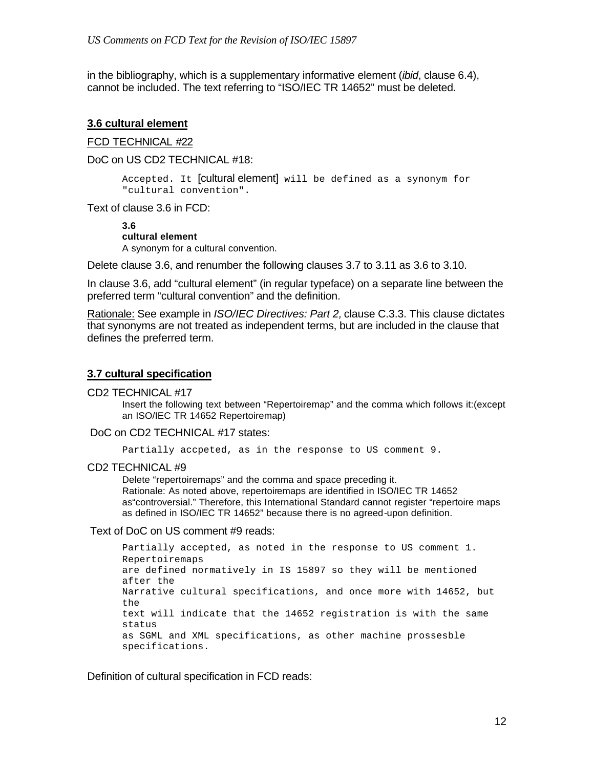in the bibliography, which is a supplementary informative element (*ibid*, clause 6.4), cannot be included. The text referring to "ISO/IEC TR 14652" must be deleted.

### **3.6 cultural element**

### FCD TECHNICAL #22

DoC on US CD2 TECHNICAL #18:

Accepted. It [cultural element] will be defined as a synonym for "cultural convention".

Text of clause 3.6 in FCD:

**3.6 cultural element** A synonym for a cultural convention.

Delete clause 3.6, and renumber the following clauses 3.7 to 3.11 as 3.6 to 3.10.

In clause 3.6, add "cultural element" (in regular typeface) on a separate line between the preferred term "cultural convention" and the definition.

Rationale: See example in *ISO/IEC Directives: Part 2,* clause C.3.3. This clause dictates that synonyms are not treated as independent terms, but are included in the clause that defines the preferred term.

### **3.7 cultural specification**

CD2 TECHNICAL #17

Insert the following text between "Repertoiremap" and the comma which follows it:(except an ISO/IEC TR 14652 Repertoiremap)

### DoC on CD2 TECHNICAL #17 states:

Partially accpeted, as in the response to US comment 9.

### CD2 TECHNICAL #9

Delete "repertoiremaps" and the comma and space preceding it. Rationale: As noted above, repertoiremaps are identified in ISO/IEC TR 14652 as"controversial." Therefore, this International Standard cannot register "repertoire maps as defined in ISO/IEC TR 14652" because there is no agreed-upon definition.

Text of DoC on US comment #9 reads:

```
Partially accepted, as noted in the response to US comment 1. 
Repertoiremaps
are defined normatively in IS 15897 so they will be mentioned 
after the
Narrative cultural specifications, and once more with 14652, but 
the
text will indicate that the 14652 registration is with the same 
status
as SGML and XML specifications, as other machine prossesble 
specifications.
```
Definition of cultural specification in FCD reads: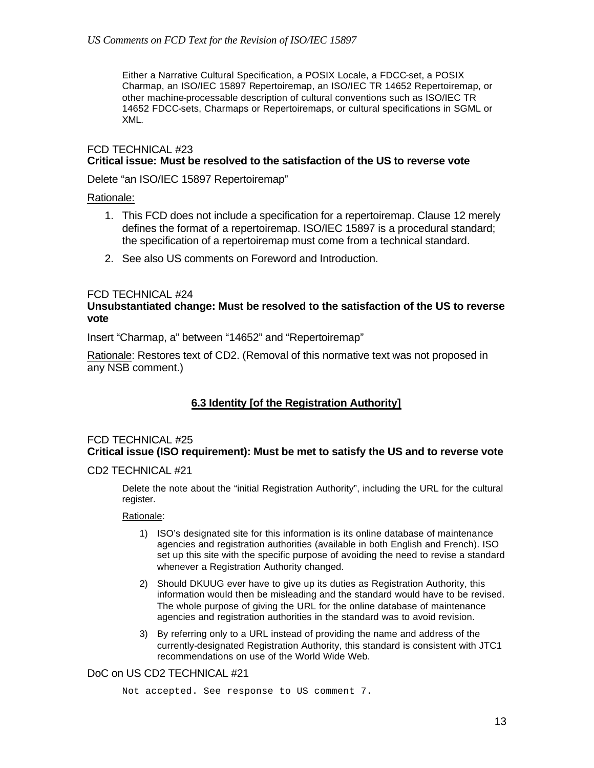Either a Narrative Cultural Specification, a POSIX Locale, a FDCC-set, a POSIX Charmap, an ISO/IEC 15897 Repertoiremap, an ISO/IEC TR 14652 Repertoiremap, or other machine-processable description of cultural conventions such as ISO/IEC TR 14652 FDCC-sets, Charmaps or Repertoiremaps, or cultural specifications in SGML or XML.

### FCD TECHNICAL #23 **Critical issue: Must be resolved to the satisfaction of the US to reverse vote**

Delete "an ISO/IEC 15897 Repertoiremap"

### Rationale:

- 1. This FCD does not include a specification for a repertoiremap. Clause 12 merely defines the format of a repertoiremap. ISO/IEC 15897 is a procedural standard; the specification of a repertoiremap must come from a technical standard.
- 2. See also US comments on Foreword and Introduction.

### FCD TECHNICAL #24

### **Unsubstantiated change: Must be resolved to the satisfaction of the US to reverse vote**

Insert "Charmap, a" between "14652" and "Repertoiremap"

Rationale: Restores text of CD2. (Removal of this normative text was not proposed in any NSB comment.)

# **6.3 Identity [of the Registration Authority]**

### FCD TECHNICAL #25 **Critical issue (ISO requirement): Must be met to satisfy the US and to reverse vote**

### CD2 TECHNICAL #21

Delete the note about the "initial Registration Authority", including the URL for the cultural register.

#### Rationale:

- 1) ISO's designated site for this information is its online database of maintenance agencies and registration authorities (available in both English and French). ISO set up this site with the specific purpose of avoiding the need to revise a standard whenever a Registration Authority changed.
- 2) Should DKUUG ever have to give up its duties as Registration Authority, this information would then be misleading and the standard would have to be revised. The whole purpose of giving the URL for the online database of maintenance agencies and registration authorities in the standard was to avoid revision.
- 3) By referring only to a URL instead of providing the name and address of the currently-designated Registration Authority, this standard is consistent with JTC1 recommendations on use of the World Wide Web.

### DoC on US CD2 TECHNICAL #21

Not accepted. See response to US comment 7.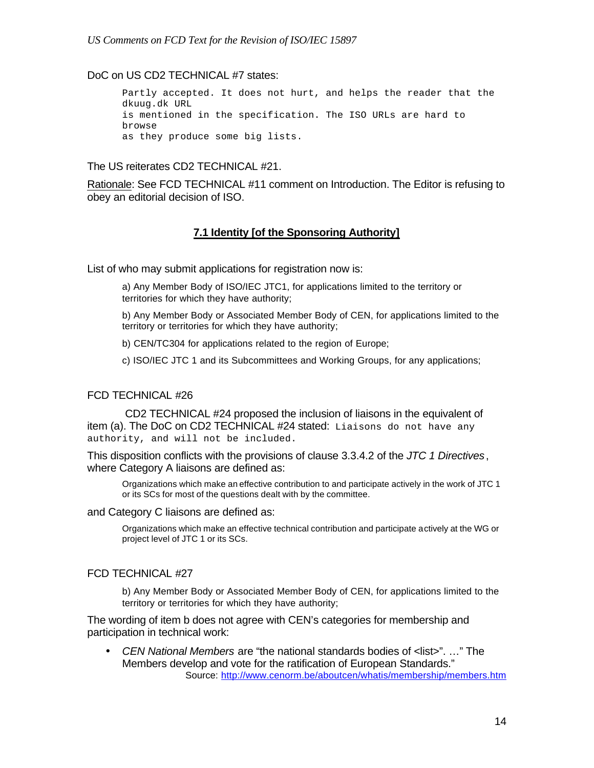### DoC on US CD2 TECHNICAL #7 states:

Partly accepted. It does not hurt, and helps the reader that the dkuug.dk URL is mentioned in the specification. The ISO URLs are hard to browse as they produce some big lists.

The US reiterates CD2 TECHNICAL #21.

Rationale: See FCD TECHNICAL #11 comment on Introduction. The Editor is refusing to obey an editorial decision of ISO.

### **7.1 Identity [of the Sponsoring Authority]**

List of who may submit applications for registration now is:

a) Any Member Body of ISO/IEC JTC1, for applications limited to the territory or territories for which they have authority;

b) Any Member Body or Associated Member Body of CEN, for applications limited to the territory or territories for which they have authority;

b) CEN/TC304 for applications related to the region of Europe;

c) ISO/IEC JTC 1 and its Subcommittees and Working Groups, for any applications;

### FCD TECHNICAL #26

 CD2 TECHNICAL #24 proposed the inclusion of liaisons in the equivalent of item (a). The DoC on CD2 TECHNICAL #24 stated: Liaisons do not have any authority, and will not be included.

This disposition conflicts with the provisions of clause 3.3.4.2 of the *JTC 1 Directives*, where Category A liaisons are defined as:

Organizations which make an effective contribution to and participate actively in the work of JTC 1 or its SCs for most of the questions dealt with by the committee.

#### and Category C liaisons are defined as:

Organizations which make an effective technical contribution and participate actively at the WG or project level of JTC 1 or its SCs.

#### FCD TECHNICAL #27

b) Any Member Body or Associated Member Body of CEN, for applications limited to the territory or territories for which they have authority;

The wording of item b does not agree with CEN's categories for membership and participation in technical work:

• *CEN National Members* are "the national standards bodies of <list>". …" The Members develop and vote for the ratification of European Standards." Source: http://www.cenorm.be/aboutcen/whatis/membership/members.htm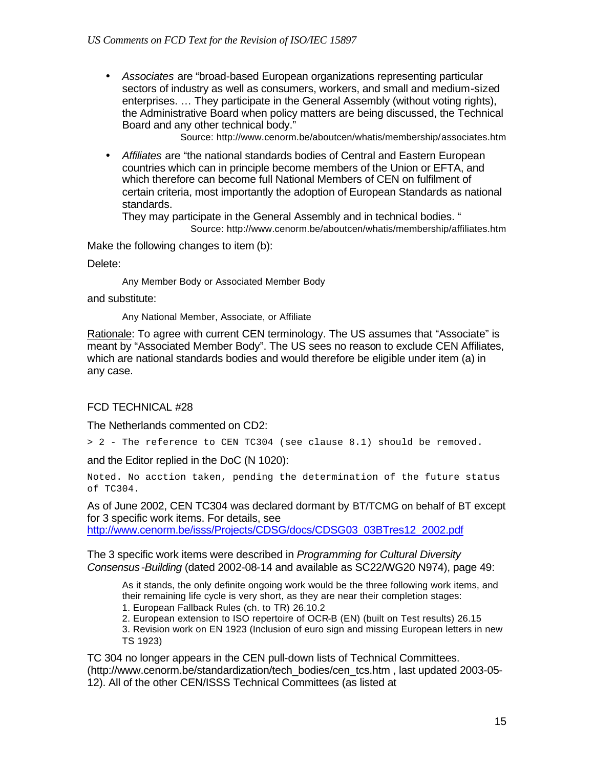• *Associates* are "broad-based European organizations representing particular sectors of industry as well as consumers, workers, and small and medium-sized enterprises. … They participate in the General Assembly (without voting rights), the Administrative Board when policy matters are being discussed, the Technical Board and any other technical body."

Source: http://www.cenorm.be/aboutcen/whatis/membership/associates.htm

• *Affiliates* are "the national standards bodies of Central and Eastern European countries which can in principle become members of the Union or EFTA, and which therefore can become full National Members of CEN on fulfilment of certain criteria, most importantly the adoption of European Standards as national standards.

They may participate in the General Assembly and in technical bodies. " Source: http://www.cenorm.be/aboutcen/whatis/membership/affiliates.htm

Make the following changes to item (b):

Delete:

Any Member Body or Associated Member Body

and substitute:

Any National Member, Associate, or Affiliate

Rationale: To agree with current CEN terminology. The US assumes that "Associate" is meant by "Associated Member Body". The US sees no reason to exclude CEN Affiliates, which are national standards bodies and would therefore be eligible under item (a) in any case.

### FCD TECHNICAL #28

The Netherlands commented on CD2:

> 2 - The reference to CEN TC304 (see clause 8.1) should be removed.

and the Editor replied in the DoC (N 1020):

Noted. No acction taken, pending the determination of the future status of TC304.

As of June 2002, CEN TC304 was declared dormant by BT/TCMG on behalf of BT except for 3 specific work items. For details, see http://www.cenorm.be/isss/Projects/CDSG/docs/CDSG03\_03BTres12\_2002.pdf

The 3 specific work items were described in *Programming for Cultural Diversity Consensus-Building* (dated 2002-08-14 and available as SC22/WG20 N974), page 49:

As it stands, the only definite ongoing work would be the three following work items, and their remaining life cycle is very short, as they are near their completion stages:

1. European Fallback Rules (ch. to TR) 26.10.2

2. European extension to ISO repertoire of OCR-B (EN) (built on Test results) 26.15

3. Revision work on EN 1923 (Inclusion of euro sign and missing European letters in new TS 1923)

TC 304 no longer appears in the CEN pull-down lists of Technical Committees. (http://www.cenorm.be/standardization/tech\_bodies/cen\_tcs.htm , last updated 2003-05- 12). All of the other CEN/ISSS Technical Committees (as listed at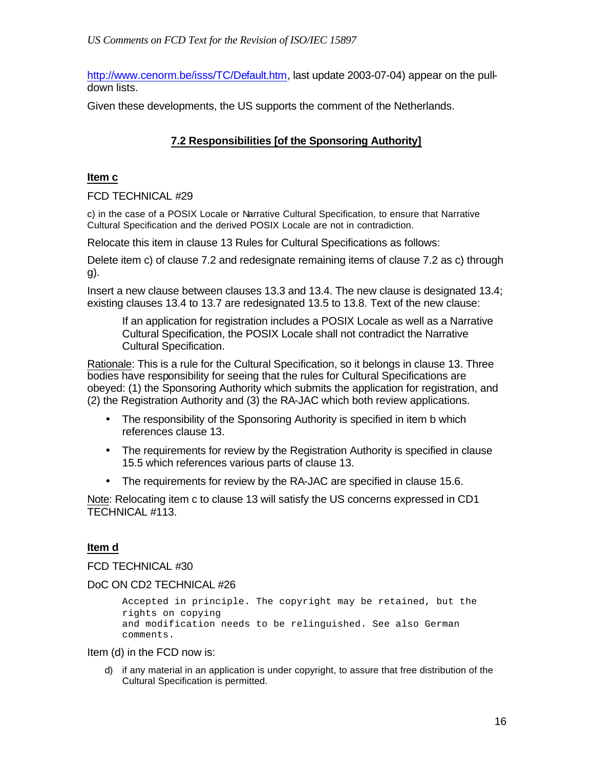http://www.cenorm.be/isss/TC/Default.htm, last update 2003-07-04) appear on the pulldown lists.

Given these developments, the US supports the comment of the Netherlands.

# **7.2 Responsibilities [of the Sponsoring Authority]**

### **Item c**

FCD TECHNICAL #29

c) in the case of a POSIX Locale or Narrative Cultural Specification, to ensure that Narrative Cultural Specification and the derived POSIX Locale are not in contradiction.

Relocate this item in clause 13 Rules for Cultural Specifications as follows:

Delete item c) of clause 7.2 and redesignate remaining items of clause 7.2 as c) through g).

Insert a new clause between clauses 13.3 and 13.4. The new clause is designated 13.4; existing clauses 13.4 to 13.7 are redesignated 13.5 to 13.8. Text of the new clause:

If an application for registration includes a POSIX Locale as well as a Narrative Cultural Specification, the POSIX Locale shall not contradict the Narrative Cultural Specification.

Rationale: This is a rule for the Cultural Specification, so it belongs in clause 13. Three bodies have responsibility for seeing that the rules for Cultural Specifications are obeyed: (1) the Sponsoring Authority which submits the application for registration, and (2) the Registration Authority and (3) the RA-JAC which both review applications.

- The responsibility of the Sponsoring Authority is specified in item b which references clause 13.
- The requirements for review by the Registration Authority is specified in clause 15.5 which references various parts of clause 13.
- The requirements for review by the RA-JAC are specified in clause 15.6.

Note: Relocating item c to clause 13 will satisfy the US concerns expressed in CD1 TECHNICAL #113.

# **Item d**

FCD TECHNICAL #30

DoC ON CD2 TECHNICAL #26

```
Accepted in principle. The copyright may be retained, but the 
rights on copying
and modification needs to be relinguished. See also German 
comments.
```
Item (d) in the FCD now is:

d) if any material in an application is under copyright, to assure that free distribution of the Cultural Specification is permitted.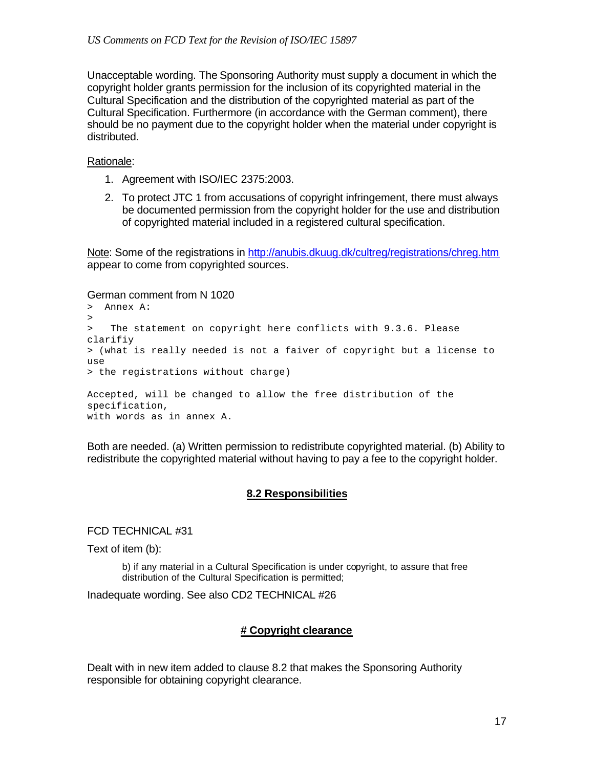Unacceptable wording. The Sponsoring Authority must supply a document in which the copyright holder grants permission for the inclusion of its copyrighted material in the Cultural Specification and the distribution of the copyrighted material as part of the Cultural Specification. Furthermore (in accordance with the German comment), there should be no payment due to the copyright holder when the material under copyright is distributed.

### Rationale:

- 1. Agreement with ISO/IEC 2375:2003.
- 2. To protect JTC 1 from accusations of copyright infringement, there must always be documented permission from the copyright holder for the use and distribution of copyrighted material included in a registered cultural specification.

Note: Some of the registrations in http://anubis.dkuug.dk/cultreg/registrations/chreg.htm appear to come from copyrighted sources.

#### German comment from N 1020

```
> Annex A:
> 
> The statement on copyright here conflicts with 9.3.6. Please 
clarifiy 
> (what is really needed is not a faiver of copyright but a license to 
use 
> the registrations without charge)
Accepted, will be changed to allow the free distribution of the
```
specification, with words as in annex A.

Both are needed. (a) Written permission to redistribute copyrighted material. (b) Ability to redistribute the copyrighted material without having to pay a fee to the copyright holder.

### **8.2 Responsibilities**

FCD TECHNICAL #31

Text of item (b):

b) if any material in a Cultural Specification is under copyright, to assure that free distribution of the Cultural Specification is permitted;

Inadequate wording. See also CD2 TECHNICAL #26

### **# Copyright clearance**

Dealt with in new item added to clause 8.2 that makes the Sponsoring Authority responsible for obtaining copyright clearance.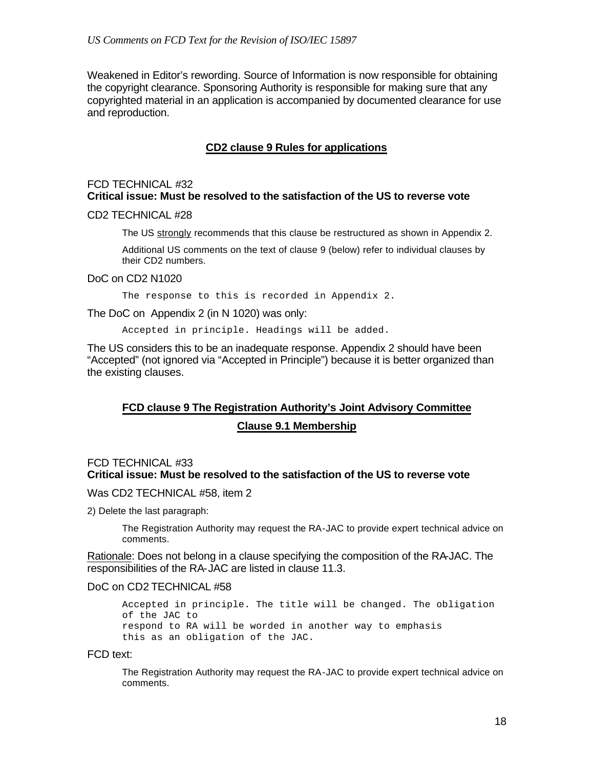Weakened in Editor's rewording. Source of Information is now responsible for obtaining the copyright clearance. Sponsoring Authority is responsible for making sure that any copyrighted material in an application is accompanied by documented clearance for use and reproduction.

### **CD2 clause 9 Rules for applications**

### FCD TECHNICAL #32 **Critical issue: Must be resolved to the satisfaction of the US to reverse vote**

#### CD2 TECHNICAL #28

The US strongly recommends that this clause be restructured as shown in Appendix 2.

Additional US comments on the text of clause 9 (below) refer to individual clauses by their CD2 numbers.

### DoC on CD2 N1020

The response to this is recorded in Appendix 2.

The DoC on Appendix 2 (in N 1020) was only:

Accepted in principle. Headings will be added.

The US considers this to be an inadequate response. Appendix 2 should have been "Accepted" (not ignored via "Accepted in Principle") because it is better organized than the existing clauses.

# **FCD clause 9 The Registration Authority's Joint Advisory Committee Clause 9.1 Membership**

### FCD TECHNICAL #33 **Critical issue: Must be resolved to the satisfaction of the US to reverse vote**

Was CD2 TECHNICAL #58, item 2

2) Delete the last paragraph:

The Registration Authority may request the RA-JAC to provide expert technical advice on comments.

Rationale: Does not belong in a clause specifying the composition of the RA-JAC. The responsibilities of the RA-JAC are listed in clause 11.3.

### DoC on CD2 TECHNICAL #58

Accepted in principle. The title will be changed. The obligation of the JAC to respond to RA will be worded in another way to emphasis this as an obligation of the JAC.

#### FCD text:

The Registration Authority may request the RA-JAC to provide expert technical advice on comments.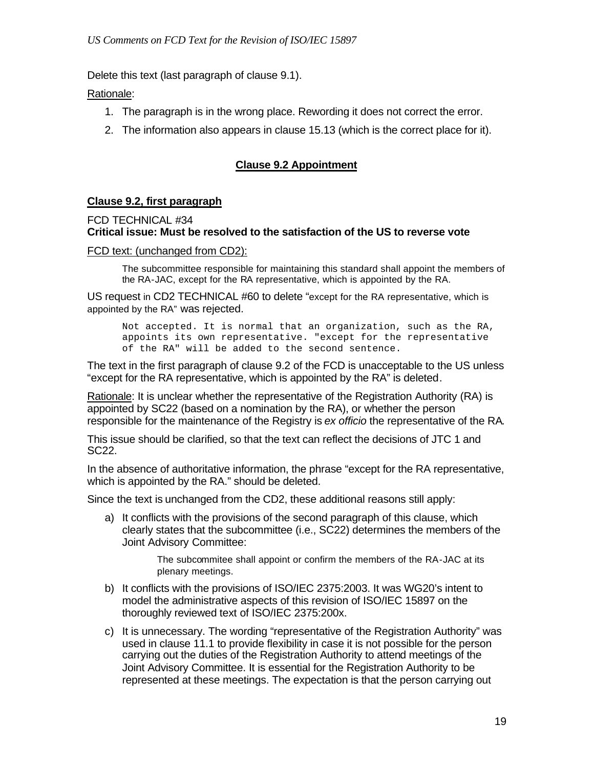Delete this text (last paragraph of clause 9.1).

Rationale:

- 1. The paragraph is in the wrong place. Rewording it does not correct the error.
- 2. The information also appears in clause 15.13 (which is the correct place for it).

# **Clause 9.2 Appointment**

### **Clause 9.2, first paragraph**

### FCD TECHNICAL #34 **Critical issue: Must be resolved to the satisfaction of the US to reverse vote**

### FCD text: (unchanged from CD2):

The subcommittee responsible for maintaining this standard shall appoint the members of the RA-JAC, except for the RA representative, which is appointed by the RA.

US request in CD2 TECHNICAL #60 to delete "except for the RA representative, which is appointed by the RA" was rejected.

Not accepted. It is normal that an organization, such as the RA, appoints its own representative. "except for the representative of the RA" will be added to the second sentence.

The text in the first paragraph of clause 9.2 of the FCD is unacceptable to the US unless "except for the RA representative, which is appointed by the RA" is deleted.

Rationale: It is unclear whether the representative of the Registration Authority (RA) is appointed by SC22 (based on a nomination by the RA), or whether the person responsible for the maintenance of the Registry is *ex officio* the representative of the RA.

This issue should be clarified, so that the text can reflect the decisions of JTC 1 and SC22.

In the absence of authoritative information, the phrase "except for the RA representative, which is appointed by the RA." should be deleted.

Since the text is unchanged from the CD2, these additional reasons still apply:

a) It conflicts with the provisions of the second paragraph of this clause, which clearly states that the subcommittee (i.e., SC22) determines the members of the Joint Advisory Committee:

> The subcommitee shall appoint or confirm the members of the RA-JAC at its plenary meetings.

- b) It conflicts with the provisions of ISO/IEC 2375:2003. It was WG20's intent to model the administrative aspects of this revision of ISO/IEC 15897 on the thoroughly reviewed text of ISO/IEC 2375:200x.
- c) It is unnecessary. The wording "representative of the Registration Authority" was used in clause 11.1 to provide flexibility in case it is not possible for the person carrying out the duties of the Registration Authority to attend meetings of the Joint Advisory Committee. It is essential for the Registration Authority to be represented at these meetings. The expectation is that the person carrying out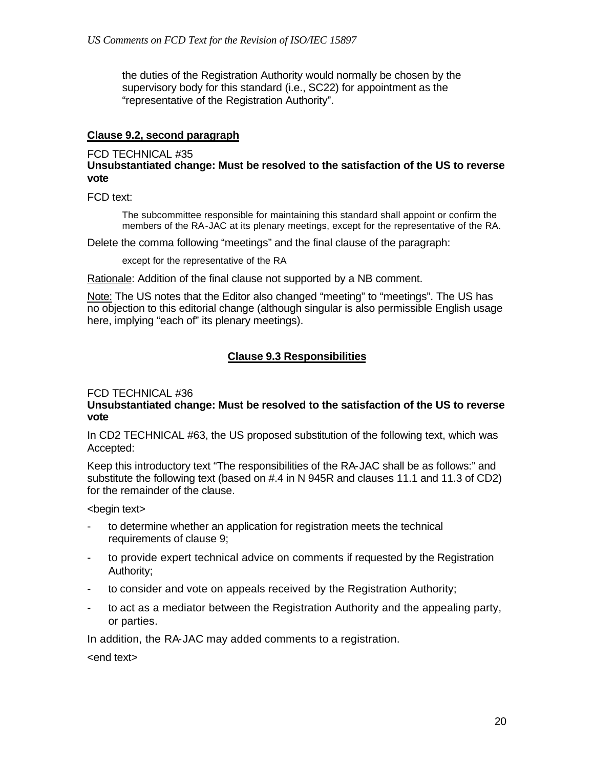the duties of the Registration Authority would normally be chosen by the supervisory body for this standard (i.e., SC22) for appointment as the "representative of the Registration Authority".

### **Clause 9.2, second paragraph**

### FCD TECHNICAL #35

**Unsubstantiated change: Must be resolved to the satisfaction of the US to reverse vote**

FCD text:

The subcommittee responsible for maintaining this standard shall appoint or confirm the members of the RA-JAC at its plenary meetings, except for the representative of the RA.

Delete the comma following "meetings" and the final clause of the paragraph:

except for the representative of the RA

Rationale: Addition of the final clause not supported by a NB comment.

Note: The US notes that the Editor also changed "meeting" to "meetings". The US has no objection to this editorial change (although singular is also permissible English usage here, implying "each of" its plenary meetings).

# **Clause 9.3 Responsibilities**

### FCD TECHNICAL #36

### **Unsubstantiated change: Must be resolved to the satisfaction of the US to reverse vote**

In CD2 TECHNICAL #63, the US proposed substitution of the following text, which was Accepted:

Keep this introductory text "The responsibilities of the RA-JAC shall be as follows:" and substitute the following text (based on #.4 in N 945R and clauses 11.1 and 11.3 of CD2) for the remainder of the clause.

<begin text>

- to determine whether an application for registration meets the technical requirements of clause 9;
- to provide expert technical advice on comments if requested by the Registration Authority;
- to consider and vote on appeals received by the Registration Authority;
- to act as a mediator between the Registration Authority and the appealing party, or parties.

In addition, the RA-JAC may added comments to a registration.

<end text>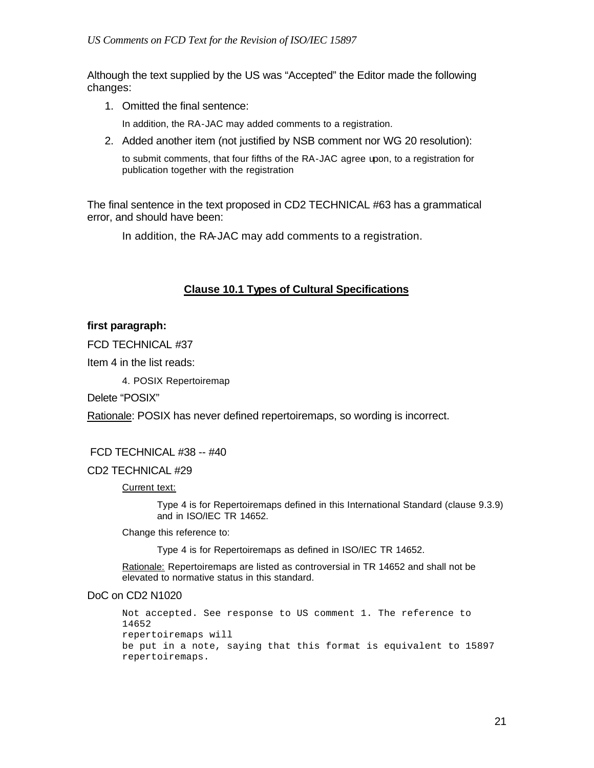Although the text supplied by the US was "Accepted" the Editor made the following changes:

1. Omitted the final sentence:

In addition, the RA-JAC may added comments to a registration.

2. Added another item (not justified by NSB comment nor WG 20 resolution):

to submit comments, that four fifths of the RA-JAC agree upon, to a registration for publication together with the registration

The final sentence in the text proposed in CD2 TECHNICAL #63 has a grammatical error, and should have been:

In addition, the RA-JAC may add comments to a registration.

### **Clause 10.1 Types of Cultural Specifications**

### **first paragraph:**

FCD TECHNICAL #37

Item 4 in the list reads:

4. POSIX Repertoiremap

Delete "POSIX"

Rationale: POSIX has never defined repertoiremaps, so wording is incorrect.

### FCD TECHNICAL #38 -- #40

CD2 TECHNICAL #29

Current text:

Type 4 is for Repertoiremaps defined in this International Standard (clause 9.3.9) and in ISO/IEC TR 14652.

Change this reference to:

Type 4 is for Repertoiremaps as defined in ISO/IEC TR 14652.

Rationale: Repertoiremaps are listed as controversial in TR 14652 and shall not be elevated to normative status in this standard.

DoC on CD2 N1020

Not accepted. See response to US comment 1. The reference to 14652 repertoiremaps will be put in a note, saying that this format is equivalent to 15897 repertoiremaps.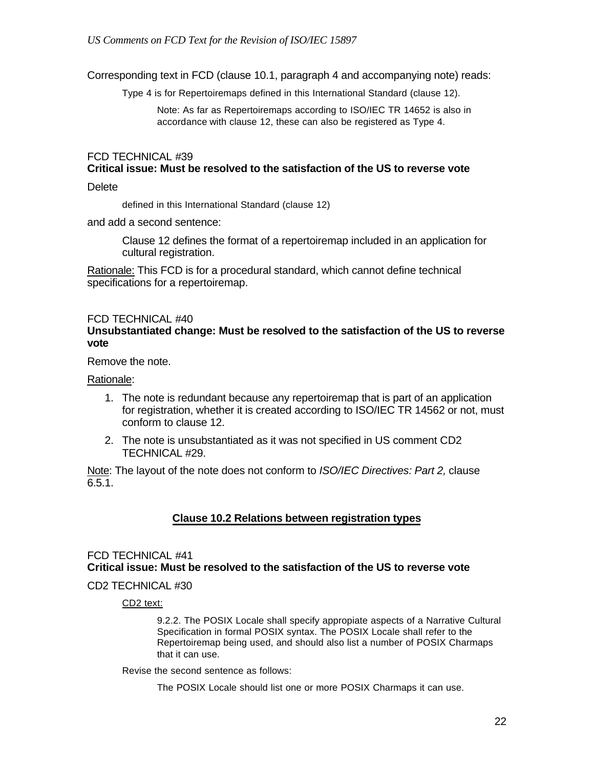Corresponding text in FCD (clause 10.1, paragraph 4 and accompanying note) reads:

Type 4 is for Repertoiremaps defined in this International Standard (clause 12).

Note: As far as Repertoiremaps according to ISO/IEC TR 14652 is also in accordance with clause 12, these can also be registered as Type 4.

### FCD TECHNICAL #39 **Critical issue: Must be resolved to the satisfaction of the US to reverse vote**

#### **Delete**

defined in this International Standard (clause 12)

and add a second sentence:

Clause 12 defines the format of a repertoiremap included in an application for cultural registration.

Rationale: This FCD is for a procedural standard, which cannot define technical specifications for a repertoiremap.

### FCD TECHNICAL #40 **Unsubstantiated change: Must be resolved to the satisfaction of the US to reverse vote**

Remove the note.

Rationale:

- 1. The note is redundant because any repertoiremap that is part of an application for registration, whether it is created according to ISO/IEC TR 14562 or not, must conform to clause 12.
- 2. The note is unsubstantiated as it was not specified in US comment CD2 TECHNICAL #29.

Note: The layout of the note does not conform to *ISO/IEC Directives: Part 2,* clause  $6.5.1.$ 

### **Clause 10.2 Relations between registration types**

### FCD TECHNICAL #41 **Critical issue: Must be resolved to the satisfaction of the US to reverse vote**

### CD2 TECHNICAL #30

CD2 text:

9.2.2. The POSIX Locale shall specify appropiate aspects of a Narrative Cultural Specification in formal POSIX syntax. The POSIX Locale shall refer to the Repertoiremap being used, and should also list a number of POSIX Charmaps that it can use.

#### Revise the second sentence as follows:

The POSIX Locale should list one or more POSIX Charmaps it can use.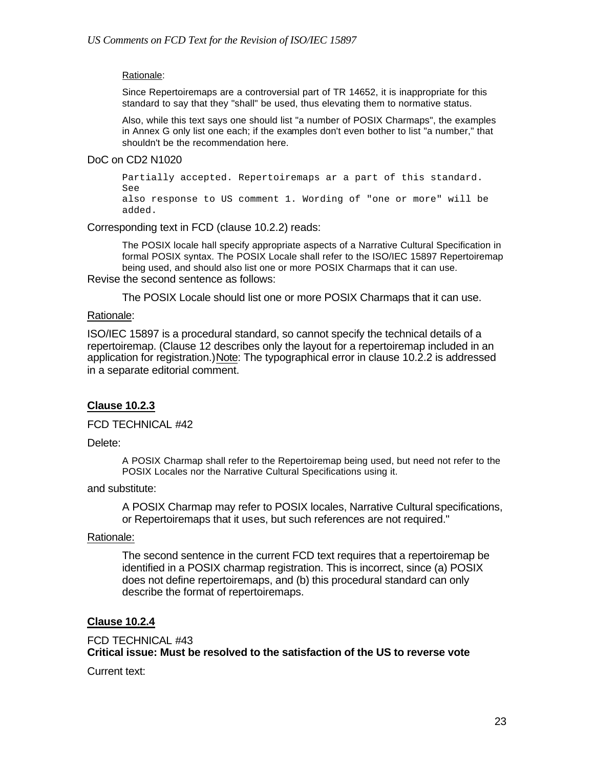#### Rationale:

Since Repertoiremaps are a controversial part of TR 14652, it is inappropriate for this standard to say that they "shall" be used, thus elevating them to normative status.

Also, while this text says one should list "a number of POSIX Charmaps", the examples in Annex G only list one each; if the examples don't even bother to list "a number," that shouldn't be the recommendation here.

#### DoC on CD2 N1020

Partially accepted. Repertoiremaps ar a part of this standard. See also response to US comment 1. Wording of "one or more" will be added.

Corresponding text in FCD (clause 10.2.2) reads:

The POSIX locale hall specify appropriate aspects of a Narrative Cultural Specification in formal POSIX syntax. The POSIX Locale shall refer to the ISO/IEC 15897 Repertoiremap being used, and should also list one or more POSIX Charmaps that it can use. Revise the second sentence as follows:

The POSIX Locale should list one or more POSIX Charmaps that it can use.

### Rationale:

ISO/IEC 15897 is a procedural standard, so cannot specify the technical details of a repertoiremap. (Clause 12 describes only the layout for a repertoiremap included in an application for registration.)Note: The typographical error in clause 10.2.2 is addressed in a separate editorial comment.

### **Clause 10.2.3**

FCD TECHNICAL #42

Delete:

A POSIX Charmap shall refer to the Repertoiremap being used, but need not refer to the POSIX Locales nor the Narrative Cultural Specifications using it.

#### and substitute:

A POSIX Charmap may refer to POSIX locales, Narrative Cultural specifications, or Repertoiremaps that it uses, but such references are not required."

### Rationale:

The second sentence in the current FCD text requires that a repertoiremap be identified in a POSIX charmap registration. This is incorrect, since (a) POSIX does not define repertoiremaps, and (b) this procedural standard can only describe the format of repertoiremaps.

### **Clause 10.2.4**

FCD TECHNICAL #43 **Critical issue: Must be resolved to the satisfaction of the US to reverse vote**

Current text: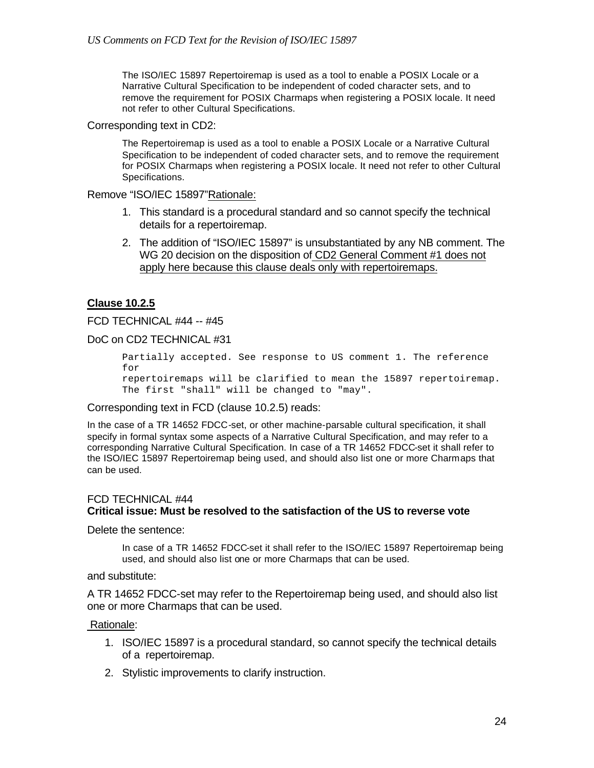The ISO/IEC 15897 Repertoiremap is used as a tool to enable a POSIX Locale or a Narrative Cultural Specification to be independent of coded character sets, and to remove the requirement for POSIX Charmaps when registering a POSIX locale. It need not refer to other Cultural Specifications.

Corresponding text in CD2:

The Repertoiremap is used as a tool to enable a POSIX Locale or a Narrative Cultural Specification to be independent of coded character sets, and to remove the requirement for POSIX Charmaps when registering a POSIX locale. It need not refer to other Cultural Specifications.

Remove "ISO/IEC 15897"Rationale:

- 1. This standard is a procedural standard and so cannot specify the technical details for a repertoiremap.
- 2. The addition of "ISO/IEC 15897" is unsubstantiated by any NB comment. The WG 20 decision on the disposition of CD2 General Comment #1 does not apply here because this clause deals only with repertoiremaps.

### **Clause 10.2.5**

FCD TECHNICAL #44 -- #45

DoC on CD2 TECHNICAL #31

Partially accepted. See response to US comment 1. The reference for repertoiremaps will be clarified to mean the 15897 repertoiremap. The first "shall" will be changed to "may".

Corresponding text in FCD (clause 10.2.5) reads:

In the case of a TR 14652 FDCC-set, or other machine-parsable cultural specification, it shall specify in formal syntax some aspects of a Narrative Cultural Specification, and may refer to a corresponding Narrative Cultural Specification. In case of a TR 14652 FDCC-set it shall refer to the ISO/IEC 15897 Repertoiremap being used, and should also list one or more Charmaps that can be used.

### FCD TECHNICAL #44 **Critical issue: Must be resolved to the satisfaction of the US to reverse vote**

Delete the sentence:

In case of a TR 14652 FDCC-set it shall refer to the ISO/IEC 15897 Repertoiremap being used, and should also list one or more Charmaps that can be used.

and substitute:

A TR 14652 FDCC-set may refer to the Repertoiremap being used, and should also list one or more Charmaps that can be used.

### Rationale:

- 1. ISO/IEC 15897 is a procedural standard, so cannot specify the technical details of a repertoiremap.
- 2. Stylistic improvements to clarify instruction.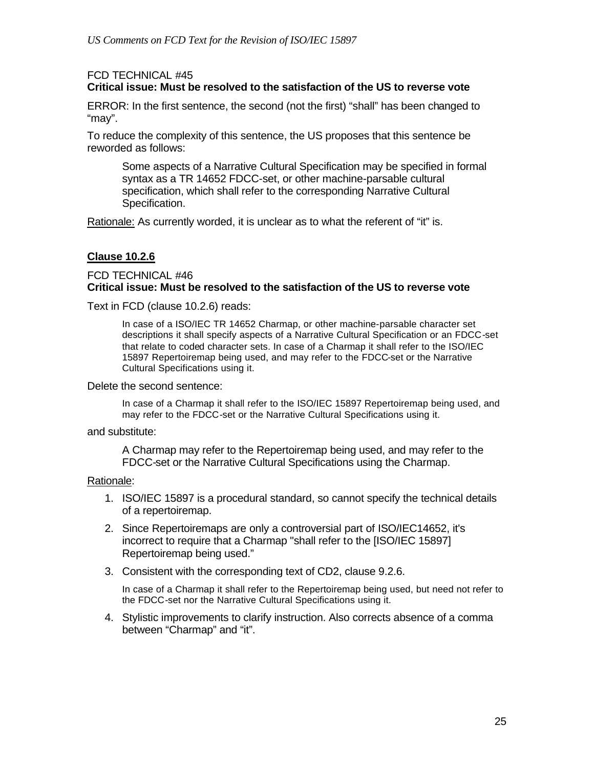# FCD TECHNICAL #45

# **Critical issue: Must be resolved to the satisfaction of the US to reverse vote**

ERROR: In the first sentence, the second (not the first) "shall" has been changed to "may".

To reduce the complexity of this sentence, the US proposes that this sentence be reworded as follows:

Some aspects of a Narrative Cultural Specification may be specified in formal syntax as a TR 14652 FDCC-set, or other machine-parsable cultural specification, which shall refer to the corresponding Narrative Cultural Specification.

Rationale: As currently worded, it is unclear as to what the referent of "it" is.

### **Clause 10.2.6**

### FCD TECHNICAL #46 **Critical issue: Must be resolved to the satisfaction of the US to reverse vote**

Text in FCD (clause 10.2.6) reads:

In case of a ISO/IEC TR 14652 Charmap, or other machine-parsable character set descriptions it shall specify aspects of a Narrative Cultural Specification or an FDCC-set that relate to coded character sets. In case of a Charmap it shall refer to the ISO/IEC 15897 Repertoiremap being used, and may refer to the FDCC-set or the Narrative Cultural Specifications using it.

#### Delete the second sentence:

In case of a Charmap it shall refer to the ISO/IEC 15897 Repertoiremap being used, and may refer to the FDCC-set or the Narrative Cultural Specifications using it.

#### and substitute:

A Charmap may refer to the Repertoiremap being used, and may refer to the FDCC-set or the Narrative Cultural Specifications using the Charmap.

### Rationale:

- 1. ISO/IEC 15897 is a procedural standard, so cannot specify the technical details of a repertoiremap.
- 2. Since Repertoiremaps are only a controversial part of ISO/IEC14652, it's incorrect to require that a Charmap "shall refer to the [ISO/IEC 15897] Repertoiremap being used."
- 3. Consistent with the corresponding text of CD2, clause 9.2.6.

In case of a Charmap it shall refer to the Repertoiremap being used, but need not refer to the FDCC-set nor the Narrative Cultural Specifications using it.

4. Stylistic improvements to clarify instruction. Also corrects absence of a comma between "Charmap" and "it".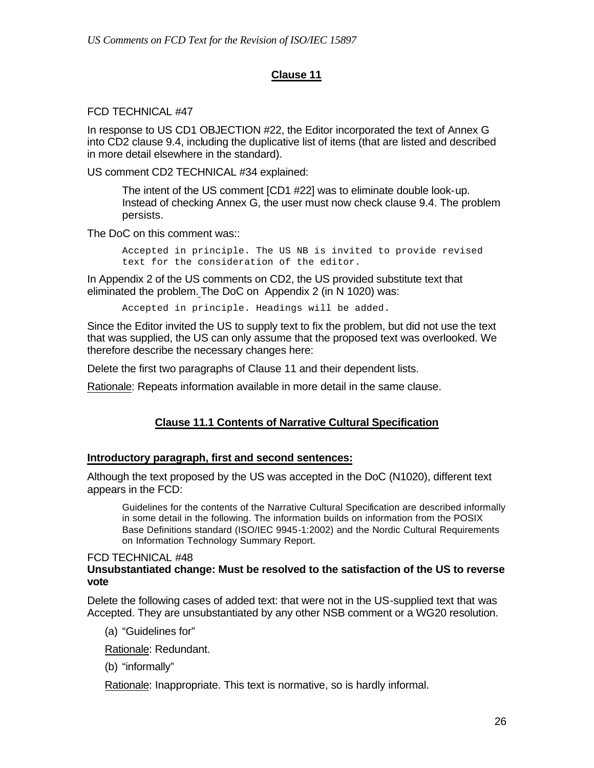# **Clause 11**

### FCD TECHNICAL #47

In response to US CD1 OBJECTION #22, the Editor incorporated the text of Annex G into CD2 clause 9.4, including the duplicative list of items (that are listed and described in more detail elsewhere in the standard).

US comment CD2 TECHNICAL #34 explained:

The intent of the US comment [CD1 #22] was to eliminate double look-up. Instead of checking Annex G, the user must now check clause 9.4. The problem persists.

The DoC on this comment was::

Accepted in principle. The US NB is invited to provide revised text for the consideration of the editor.

In Appendix 2 of the US comments on CD2, the US provided substitute text that eliminated the problem. The DoC on Appendix 2 (in N 1020) was:

Accepted in principle. Headings will be added.

Since the Editor invited the US to supply text to fix the problem, but did not use the text that was supplied, the US can only assume that the proposed text was overlooked. We therefore describe the necessary changes here:

Delete the first two paragraphs of Clause 11 and their dependent lists.

Rationale: Repeats information available in more detail in the same clause.

# **Clause 11.1 Contents of Narrative Cultural Specification**

### **Introductory paragraph, first and second sentences:**

Although the text proposed by the US was accepted in the DoC (N1020), different text appears in the FCD:

Guidelines for the contents of the Narrative Cultural Specification are described informally in some detail in the following. The information builds on information from the POSIX Base Definitions standard (ISO/IEC 9945-1:2002) and the Nordic Cultural Requirements on Information Technology Summary Report.

#### FCD TECHNICAL #48 **Unsubstantiated change: Must be resolved to the satisfaction of the US to reverse vote**

Delete the following cases of added text: that were not in the US-supplied text that was Accepted. They are unsubstantiated by any other NSB comment or a WG20 resolution.

(a) "Guidelines for"

Rationale: Redundant.

(b) "informally"

Rationale: Inappropriate. This text is normative, so is hardly informal.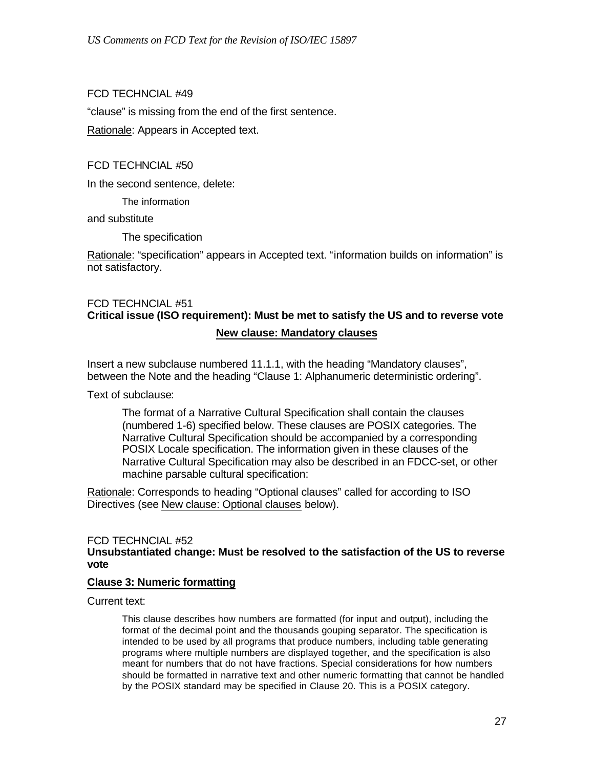### FCD TECHNCIAL #49

"clause" is missing from the end of the first sentence.

Rationale: Appears in Accepted text.

FCD TECHNCIAL #50

In the second sentence, delete:

The information

and substitute

The specification

Rationale: "specification" appears in Accepted text. "information builds on information" is not satisfactory.

# FCD TECHNCIAL #51 **Critical issue (ISO requirement): Must be met to satisfy the US and to reverse vote New clause: Mandatory clauses**

Insert a new subclause numbered 11.1.1, with the heading "Mandatory clauses", between the Note and the heading "Clause 1: Alphanumeric deterministic ordering".

Text of subclause:

The format of a Narrative Cultural Specification shall contain the clauses (numbered 1-6) specified below. These clauses are POSIX categories. The Narrative Cultural Specification should be accompanied by a corresponding POSIX Locale specification. The information given in these clauses of the Narrative Cultural Specification may also be described in an FDCC-set, or other machine parsable cultural specification:

Rationale: Corresponds to heading "Optional clauses" called for according to ISO Directives (see New clause: Optional clauses below).

#### FCD TECHNCIAL #52 **Unsubstantiated change: Must be resolved to the satisfaction of the US to reverse vote**

### **Clause 3: Numeric formatting**

Current text:

This clause describes how numbers are formatted (for input and output), including the format of the decimal point and the thousands gouping separator. The specification is intended to be used by all programs that produce numbers, including table generating programs where multiple numbers are displayed together, and the specification is also meant for numbers that do not have fractions. Special considerations for how numbers should be formatted in narrative text and other numeric formatting that cannot be handled by the POSIX standard may be specified in Clause 20. This is a POSIX category.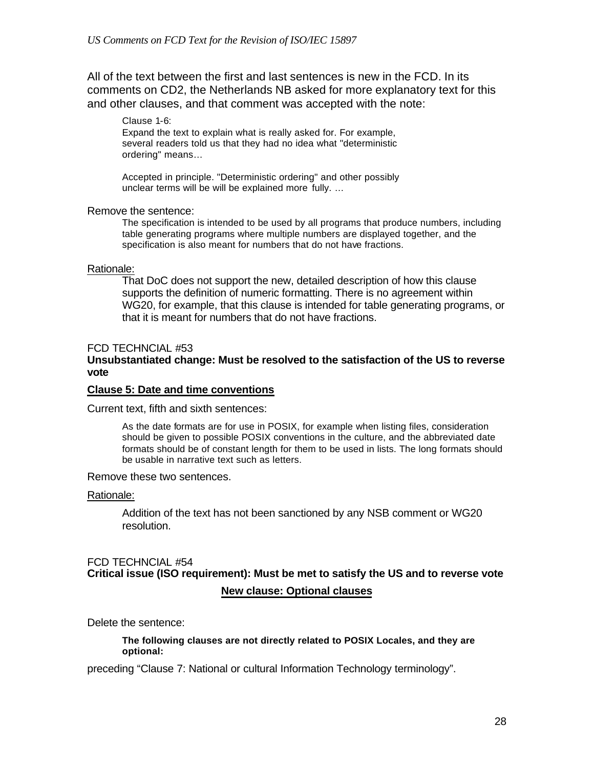All of the text between the first and last sentences is new in the FCD. In its comments on CD2, the Netherlands NB asked for more explanatory text for this and other clauses, and that comment was accepted with the note:

Clause 1-6: Expand the text to explain what is really asked for. For example, several readers told us that they had no idea what "deterministic ordering" means…

Accepted in principle. "Deterministic ordering" and other possibly unclear terms will be will be explained more fully. …

### Remove the sentence:

The specification is intended to be used by all programs that produce numbers, including table generating programs where multiple numbers are displayed together, and the specification is also meant for numbers that do not have fractions.

### Rationale:

That DoC does not support the new, detailed description of how this clause supports the definition of numeric formatting. There is no agreement within WG20, for example, that this clause is intended for table generating programs, or that it is meant for numbers that do not have fractions.

### FCD TECHNCIAL #53

### **Unsubstantiated change: Must be resolved to the satisfaction of the US to reverse vote**

#### **Clause 5: Date and time conventions**

Current text, fifth and sixth sentences:

As the date formats are for use in POSIX, for example when listing files, consideration should be given to possible POSIX conventions in the culture, and the abbreviated date formats should be of constant length for them to be used in lists. The long formats should be usable in narrative text such as letters.

Remove these two sentences.

#### Rationale:

Addition of the text has not been sanctioned by any NSB comment or WG20 resolution.

# FCD TECHNCIAL #54 **Critical issue (ISO requirement): Must be met to satisfy the US and to reverse vote New clause: Optional clauses**

Delete the sentence:

#### **The following clauses are not directly related to POSIX Locales, and they are optional:**

preceding "Clause 7: National or cultural Information Technology terminology".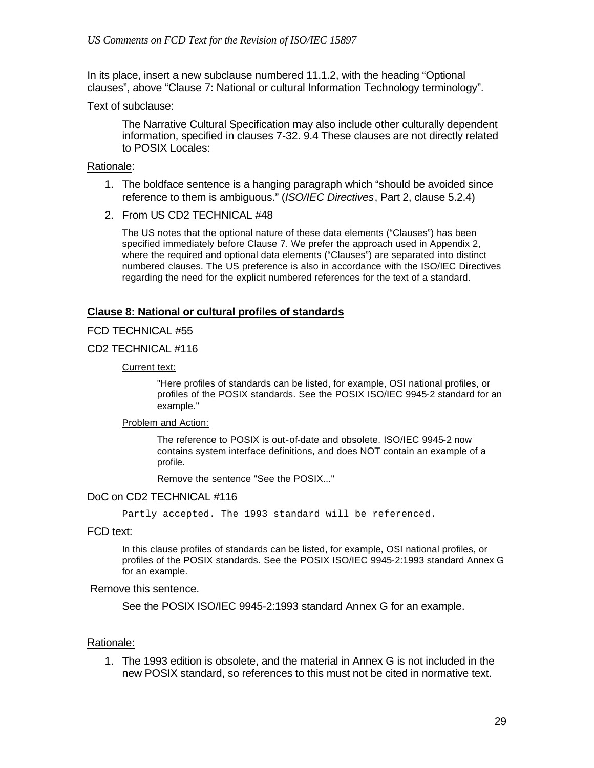In its place, insert a new subclause numbered 11.1.2, with the heading "Optional clauses", above "Clause 7: National or cultural Information Technology terminology".

Text of subclause:

The Narrative Cultural Specification may also include other culturally dependent information, specified in clauses 7-32. 9.4 These clauses are not directly related to POSIX Locales:

### Rationale:

- 1. The boldface sentence is a hanging paragraph which "should be avoided since reference to them is ambiguous." (*ISO/IEC Directives*, Part 2, clause 5.2.4)
- 2. From US CD2 TECHNICAL #48

The US notes that the optional nature of these data elements ("Clauses") has been specified immediately before Clause 7. We prefer the approach used in Appendix 2, where the required and optional data elements ("Clauses") are separated into distinct numbered clauses. The US preference is also in accordance with the ISO/IEC Directives regarding the need for the explicit numbered references for the text of a standard.

### **Clause 8: National or cultural profiles of standards**

### FCD TECHNICAL #55

#### CD2 TECHNICAL #116

#### Current text:

"Here profiles of standards can be listed, for example, OSI national profiles, or profiles of the POSIX standards. See the POSIX ISO/IEC 9945-2 standard for an example."

#### Problem and Action:

The reference to POSIX is out-of-date and obsolete. ISO/IEC 9945-2 now contains system interface definitions, and does NOT contain an example of a profile.

Remove the sentence "See the POSIX..."

### DoC on CD2 TECHNICAL #116

Partly accepted. The 1993 standard will be referenced.

FCD text:

In this clause profiles of standards can be listed, for example, OSI national profiles, or profiles of the POSIX standards. See the POSIX ISO/IEC 9945-2:1993 standard Annex G for an example.

#### Remove this sentence.

See the POSIX ISO/IEC 9945-2:1993 standard Annex G for an example.

#### Rationale:

1. The 1993 edition is obsolete, and the material in Annex G is not included in the new POSIX standard, so references to this must not be cited in normative text.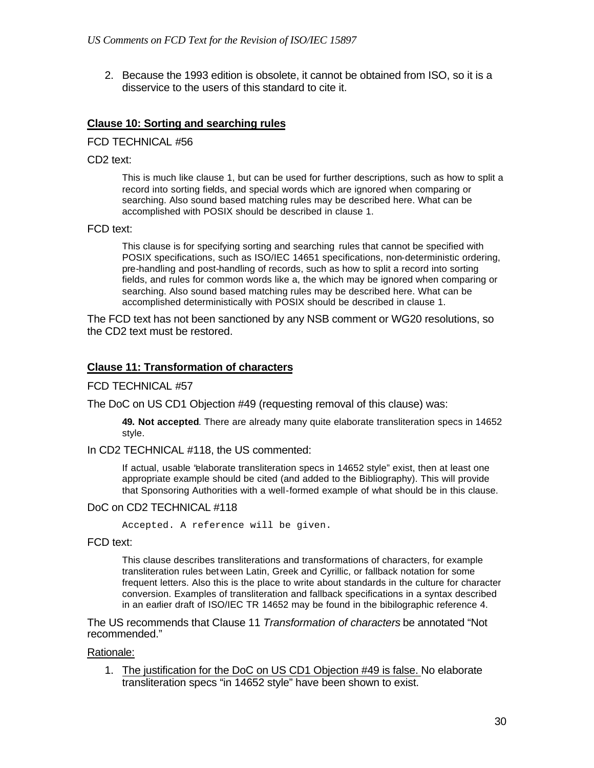2. Because the 1993 edition is obsolete, it cannot be obtained from ISO, so it is a disservice to the users of this standard to cite it.

### **Clause 10: Sorting and searching rules**

FCD TECHNICAL #56

CD2 text:

This is much like clause 1, but can be used for further descriptions, such as how to split a record into sorting fields, and special words which are ignored when comparing or searching. Also sound based matching rules may be described here. What can be accomplished with POSIX should be described in clause 1.

#### FCD text:

This clause is for specifying sorting and searching rules that cannot be specified with POSIX specifications, such as ISO/IEC 14651 specifications, non-deterministic ordering, pre-handling and post-handling of records, such as how to split a record into sorting fields, and rules for common words like a, the which may be ignored when comparing or searching. Also sound based matching rules may be described here. What can be accomplished deterministically with POSIX should be described in clause 1.

The FCD text has not been sanctioned by any NSB comment or WG20 resolutions, so the CD2 text must be restored.

### **Clause 11: Transformation of characters**

FCD TECHNICAL #57

The DoC on US CD1 Objection #49 (requesting removal of this clause) was:

**49. Not accepted**. There are already many quite elaborate transliteration specs in 14652 style.

In CD2 TECHNICAL #118, the US commented:

If actual, usable "elaborate transliteration specs in 14652 style" exist, then at least one appropriate example should be cited (and added to the Bibliography). This will provide that Sponsoring Authorities with a well-formed example of what should be in this clause.

### DoC on CD2 TECHNICAL #118

Accepted. A reference will be given.

FCD text:

This clause describes transliterations and transformations of characters, for example transliteration rules bet ween Latin, Greek and Cyrillic, or fallback notation for some frequent letters. Also this is the place to write about standards in the culture for character conversion. Examples of transliteration and fallback specifications in a syntax described in an earlier draft of ISO/IEC TR 14652 may be found in the bibilographic reference 4.

The US recommends that Clause 11 *Transformation of characters* be annotated "Not recommended."

### Rationale:

1. The justification for the DoC on US CD1 Objection #49 is false. No elaborate transliteration specs "in 14652 style" have been shown to exist.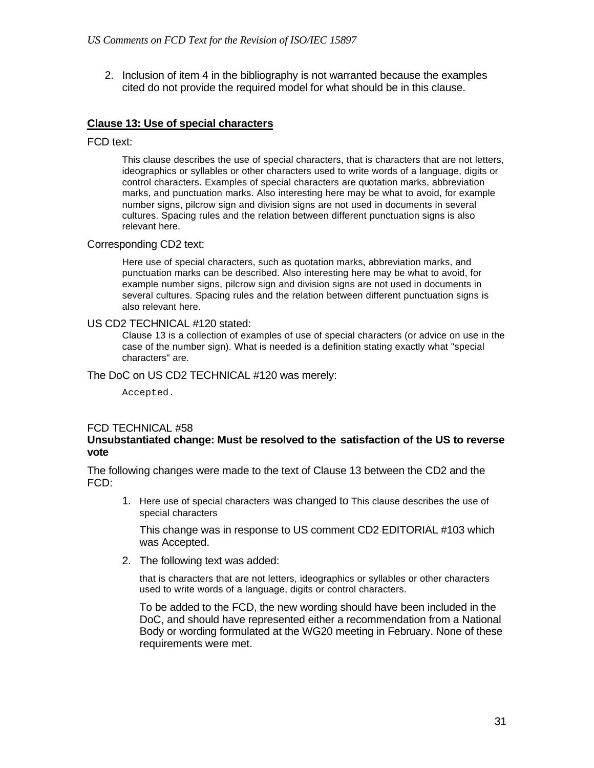2. Inclusion of item 4 in the bibliography is not warranted because the examples cited do not provide the required model for what should be in this clause.

### **Clause 13: Use of special characters**

#### FCD text:

This clause describes the use of special characters, that is characters that are not letters, ideographics or syllables or other characters used to write words of a language, digits or control characters. Examples of special characters are quotation marks, abbreviation marks, and punctuation marks. Also interesting here may be what to avoid, for example number signs, pilcrow sign and division signs are not used in documents in several cultures. Spacing rules and the relation between different punctuation signs is also relevant here.

#### Corresponding CD2 text:

Here use of special characters, such as quotation marks, abbreviation marks, and punctuation marks can be described. Also interesting here may be what to avoid, for example number signs, pilcrow sign and division signs are not used in documents in several cultures. Spacing rules and the relation between different punctuation signs is also relevant here.

#### US CD2 TECHNICAL #120 stated:

Clause 13 is a collection of examples of use of special characters (or advice on use in the case of the number sign). What is needed is a definition stating exactly what "special characters" are.

The DoC on US CD2 TECHNICAL #120 was merely:

Accepted.

### FCD TECHNICAL #58

### **Unsubstantiated change: Must be resolved to the satisfaction of the US to reverse vote**

The following changes were made to the text of Clause 13 between the CD2 and the FCD:

1. Here use of special characters was changed to This clause describes the use of special characters

This change was in response to US comment CD2 EDITORIAL #103 which was Accepted.

2. The following text was added:

that is characters that are not letters, ideographics or syllables or other characters used to write words of a language, digits or control characters.

To be added to the FCD, the new wording should have been included in the DoC, and should have represented either a recommendation from a National Body or wording formulated at the WG20 meeting in February. None of these requirements were met.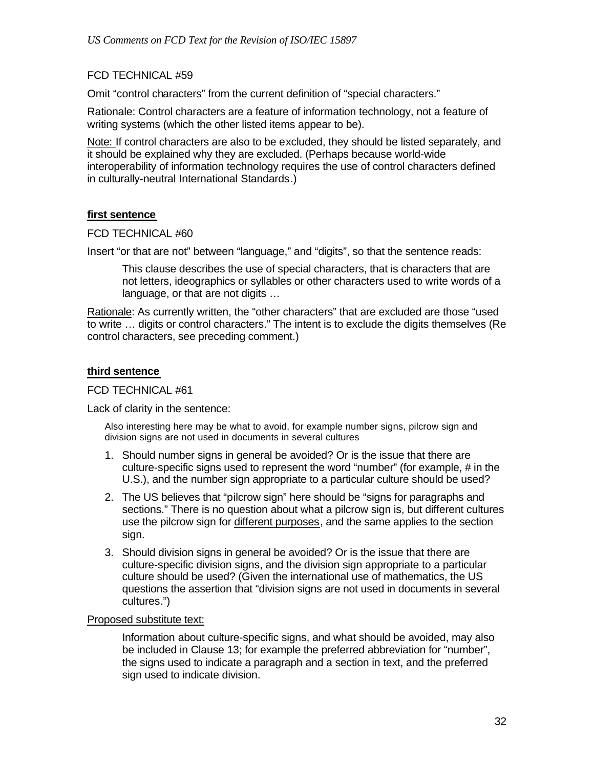### FCD TECHNICAL #59

Omit "control characters" from the current definition of "special characters."

Rationale: Control characters are a feature of information technology, not a feature of writing systems (which the other listed items appear to be).

Note: If control characters are also to be excluded, they should be listed separately, and it should be explained why they are excluded. (Perhaps because world-wide interoperability of information technology requires the use of control characters defined in culturally-neutral International Standards.)

### **first sentence**

FCD TECHNICAL #60

Insert "or that are not" between "language," and "digits", so that the sentence reads:

This clause describes the use of special characters, that is characters that are not letters, ideographics or syllables or other characters used to write words of a language, or that are not digits …

Rationale: As currently written, the "other characters" that are excluded are those "used to write … digits or control characters." The intent is to exclude the digits themselves (Re control characters, see preceding comment.)

### **third sentence**

### FCD TECHNICAL #61

Lack of clarity in the sentence:

Also interesting here may be what to avoid, for example number signs, pilcrow sign and division signs are not used in documents in several cultures

- 1. Should number signs in general be avoided? Or is the issue that there are culture-specific signs used to represent the word "number" (for example, # in the U.S.), and the number sign appropriate to a particular culture should be used?
- 2. The US believes that "pilcrow sign" here should be "signs for paragraphs and sections." There is no question about what a pilcrow sign is, but different cultures use the pilcrow sign for different purposes, and the same applies to the section sign.
- 3. Should division signs in general be avoided? Or is the issue that there are culture-specific division signs, and the division sign appropriate to a particular culture should be used? (Given the international use of mathematics, the US questions the assertion that "division signs are not used in documents in several cultures.")

### Proposed substitute text:

Information about culture-specific signs, and what should be avoided, may also be included in Clause 13; for example the preferred abbreviation for "number", the signs used to indicate a paragraph and a section in text, and the preferred sign used to indicate division.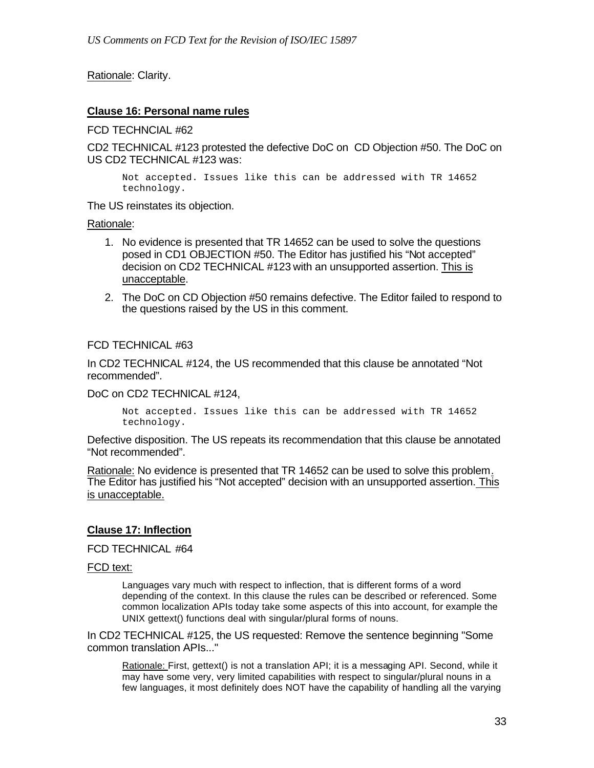# Rationale: Clarity.

### **Clause 16: Personal name rules**

FCD TECHNCIAL #62

CD2 TECHNICAL #123 protested the defective DoC on CD Objection #50. The DoC on US CD2 TECHNICAL #123 was:

Not accepted. Issues like this can be addressed with TR 14652 technology.

The US reinstates its objection.

Rationale:

- 1. No evidence is presented that TR 14652 can be used to solve the questions posed in CD1 OBJECTION #50. The Editor has justified his "Not accepted" decision on CD2 TECHNICAL #123 with an unsupported assertion. This is unacceptable.
- 2. The DoC on CD Objection #50 remains defective. The Editor failed to respond to the questions raised by the US in this comment.

### FCD TECHNICAL #63

In CD2 TECHNICAL #124, the US recommended that this clause be annotated "Not recommended".

DoC on CD2 TECHNICAL #124,

Not accepted. Issues like this can be addressed with TR 14652 technology.

Defective disposition. The US repeats its recommendation that this clause be annotated "Not recommended".

Rationale: No evidence is presented that TR 14652 can be used to solve this problem. The Editor has justified his "Not accepted" decision with an unsupported assertion. This is unacceptable.

### **Clause 17: Inflection**

FCD TECHNICAL #64

FCD text:

Languages vary much with respect to inflection, that is different forms of a word depending of the context. In this clause the rules can be described or referenced. Some common localization APIs today take some aspects of this into account, for example the UNIX gettext() functions deal with singular/plural forms of nouns.

In CD2 TECHNICAL #125, the US requested: Remove the sentence beginning "Some common translation APIs..."

Rationale: First, gettext() is not a translation API; it is a messaging API. Second, while it may have some very, very limited capabilities with respect to singular/plural nouns in a few languages, it most definitely does NOT have the capability of handling all the varying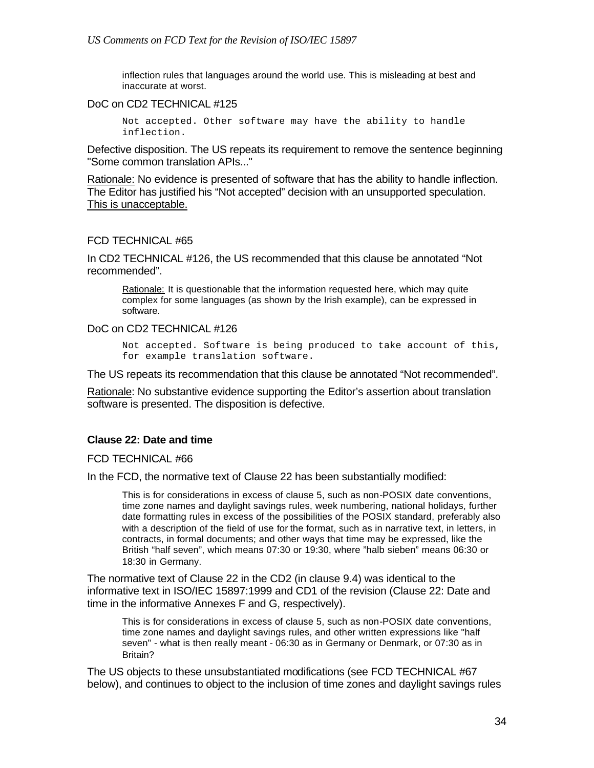inflection rules that languages around the world use. This is misleading at best and inaccurate at worst.

### DoC on CD2 TECHNICAL #125

Not accepted. Other software may have the ability to handle inflection.

Defective disposition. The US repeats its requirement to remove the sentence beginning "Some common translation APIs..."

Rationale: No evidence is presented of software that has the ability to handle inflection. The Editor has justified his "Not accepted" decision with an unsupported speculation. This is unacceptable.

### FCD TECHNICAL #65

In CD2 TECHNICAL #126, the US recommended that this clause be annotated "Not recommended".

Rationale: It is questionable that the information requested here, which may quite complex for some languages (as shown by the Irish example), can be expressed in software.

DoC on CD2 TECHNICAL #126

Not accepted. Software is being produced to take account of this, for example translation software.

The US repeats its recommendation that this clause be annotated "Not recommended".

Rationale: No substantive evidence supporting the Editor's assertion about translation software is presented. The disposition is defective.

### **Clause 22: Date and time**

FCD TECHNICAL #66

In the FCD, the normative text of Clause 22 has been substantially modified:

This is for considerations in excess of clause 5, such as non-POSIX date conventions, time zone names and daylight savings rules, week numbering, national holidays, further date formatting rules in excess of the possibilities of the POSIX standard, preferably also with a description of the field of use for the format, such as in narrative text, in letters, in contracts, in formal documents; and other ways that time may be expressed, like the British "half seven", which means 07:30 or 19:30, where "halb sieben" means 06:30 or 18:30 in Germany.

The normative text of Clause 22 in the CD2 (in clause 9.4) was identical to the informative text in ISO/IEC 15897:1999 and CD1 of the revision (Clause 22: Date and time in the informative Annexes F and G, respectively).

This is for considerations in excess of clause 5, such as non-POSIX date conventions, time zone names and daylight savings rules, and other written expressions like "half seven" - what is then really meant - 06:30 as in Germany or Denmark, or 07:30 as in Britain?

The US objects to these unsubstantiated modifications (see FCD TECHNICAL #67 below), and continues to object to the inclusion of time zones and daylight savings rules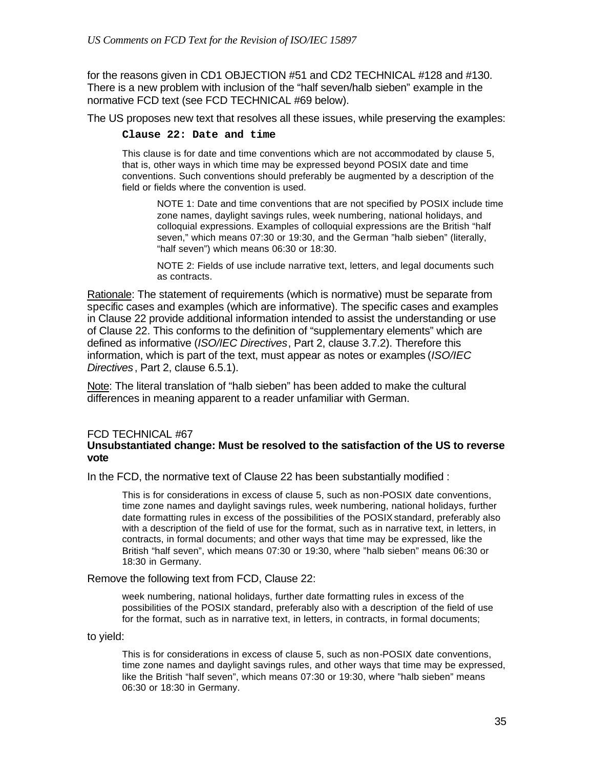for the reasons given in CD1 OBJECTION #51 and CD2 TECHNICAL #128 and #130. There is a new problem with inclusion of the "half seven/halb sieben" example in the normative FCD text (see FCD TECHNICAL #69 below).

The US proposes new text that resolves all these issues, while preserving the examples:

#### **Clause 22: Date and time**

This clause is for date and time conventions which are not accommodated by clause 5, that is, other ways in which time may be expressed beyond POSIX date and time conventions. Such conventions should preferably be augmented by a description of the field or fields where the convention is used.

NOTE 1: Date and time conventions that are not specified by POSIX include time zone names, daylight savings rules, week numbering, national holidays, and colloquial expressions. Examples of colloquial expressions are the British "half seven," which means 07:30 or 19:30, and the German "halb sieben" (literally, "half seven") which means 06:30 or 18:30.

NOTE 2: Fields of use include narrative text, letters, and legal documents such as contracts.

Rationale: The statement of requirements (which is normative) must be separate from specific cases and examples (which are informative). The specific cases and examples in Clause 22 provide additional information intended to assist the understanding or use of Clause 22. This conforms to the definition of "supplementary elements" which are defined as informative (*ISO/IEC Directives*, Part 2, clause 3.7.2). Therefore this information, which is part of the text, must appear as notes or examples (*ISO/IEC Directives*, Part 2, clause 6.5.1).

Note: The literal translation of "halb sieben" has been added to make the cultural differences in meaning apparent to a reader unfamiliar with German.

#### FCD TECHNICAL #67 **Unsubstantiated change: Must be resolved to the satisfaction of the US to reverse vote**

In the FCD, the normative text of Clause 22 has been substantially modified :

This is for considerations in excess of clause 5, such as non-POSIX date conventions, time zone names and daylight savings rules, week numbering, national holidays, further date formatting rules in excess of the possibilities of the POSIX standard, preferably also with a description of the field of use for the format, such as in narrative text, in letters, in contracts, in formal documents; and other ways that time may be expressed, like the British "half seven", which means 07:30 or 19:30, where "halb sieben" means 06:30 or 18:30 in Germany.

Remove the following text from FCD, Clause 22:

week numbering, national holidays, further date formatting rules in excess of the possibilities of the POSIX standard, preferably also with a description of the field of use for the format, such as in narrative text, in letters, in contracts, in formal documents;

to yield:

This is for considerations in excess of clause 5, such as non-POSIX date conventions, time zone names and daylight savings rules, and other ways that time may be expressed, like the British "half seven", which means 07:30 or 19:30, where "halb sieben" means 06:30 or 18:30 in Germany.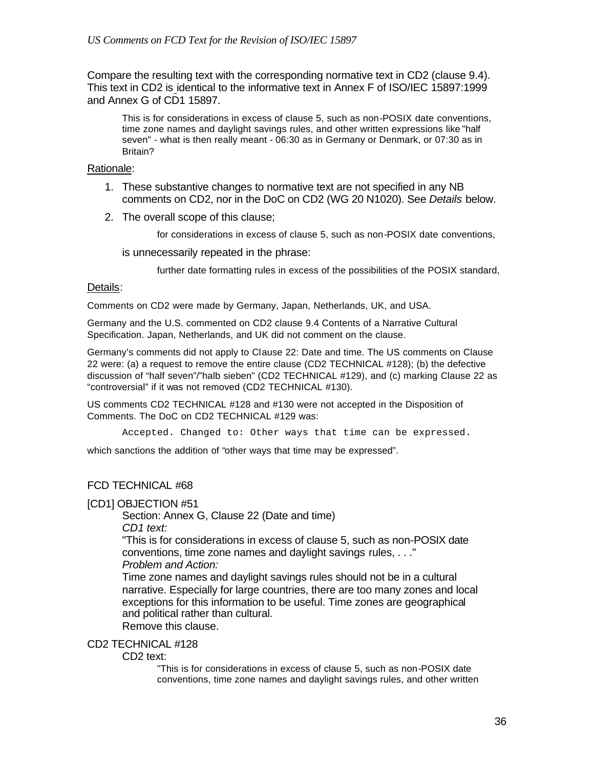Compare the resulting text with the corresponding normative text in CD2 (clause 9.4). This text in CD2 is identical to the informative text in Annex F of ISO/IEC 15897:1999 and Annex G of CD1 15897.

This is for considerations in excess of clause 5, such as non-POSIX date conventions, time zone names and daylight savings rules, and other written expressions like "half seven" - what is then really meant - 06:30 as in Germany or Denmark, or 07:30 as in Britain?

#### Rationale:

- 1. These substantive changes to normative text are not specified in any NB comments on CD2, nor in the DoC on CD2 (WG 20 N1020). See *Details* below.
- 2. The overall scope of this clause;

for considerations in excess of clause 5, such as non-POSIX date conventions,

is unnecessarily repeated in the phrase:

further date formatting rules in excess of the possibilities of the POSIX standard,

#### Details:

Comments on CD2 were made by Germany, Japan, Netherlands, UK, and USA.

Germany and the U.S. commented on CD2 clause 9.4 Contents of a Narrative Cultural Specification. Japan, Netherlands, and UK did not comment on the clause.

Germany's comments did not apply to Clause 22: Date and time. The US comments on Clause 22 were: (a) a request to remove the entire clause (CD2 TECHNICAL #128); (b) the defective discussion of "half seven"/"halb sieben" (CD2 TECHNICAL #129), and (c) marking Clause 22 as "controversial" if it was not removed (CD2 TECHNICAL #130).

US comments CD2 TECHNICAL #128 and #130 were not accepted in the Disposition of Comments. The DoC on CD2 TECHNICAL #129 was:

Accepted. Changed to: Other ways that time can be expressed.

which sanctions the addition of "other ways that time may be expressed".

### FCD TECHNICAL #68

[CD1] OBJECTION #51

Section: Annex G, Clause 22 (Date and time)

*CD1 text:*

"This is for considerations in excess of clause 5, such as non-POSIX date conventions, time zone names and daylight savings rules, . . ."

*Problem and Action:*

Time zone names and daylight savings rules should not be in a cultural narrative. Especially for large countries, there are too many zones and local exceptions for this information to be useful. Time zones are geographical and political rather than cultural.

Remove this clause.

### CD2 TECHNICAL #128

#### CD2 text:

"This is for considerations in excess of clause 5, such as non-POSIX date conventions, time zone names and daylight savings rules, and other written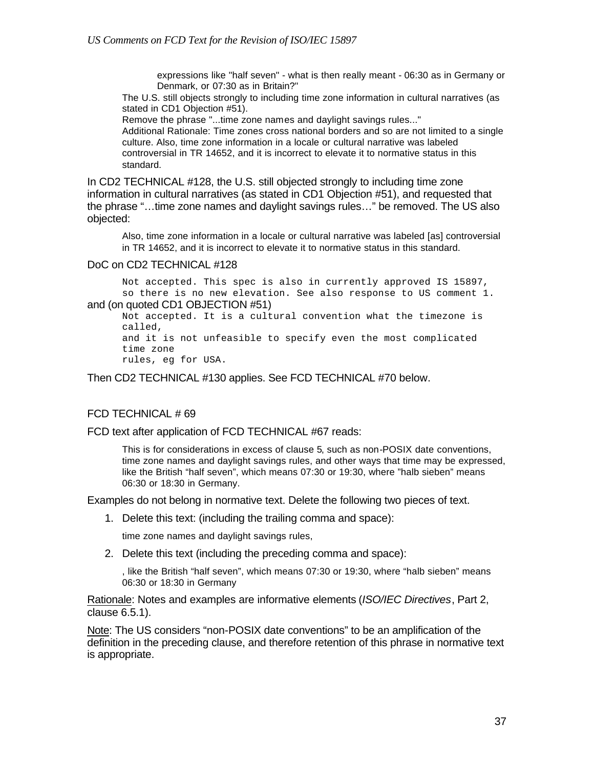expressions like "half seven" - what is then really meant - 06:30 as in Germany or Denmark, or 07:30 as in Britain?"

The U.S. still objects strongly to including time zone information in cultural narratives (as stated in CD1 Objection #51).

Remove the phrase "...time zone names and daylight savings rules..."

Additional Rationale: Time zones cross national borders and so are not limited to a single culture. Also, time zone information in a locale or cultural narrative was labeled controversial in TR 14652, and it is incorrect to elevate it to normative status in this standard.

In CD2 TECHNICAL #128, the U.S. still objected strongly to including time zone information in cultural narratives (as stated in CD1 Objection #51), and requested that the phrase "…time zone names and daylight savings rules…" be removed. The US also objected:

Also, time zone information in a locale or cultural narrative was labeled [as] controversial in TR 14652, and it is incorrect to elevate it to normative status in this standard.

#### DoC on CD2 TECHNICAL #128

Not accepted. This spec is also in currently approved IS 15897, so there is no new elevation. See also response to US comment 1. and (on quoted CD1 OBJECTION #51)

Not accepted. It is a cultural convention what the timezone is called, and it is not unfeasible to specify even the most complicated time zone rules, eg for USA.

Then CD2 TECHNICAL #130 applies. See FCD TECHNICAL #70 below.

#### FCD TECHNICAL # 69

FCD text after application of FCD TECHNICAL #67 reads:

This is for considerations in excess of clause 5, such as non-POSIX date conventions, time zone names and daylight savings rules, and other ways that time may be expressed, like the British "half seven", which means 07:30 or 19:30, where "halb sieben" means 06:30 or 18:30 in Germany.

Examples do not belong in normative text. Delete the following two pieces of text.

1. Delete this text: (including the trailing comma and space):

time zone names and daylight savings rules,

2. Delete this text (including the preceding comma and space):

, like the British "half seven", which means 07:30 or 19:30, where "halb sieben" means 06:30 or 18:30 in Germany

Rationale: Notes and examples are informative elements (*ISO/IEC Directives*, Part 2, clause 6.5.1).

Note: The US considers "non-POSIX date conventions" to be an amplification of the definition in the preceding clause, and therefore retention of this phrase in normative text is appropriate.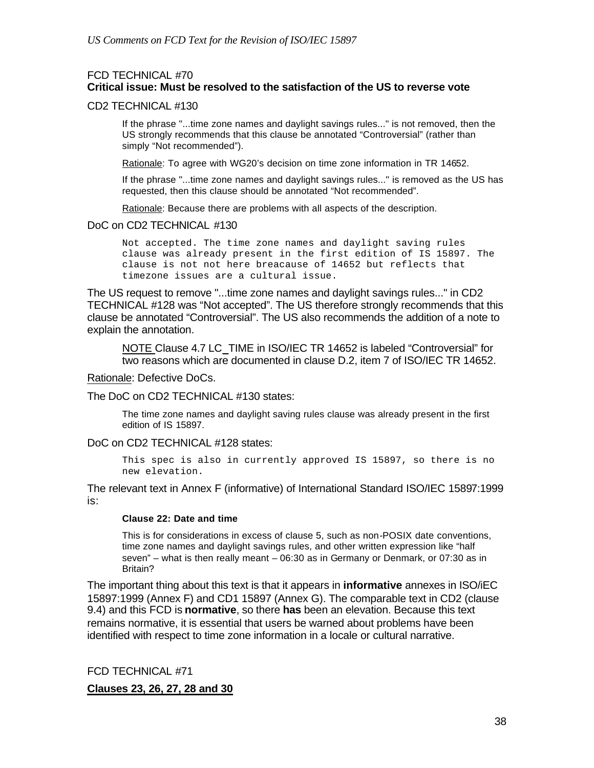### FCD TECHNICAL #70 **Critical issue: Must be resolved to the satisfaction of the US to reverse vote**

#### CD2 TECHNICAL #130

If the phrase "...time zone names and daylight savings rules..." is not removed, then the US strongly recommends that this clause be annotated "Controversial" (rather than simply "Not recommended").

Rationale: To agree with WG20's decision on time zone information in TR 14652.

If the phrase "...time zone names and daylight savings rules..." is removed as the US has requested, then this clause should be annotated "Not recommended".

Rationale: Because there are problems with all aspects of the description.

#### DoC on CD2 TECHNICAL #130

Not accepted. The time zone names and daylight saving rules clause was already present in the first edition of IS 15897. The clause is not not here breacause of 14652 but reflects that timezone issues are a cultural issue.

The US request to remove "...time zone names and daylight savings rules..." in CD2 TECHNICAL #128 was "Not accepted". The US therefore strongly recommends that this clause be annotated "Controversial". The US also recommends the addition of a note to explain the annotation.

NOTE Clause 4.7 LC\_TIME in ISO/IEC TR 14652 is labeled "Controversial" for two reasons which are documented in clause D.2, item 7 of ISO/IEC TR 14652.

Rationale: Defective DoCs.

The DoC on CD2 TECHNICAL #130 states:

The time zone names and daylight saving rules clause was already present in the first edition of IS 15897.

DoC on CD2 TECHNICAL #128 states:

This spec is also in currently approved IS 15897, so there is no new elevation.

The relevant text in Annex F (informative) of International Standard ISO/IEC 15897:1999 is:

#### **Clause 22: Date and time**

This is for considerations in excess of clause 5, such as non-POSIX date conventions, time zone names and daylight savings rules, and other written expression like "half seven" – what is then really meant – 06:30 as in Germany or Denmark, or 07:30 as in Britain?

The important thing about this text is that it appears in **informative** annexes in ISO/iEC 15897:1999 (Annex F) and CD1 15897 (Annex G). The comparable text in CD2 (clause 9.4) and this FCD is **normative**, so there **has** been an elevation. Because this text remains normative, it is essential that users be warned about problems have been identified with respect to time zone information in a locale or cultural narrative.

FCD TECHNICAL #71

**Clauses 23, 26, 27, 28 and 30**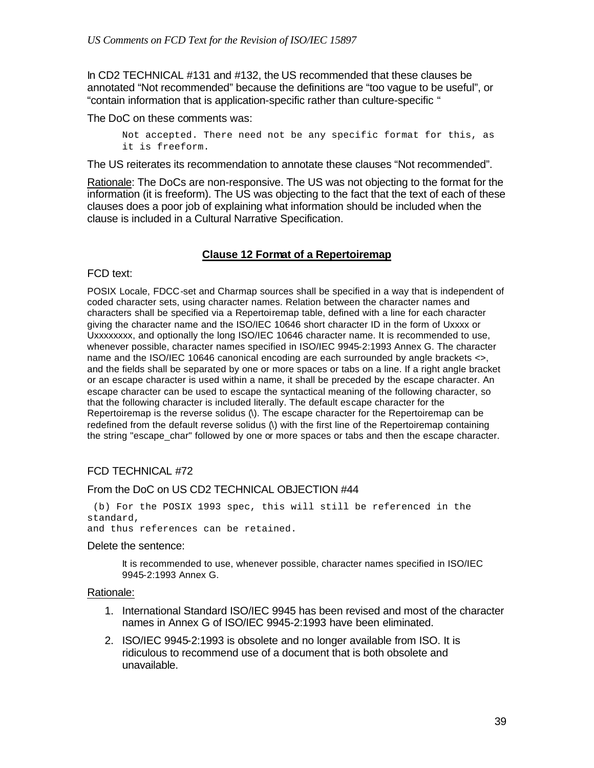In CD2 TECHNICAL #131 and #132, the US recommended that these clauses be annotated "Not recommended" because the definitions are "too vague to be useful", or "contain information that is application-specific rather than culture-specific "

The DoC on these comments was:

Not accepted. There need not be any specific format for this, as it is freeform.

The US reiterates its recommendation to annotate these clauses "Not recommended".

Rationale: The DoCs are non-responsive. The US was not objecting to the format for the information (it is freeform). The US was objecting to the fact that the text of each of these clauses does a poor job of explaining what information should be included when the clause is included in a Cultural Narrative Specification.

### **Clause 12 Format of a Repertoiremap**

#### FCD text:

POSIX Locale, FDCC-set and Charmap sources shall be specified in a way that is independent of coded character sets, using character names. Relation between the character names and characters shall be specified via a Repertoiremap table, defined with a line for each character giving the character name and the ISO/IEC 10646 short character ID in the form of Uxxxx or Uxxxxxxxx, and optionally the long ISO/IEC 10646 character name. It is recommended to use, whenever possible, character names specified in ISO/IEC 9945-2:1993 Annex G. The character name and the ISO/IEC 10646 canonical encoding are each surrounded by angle brackets <>, and the fields shall be separated by one or more spaces or tabs on a line. If a right angle bracket or an escape character is used within a name, it shall be preceded by the escape character. An escape character can be used to escape the syntactical meaning of the following character, so that the following character is included literally. The default escape character for the Repertoiremap is the reverse solidus (\). The escape character for the Repertoiremap can be redefined from the default reverse solidus (\) with the first line of the Repertoiremap containing the string "escape char" followed by one or more spaces or tabs and then the escape character.

### FCD TECHNICAL #72

#### From the DoC on US CD2 TECHNICAL OBJECTION #44

 (b) For the POSIX 1993 spec, this will still be referenced in the standard,

and thus references can be retained.

#### Delete the sentence:

It is recommended to use, whenever possible, character names specified in ISO/IEC 9945-2:1993 Annex G.

#### Rationale:

- 1. International Standard ISO/IEC 9945 has been revised and most of the character names in Annex G of ISO/IEC 9945-2:1993 have been eliminated.
- 2. ISO/IEC 9945-2:1993 is obsolete and no longer available from ISO. It is ridiculous to recommend use of a document that is both obsolete and unavailable.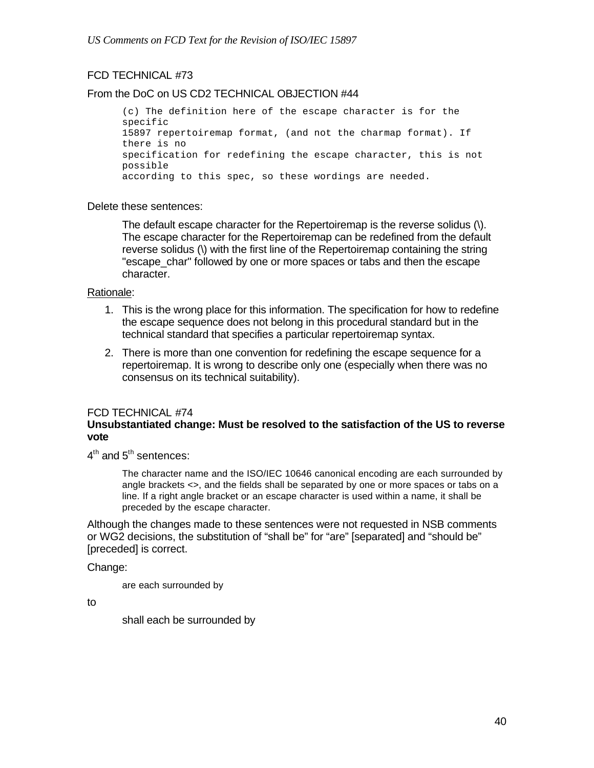## FCD TECHNICAL #73

### From the DoC on US CD2 TECHNICAL OBJECTION #44

```
(c) The definition here of the escape character is for the 
specific
15897 repertoiremap format, (and not the charmap format). If 
there is no
specification for redefining the escape character, this is not 
possible
according to this spec, so these wordings are needed.
```
#### Delete these sentences:

The default escape character for the Repertoiremap is the reverse solidus (\). The escape character for the Repertoiremap can be redefined from the default reverse solidus (\) with the first line of the Repertoiremap containing the string "escape char" followed by one or more spaces or tabs and then the escape character.

### Rationale:

- 1. This is the wrong place for this information. The specification for how to redefine the escape sequence does not belong in this procedural standard but in the technical standard that specifies a particular repertoiremap syntax.
- 2. There is more than one convention for redefining the escape sequence for a repertoiremap. It is wrong to describe only one (especially when there was no consensus on its technical suitability).

### FCD TECHNICAL #74

### **Unsubstantiated change: Must be resolved to the satisfaction of the US to reverse vote**

 $4^{\text{th}}$  and  $5^{\text{th}}$  sentences:

The character name and the ISO/IEC 10646 canonical encoding are each surrounded by angle brackets <>, and the fields shall be separated by one or more spaces or tabs on a line. If a right angle bracket or an escape character is used within a name, it shall be preceded by the escape character.

Although the changes made to these sentences were not requested in NSB comments or WG2 decisions, the substitution of "shall be" for "are" [separated] and "should be" [preceded] is correct.

#### Change:

are each surrounded by

to

shall each be surrounded by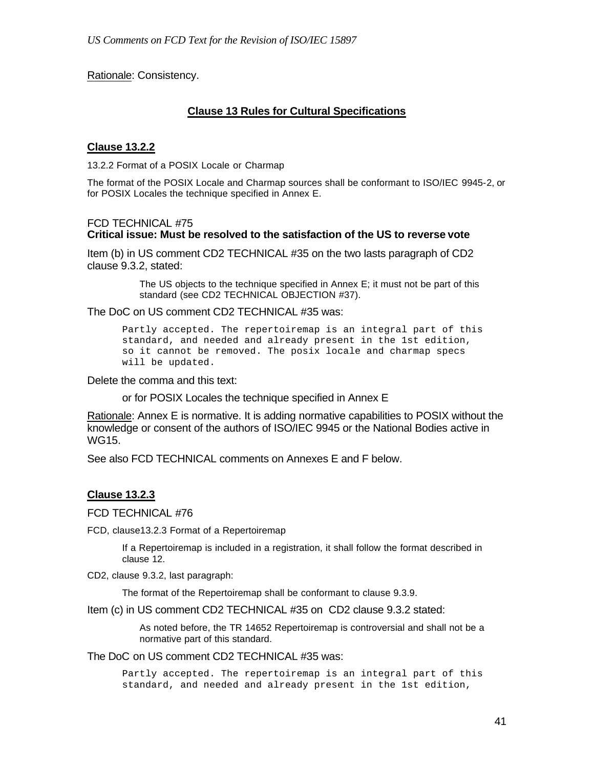Rationale: Consistency.

### **Clause 13 Rules for Cultural Specifications**

### **Clause 13.2.2**

13.2.2 Format of a POSIX Locale or Charmap

The format of the POSIX Locale and Charmap sources shall be conformant to ISO/IEC 9945-2, or for POSIX Locales the technique specified in Annex E.

### FCD TECHNICAL #75 **Critical issue: Must be resolved to the satisfaction of the US to reverse vote**

Item (b) in US comment CD2 TECHNICAL #35 on the two lasts paragraph of CD2 clause 9.3.2, stated:

> The US objects to the technique specified in Annex E; it must not be part of this standard (see CD2 TECHNICAL OBJECTION #37).

The DoC on US comment CD2 TECHNICAL #35 was:

Partly accepted. The repertoiremap is an integral part of this standard, and needed and already present in the 1st edition, so it cannot be removed. The posix locale and charmap specs will be updated.

Delete the comma and this text:

or for POSIX Locales the technique specified in Annex E

Rationale: Annex E is normative. It is adding normative capabilities to POSIX without the knowledge or consent of the authors of ISO/IEC 9945 or the National Bodies active in WG15.

See also FCD TECHNICAL comments on Annexes E and F below.

### **Clause 13.2.3**

#### FCD TECHNICAL #76

FCD, clause13.2.3 Format of a Repertoiremap

If a Repertoiremap is included in a registration, it shall follow the format described in clause 12.

CD2, clause 9.3.2, last paragraph:

The format of the Repertoiremap shall be conformant to clause 9.3.9.

Item (c) in US comment CD2 TECHNICAL #35 on CD2 clause 9.3.2 stated:

As noted before, the TR 14652 Repertoiremap is controversial and shall not be a normative part of this standard.

The DoC on US comment CD2 TECHNICAL #35 was:

Partly accepted. The repertoiremap is an integral part of this standard, and needed and already present in the 1st edition,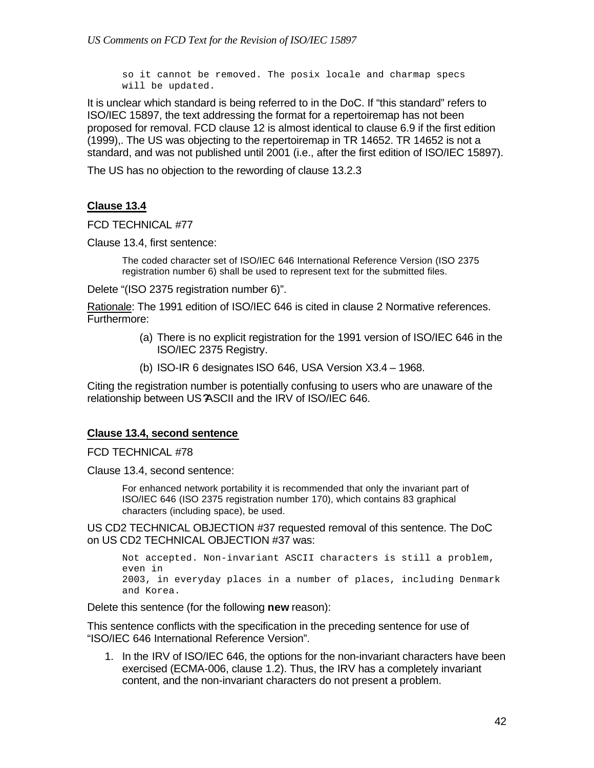so it cannot be removed. The posix locale and charmap specs will be updated.

It is unclear which standard is being referred to in the DoC. If "this standard" refers to ISO/IEC 15897, the text addressing the format for a repertoiremap has not been proposed for removal. FCD clause 12 is almost identical to clause 6.9 if the first edition (1999),. The US was objecting to the repertoiremap in TR 14652. TR 14652 is not a standard, and was not published until 2001 (i.e., after the first edition of ISO/IEC 15897).

The US has no objection to the rewording of clause 13.2.3

## **Clause 13.4**

FCD TECHNICAL #77

Clause 13.4, first sentence:

The coded character set of ISO/IEC 646 International Reference Version (ISO 2375 registration number 6) shall be used to represent text for the submitted files.

Delete "(ISO 2375 registration number 6)".

Rationale: The 1991 edition of ISO/IEC 646 is cited in clause 2 Normative references. Furthermore:

- (a) There is no explicit registration for the 1991 version of ISO/IEC 646 in the ISO/IEC 2375 Registry.
- (b) ISO-IR 6 designates ISO 646, USA Version X3.4 1968.

Citing the registration number is potentially confusing to users who are unaware of the relationship between US?ASCII and the IRV of ISO/IEC 646.

#### **Clause 13.4, second sentence**

FCD TECHNICAL #78

Clause 13.4, second sentence:

For enhanced network portability it is recommended that only the invariant part of ISO/IEC 646 (ISO 2375 registration number 170), which contains 83 graphical characters (including space), be used.

US CD2 TECHNICAL OBJECTION #37 requested removal of this sentence. The DoC on US CD2 TECHNICAL OBJECTION #37 was:

```
Not accepted. Non-invariant ASCII characters is still a problem, 
even in
2003, in everyday places in a number of places, including Denmark 
and Korea.
```
Delete this sentence (for the following **new** reason):

This sentence conflicts with the specification in the preceding sentence for use of "ISO/IEC 646 International Reference Version".

1. In the IRV of ISO/IEC 646, the options for the non-invariant characters have been exercised (ECMA-006, clause 1.2). Thus, the IRV has a completely invariant content, and the non-invariant characters do not present a problem.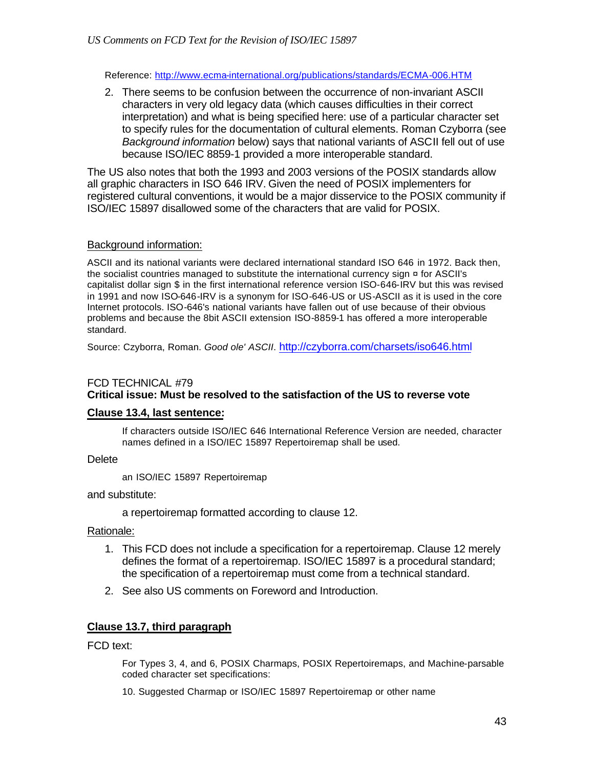Reference: http://www.ecma-international.org/publications/standards/ECMA-006.HTM

2. There seems to be confusion between the occurrence of non-invariant ASCII characters in very old legacy data (which causes difficulties in their correct interpretation) and what is being specified here: use of a particular character set to specify rules for the documentation of cultural elements. Roman Czyborra (see *Background information* below) says that national variants of ASCII fell out of use because ISO/IEC 8859-1 provided a more interoperable standard.

The US also notes that both the 1993 and 2003 versions of the POSIX standards allow all graphic characters in ISO 646 IRV. Given the need of POSIX implementers for registered cultural conventions, it would be a major disservice to the POSIX community if ISO/IEC 15897 disallowed some of the characters that are valid for POSIX.

## Background information:

ASCII and its national variants were declared international standard ISO 646 in 1972. Back then, the socialist countries managed to substitute the international currency sign  $\alpha$  for ASCII's capitalist dollar sign \$ in the first international reference version ISO-646-IRV but this was revised in 1991 and now ISO-646-IRV is a synonym for ISO-646-US or US-ASCII as it is used in the core Internet protocols. ISO-646's national variants have fallen out of use because of their obvious problems and because the 8bit ASCII extension ISO-8859-1 has offered a more interoperable standard.

Source: Czyborra, Roman. *Good ole' ASCII*. http://czyborra.com/charsets/iso646.html

## FCD TECHNICAL #79

## **Critical issue: Must be resolved to the satisfaction of the US to reverse vote**

### **Clause 13.4, last sentence:**

If characters outside ISO/IEC 646 International Reference Version are needed, character names defined in a ISO/IEC 15897 Repertoiremap shall be used.

### **Delete**

an ISO/IEC 15897 Repertoiremap

### and substitute:

a repertoiremap formatted according to clause 12.

### Rationale:

- 1. This FCD does not include a specification for a repertoiremap. Clause 12 merely defines the format of a repertoiremap. ISO/IEC 15897 is a procedural standard; the specification of a repertoiremap must come from a technical standard.
- 2. See also US comments on Foreword and Introduction.

## **Clause 13.7, third paragraph**

FCD text:

For Types 3, 4, and 6, POSIX Charmaps, POSIX Repertoiremaps, and Machine-parsable coded character set specifications:

10. Suggested Charmap or ISO/IEC 15897 Repertoiremap or other name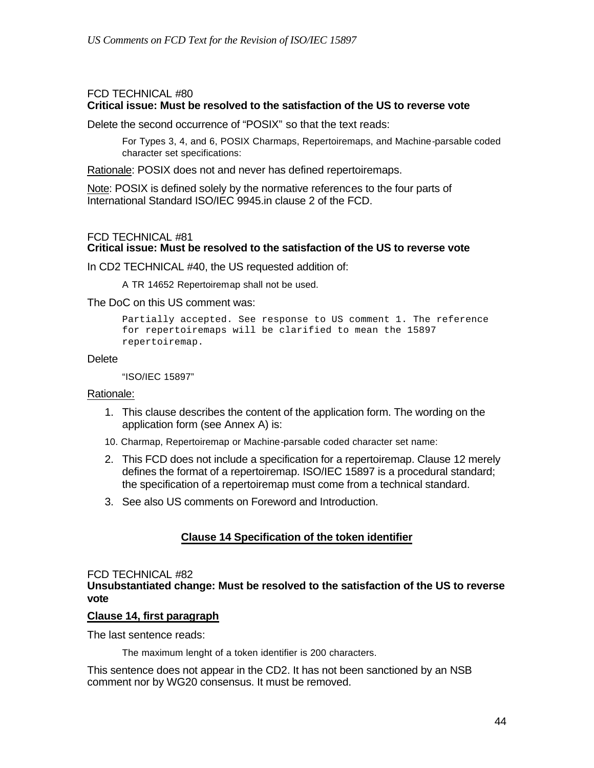#### FCD TECHNICAL #80 **Critical issue: Must be resolved to the satisfaction of the US to reverse vote**

Delete the second occurrence of "POSIX" so that the text reads:

For Types 3, 4, and 6, POSIX Charmaps, Repertoiremaps, and Machine-parsable coded character set specifications:

Rationale: POSIX does not and never has defined repertoiremaps.

Note: POSIX is defined solely by the normative references to the four parts of International Standard ISO/IEC 9945.in clause 2 of the FCD.

### FCD TECHNICAL #81

## **Critical issue: Must be resolved to the satisfaction of the US to reverse vote**

In CD2 TECHNICAL #40, the US requested addition of:

A TR 14652 Repertoiremap shall not be used.

The DoC on this US comment was:

Partially accepted. See response to US comment 1. The reference for repertoiremaps will be clarified to mean the 15897 repertoiremap.

#### **Delete**

"ISO/IEC 15897"

#### Rationale:

- 1. This clause describes the content of the application form. The wording on the application form (see Annex A) is:
- 10. Charmap, Repertoiremap or Machine-parsable coded character set name:
- 2. This FCD does not include a specification for a repertoiremap. Clause 12 merely defines the format of a repertoiremap. ISO/IEC 15897 is a procedural standard; the specification of a repertoiremap must come from a technical standard.
- 3. See also US comments on Foreword and Introduction.

### **Clause 14 Specification of the token identifier**

#### FCD TECHNICAL #82 **Unsubstantiated change: Must be resolved to the satisfaction of the US to reverse vote**

#### **Clause 14, first paragraph**

The last sentence reads:

The maximum lenght of a token identifier is 200 characters.

This sentence does not appear in the CD2. It has not been sanctioned by an NSB comment nor by WG20 consensus. It must be removed.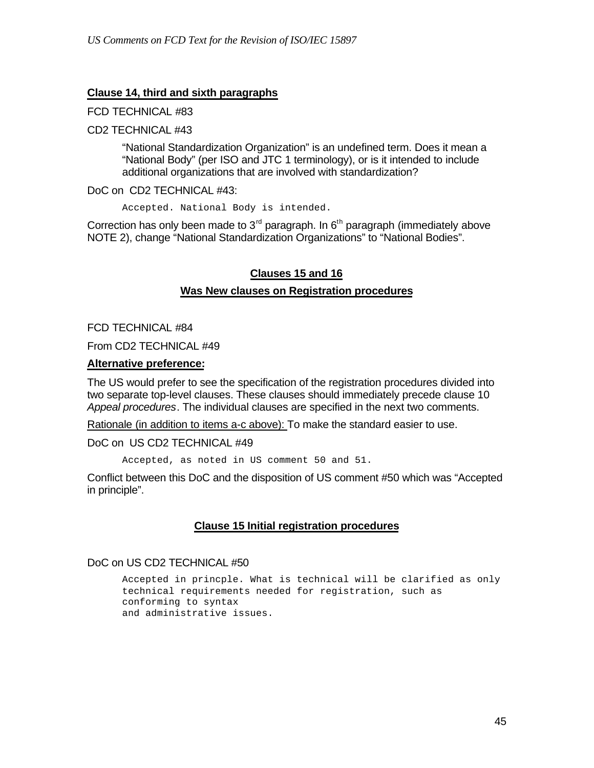#### **Clause 14, third and sixth paragraphs**

#### FCD TECHNICAL #83

#### CD2 TECHNICAL #43

"National Standardization Organization" is an undefined term. Does it mean a "National Body" (per ISO and JTC 1 terminology), or is it intended to include additional organizations that are involved with standardization?

#### DoC on CD2 TECHNICAL #43:

Accepted. National Body is intended.

Correction has only been made to  $3<sup>rd</sup>$  paragraph. In  $6<sup>th</sup>$  paragraph (immediately above NOTE 2), change "National Standardization Organizations" to "National Bodies".

### **Clauses 15 and 16**

#### **Was New clauses on Registration procedures**

FCD TECHNICAL #84

From CD2 TECHNICAL #49

#### **Alternative preference:**

The US would prefer to see the specification of the registration procedures divided into two separate top-level clauses. These clauses should immediately precede clause 10 *Appeal procedures*. The individual clauses are specified in the next two comments.

Rationale (in addition to items a-c above): To make the standard easier to use.

DoC on US CD2 TECHNICAL #49

Accepted, as noted in US comment 50 and 51.

Conflict between this DoC and the disposition of US comment #50 which was "Accepted in principle".

### **Clause 15 Initial registration procedures**

### DoC on US CD2 TECHNICAL #50

Accepted in princple. What is technical will be clarified as only technical requirements needed for registration, such as conforming to syntax and administrative issues.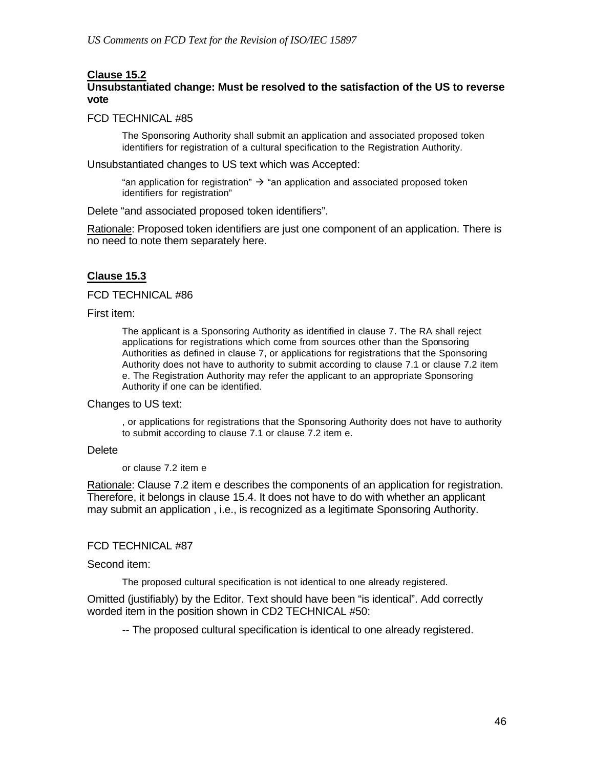#### **Clause 15.2**

### **Unsubstantiated change: Must be resolved to the satisfaction of the US to reverse vote**

#### FCD TECHNICAL #85

The Sponsoring Authority shall submit an application and associated proposed token identifiers for registration of a cultural specification to the Registration Authority.

Unsubstantiated changes to US text which was Accepted:

"an application for registration"  $\rightarrow$  "an application and associated proposed token identifiers for registration"

Delete "and associated proposed token identifiers".

Rationale: Proposed token identifiers are just one component of an application. There is no need to note them separately here.

### **Clause 15.3**

FCD TECHNICAL #86

First item:

The applicant is a Sponsoring Authority as identified in clause 7. The RA shall reject applications for registrations which come from sources other than the Sponsoring Authorities as defined in clause 7, or applications for registrations that the Sponsoring Authority does not have to authority to submit according to clause 7.1 or clause 7.2 item e. The Registration Authority may refer the applicant to an appropriate Sponsoring Authority if one can be identified.

#### Changes to US text:

, or applications for registrations that the Sponsoring Authority does not have to authority to submit according to clause 7.1 or clause 7.2 item e.

#### **Delete**

or clause 7.2 item e

Rationale: Clause 7.2 item e describes the components of an application for registration. Therefore, it belongs in clause 15.4. It does not have to do with whether an applicant may submit an application , i.e., is recognized as a legitimate Sponsoring Authority.

#### FCD TECHNICAL #87

#### Second item:

The proposed cultural specification is not identical to one already registered.

Omitted (justifiably) by the Editor. Text should have been "is identical". Add correctly worded item in the position shown in CD2 TECHNICAL #50:

-- The proposed cultural specification is identical to one already registered.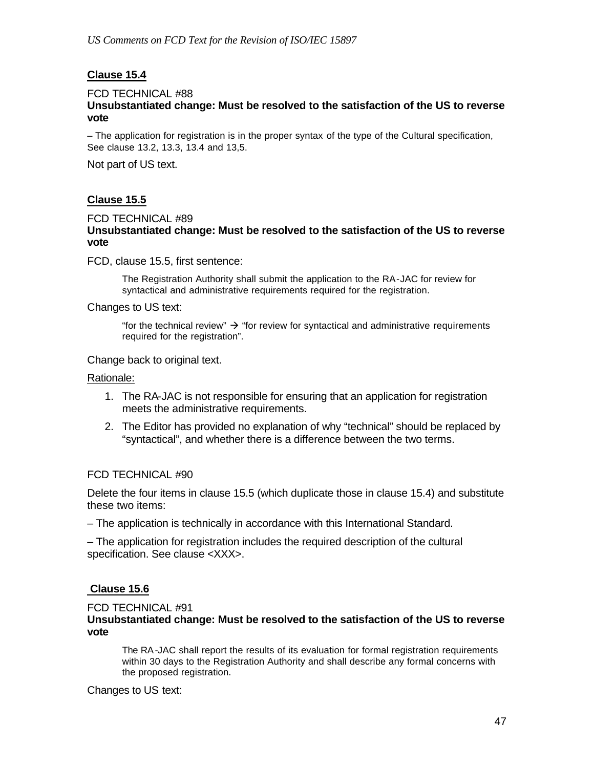## **Clause 15.4**

#### FCD TECHNICAL #88 **Unsubstantiated change: Must be resolved to the satisfaction of the US to reverse vote**

– The application for registration is in the proper syntax of the type of the Cultural specification, See clause 13.2, 13.3, 13.4 and 13,5.

Not part of US text.

## **Clause 15.5**

#### FCD TECHNICAL #89 **Unsubstantiated change: Must be resolved to the satisfaction of the US to reverse vote**

FCD, clause 15.5, first sentence:

The Registration Authority shall submit the application to the RA-JAC for review for syntactical and administrative requirements required for the registration.

Changes to US text:

"for the technical review"  $\rightarrow$  "for review for syntactical and administrative requirements required for the registration".

Change back to original text.

Rationale:

- 1. The RA-JAC is not responsible for ensuring that an application for registration meets the administrative requirements.
- 2. The Editor has provided no explanation of why "technical" should be replaced by "syntactical", and whether there is a difference between the two terms.

#### FCD TECHNICAL #90

Delete the four items in clause 15.5 (which duplicate those in clause 15.4) and substitute these two items:

– The application is technically in accordance with this International Standard.

– The application for registration includes the required description of the cultural specification. See clause <XXX>.

### **Clause 15.6**

FCD TECHNICAL #91

**Unsubstantiated change: Must be resolved to the satisfaction of the US to reverse vote**

The RA-JAC shall report the results of its evaluation for formal registration requirements within 30 days to the Registration Authority and shall describe any formal concerns with the proposed registration.

Changes to US text: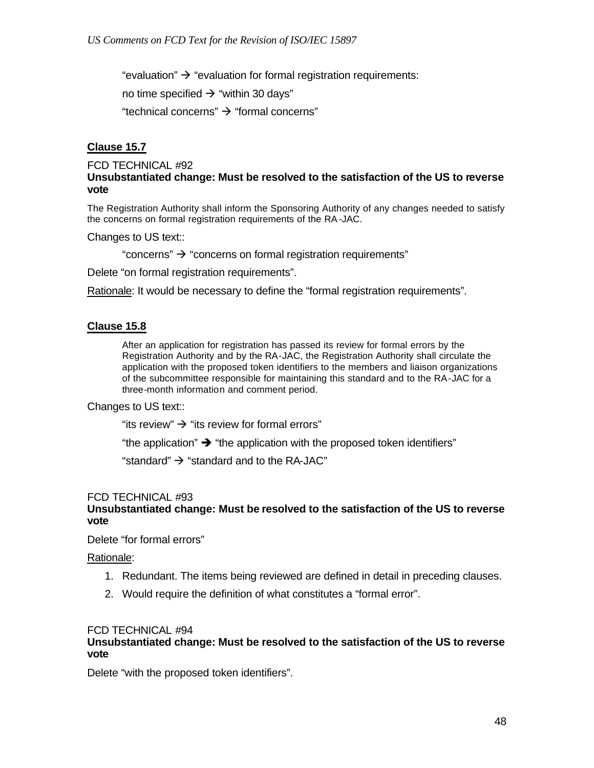"evaluation"  $\rightarrow$  "evaluation for formal registration requirements:

no time specified  $\rightarrow$  "within 30 days"

"technical concerns"  $\rightarrow$  "formal concerns"

### **Clause 15.7**

#### FCD TECHNICAL #92 **Unsubstantiated change: Must be resolved to the satisfaction of the US to reverse vote**

The Registration Authority shall inform the Sponsoring Authority of any changes needed to satisfy the concerns on formal registration requirements of the RA-JAC.

Changes to US text::

"concerns"  $\rightarrow$  "concerns on formal registration requirements"

Delete "on formal registration requirements".

Rationale: It would be necessary to define the "formal registration requirements".

### **Clause 15.8**

After an application for registration has passed its review for formal errors by the Registration Authority and by the RA-JAC, the Registration Authority shall circulate the application with the proposed token identifiers to the members and liaison organizations of the subcommittee responsible for maintaining this standard and to the RA-JAC for a three-month information and comment period.

#### Changes to US text::

"its review"  $\rightarrow$  "its review for formal errors"

"the application"  $\rightarrow$  "the application with the proposed token identifiers"

"standard"  $\rightarrow$  "standard and to the RA-JAC"

#### FCD TECHNICAL #93

### **Unsubstantiated change: Must be resolved to the satisfaction of the US to reverse vote**

Delete "for formal errors"

Rationale:

- 1. Redundant. The items being reviewed are defined in detail in preceding clauses.
- 2. Would require the definition of what constitutes a "formal error".

#### FCD TECHNICAL #94

#### **Unsubstantiated change: Must be resolved to the satisfaction of the US to reverse vote**

Delete "with the proposed token identifiers".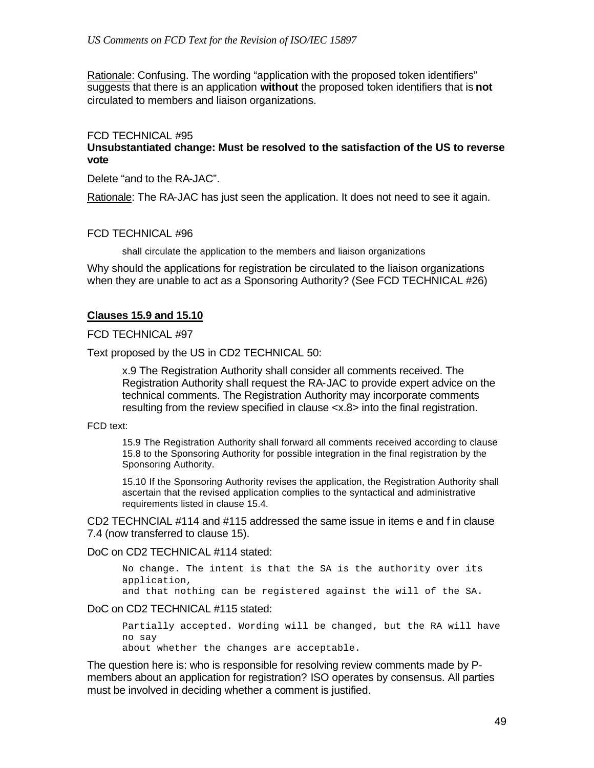Rationale: Confusing. The wording "application with the proposed token identifiers" suggests that there is an application **without** the proposed token identifiers that is **not** circulated to members and liaison organizations.

#### FCD TECHNICAL #95

#### **Unsubstantiated change: Must be resolved to the satisfaction of the US to reverse vote**

Delete "and to the RA-JAC".

Rationale: The RA-JAC has just seen the application. It does not need to see it again.

#### FCD TECHNICAL #96

shall circulate the application to the members and liaison organizations

Why should the applications for registration be circulated to the liaison organizations when they are unable to act as a Sponsoring Authority? (See FCD TECHNICAL #26)

#### **Clauses 15.9 and 15.10**

#### FCD TECHNICAL #97

Text proposed by the US in CD2 TECHNICAL 50:

x.9 The Registration Authority shall consider all comments received. The Registration Authority shall request the RA-JAC to provide expert advice on the technical comments. The Registration Authority may incorporate comments resulting from the review specified in clause <x.8> into the final registration.

FCD text:

15.9 The Registration Authority shall forward all comments received according to clause 15.8 to the Sponsoring Authority for possible integration in the final registration by the Sponsoring Authority.

15.10 If the Sponsoring Authority revises the application, the Registration Authority shall ascertain that the revised application complies to the syntactical and administrative requirements listed in clause 15.4.

CD2 TECHNCIAL #114 and #115 addressed the same issue in items e and f in clause 7.4 (now transferred to clause 15).

DoC on CD2 TECHNICAL #114 stated:

No change. The intent is that the SA is the authority over its application,

and that nothing can be registered against the will of the SA.

DoC on CD2 TECHNICAL #115 stated:

Partially accepted. Wording will be changed, but the RA will have no say

about whether the changes are acceptable.

The question here is: who is responsible for resolving review comments made by Pmembers about an application for registration? ISO operates by consensus. All parties must be involved in deciding whether a comment is justified.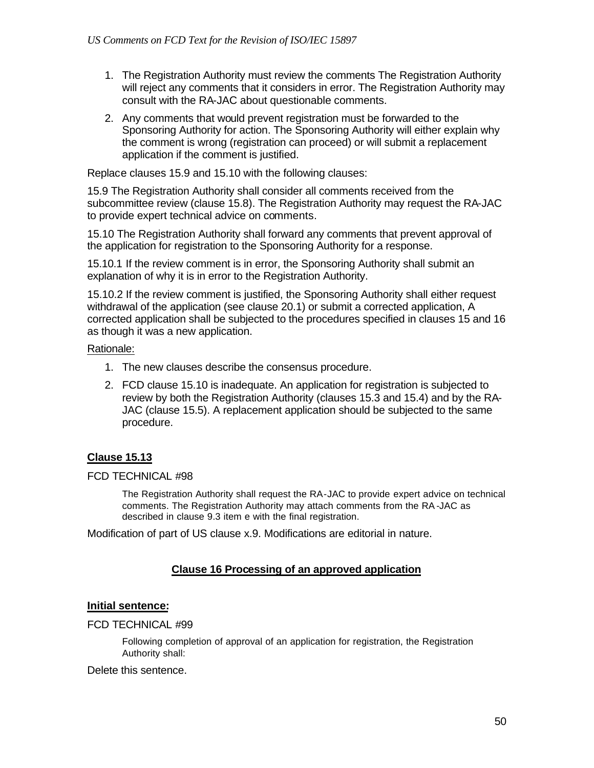- 1. The Registration Authority must review the comments The Registration Authority will reject any comments that it considers in error. The Registration Authority may consult with the RA-JAC about questionable comments.
- 2. Any comments that would prevent registration must be forwarded to the Sponsoring Authority for action. The Sponsoring Authority will either explain why the comment is wrong (registration can proceed) or will submit a replacement application if the comment is justified.

Replace clauses 15.9 and 15.10 with the following clauses:

15.9 The Registration Authority shall consider all comments received from the subcommittee review (clause 15.8). The Registration Authority may request the RA-JAC to provide expert technical advice on comments.

15.10 The Registration Authority shall forward any comments that prevent approval of the application for registration to the Sponsoring Authority for a response.

15.10.1 If the review comment is in error, the Sponsoring Authority shall submit an explanation of why it is in error to the Registration Authority.

15.10.2 If the review comment is justified, the Sponsoring Authority shall either request withdrawal of the application (see clause 20.1) or submit a corrected application, A corrected application shall be subjected to the procedures specified in clauses 15 and 16 as though it was a new application.

### Rationale:

- 1. The new clauses describe the consensus procedure.
- 2. FCD clause 15.10 is inadequate. An application for registration is subjected to review by both the Registration Authority (clauses 15.3 and 15.4) and by the RA-JAC (clause 15.5). A replacement application should be subjected to the same procedure.

## **Clause 15.13**

#### FCD TECHNICAL #98

The Registration Authority shall request the RA-JAC to provide expert advice on technical comments. The Registration Authority may attach comments from the RA-JAC as described in clause 9.3 item e with the final registration.

Modification of part of US clause x.9. Modifications are editorial in nature.

### **Clause 16 Processing of an approved application**

### **Initial sentence:**

#### FCD TECHNICAL #99

Following completion of approval of an application for registration, the Registration Authority shall:

#### Delete this sentence.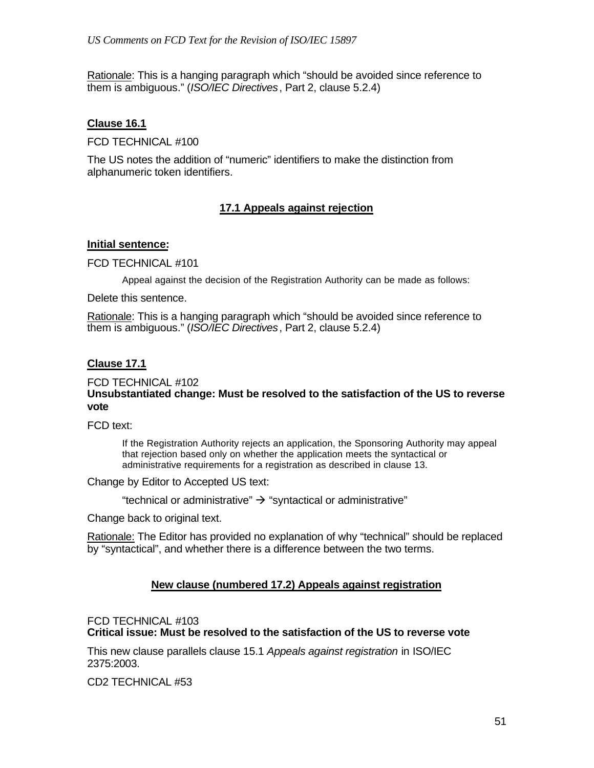Rationale: This is a hanging paragraph which "should be avoided since reference to them is ambiguous." (*ISO/IEC Directives*, Part 2, clause 5.2.4)

### **Clause 16.1**

FCD TECHNICAL #100

The US notes the addition of "numeric" identifiers to make the distinction from alphanumeric token identifiers.

## **17.1 Appeals against rejection**

#### **Initial sentence:**

FCD TECHNICAL #101

Appeal against the decision of the Registration Authority can be made as follows:

Delete this sentence.

Rationale: This is a hanging paragraph which "should be avoided since reference to them is ambiguous." (*ISO/IEC Directives*, Part 2, clause 5.2.4)

### **Clause 17.1**

#### FCD TECHNICAL #102 **Unsubstantiated change: Must be resolved to the satisfaction of the US to reverse vote**

FCD text:

If the Registration Authority rejects an application, the Sponsoring Authority may appeal that rejection based only on whether the application meets the syntactical or administrative requirements for a registration as described in clause 13.

Change by Editor to Accepted US text:

"technical or administrative"  $\rightarrow$  "syntactical or administrative"

Change back to original text.

Rationale: The Editor has provided no explanation of why "technical" should be replaced by "syntactical", and whether there is a difference between the two terms.

### **New clause (numbered 17.2) Appeals against registration**

FCD TECHNICAL #103

**Critical issue: Must be resolved to the satisfaction of the US to reverse vote**

This new clause parallels clause 15.1 *Appeals against registration* in ISO/IEC 2375:2003.

CD2 TECHNICAL #53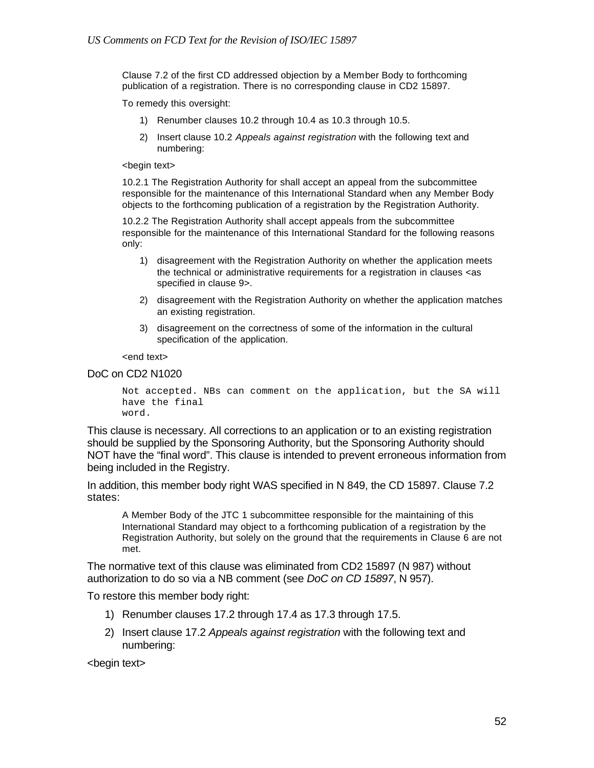Clause 7.2 of the first CD addressed objection by a Member Body to forthcoming publication of a registration. There is no corresponding clause in CD2 15897.

To remedy this oversight:

- 1) Renumber clauses 10.2 through 10.4 as 10.3 through 10.5.
- 2) Insert clause 10.2 *Appeals against registration* with the following text and numbering:

#### <begin text>

10.2.1 The Registration Authority for shall accept an appeal from the subcommittee responsible for the maintenance of this International Standard when any Member Body objects to the forthcoming publication of a registration by the Registration Authority.

10.2.2 The Registration Authority shall accept appeals from the subcommittee responsible for the maintenance of this International Standard for the following reasons only:

- 1) disagreement with the Registration Authority on whether the application meets the technical or administrative requirements for a registration in clauses <as specified in clause 9>.
- 2) disagreement with the Registration Authority on whether the application matches an existing registration.
- 3) disagreement on the correctness of some of the information in the cultural specification of the application.

<end text>

#### DoC on CD2 N1020

```
Not accepted. NBs can comment on the application, but the SA will 
have the final 
word.
```
This clause is necessary. All corrections to an application or to an existing registration should be supplied by the Sponsoring Authority, but the Sponsoring Authority should NOT have the "final word". This clause is intended to prevent erroneous information from being included in the Registry.

In addition, this member body right WAS specified in N 849, the CD 15897. Clause 7.2 states:

A Member Body of the JTC 1 subcommittee responsible for the maintaining of this International Standard may object to a forthcoming publication of a registration by the Registration Authority, but solely on the ground that the requirements in Clause 6 are not met.

The normative text of this clause was eliminated from CD2 15897 (N 987) without authorization to do so via a NB comment (see *DoC on CD 15897*, N 957).

To restore this member body right:

- 1) Renumber clauses 17.2 through 17.4 as 17.3 through 17.5.
- 2) Insert clause 17.2 *Appeals against registration* with the following text and numbering:

<begin text>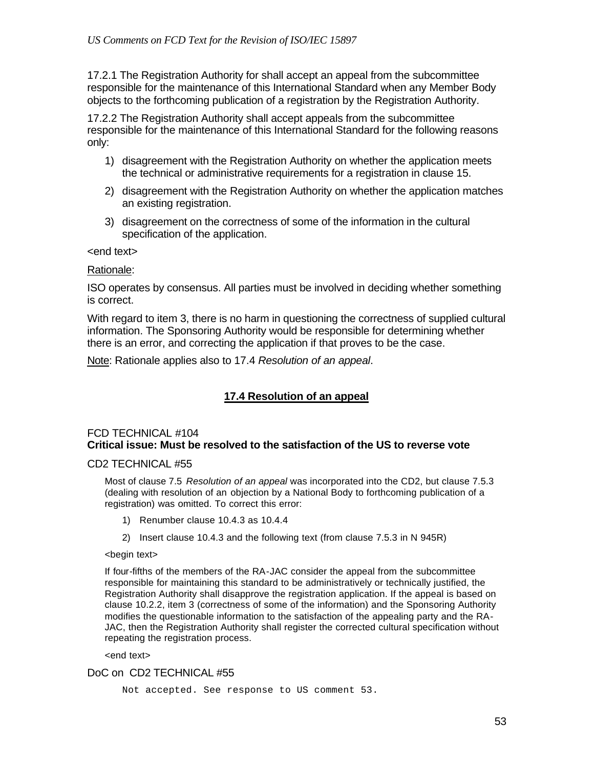17.2.1 The Registration Authority for shall accept an appeal from the subcommittee responsible for the maintenance of this International Standard when any Member Body objects to the forthcoming publication of a registration by the Registration Authority.

17.2.2 The Registration Authority shall accept appeals from the subcommittee responsible for the maintenance of this International Standard for the following reasons only:

- 1) disagreement with the Registration Authority on whether the application meets the technical or administrative requirements for a registration in clause 15.
- 2) disagreement with the Registration Authority on whether the application matches an existing registration.
- 3) disagreement on the correctness of some of the information in the cultural specification of the application.

<end text>

#### Rationale:

ISO operates by consensus. All parties must be involved in deciding whether something is correct.

With regard to item 3, there is no harm in questioning the correctness of supplied cultural information. The Sponsoring Authority would be responsible for determining whether there is an error, and correcting the application if that proves to be the case.

Note: Rationale applies also to 17.4 *Resolution of an appeal*.

## **17.4 Resolution of an appeal**

### FCD TECHNICAL #104 **Critical issue: Must be resolved to the satisfaction of the US to reverse vote**

#### CD2 TECHNICAL #55

Most of clause 7.5 *Resolution of an appeal* was incorporated into the CD2, but clause 7.5.3 (dealing with resolution of an objection by a National Body to forthcoming publication of a registration) was omitted. To correct this error:

- 1) Renumber clause 10.4.3 as 10.4.4
- 2) Insert clause 10.4.3 and the following text (from clause 7.5.3 in N 945R)

#### <begin text>

If four-fifths of the members of the RA-JAC consider the appeal from the subcommittee responsible for maintaining this standard to be administratively or technically justified, the Registration Authority shall disapprove the registration application. If the appeal is based on clause 10.2.2, item 3 (correctness of some of the information) and the Sponsoring Authority modifies the questionable information to the satisfaction of the appealing party and the RA-JAC, then the Registration Authority shall register the corrected cultural specification without repeating the registration process.

<end text>

#### DoC on CD2 TECHNICAL #55

Not accepted. See response to US comment 53.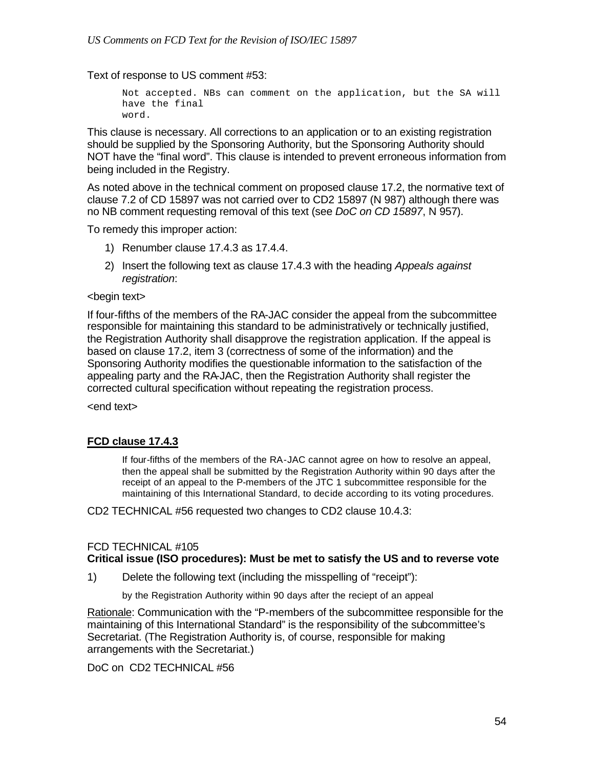Text of response to US comment #53:

```
Not accepted. NBs can comment on the application, but the SA will 
have the final 
word.
```
This clause is necessary. All corrections to an application or to an existing registration should be supplied by the Sponsoring Authority, but the Sponsoring Authority should NOT have the "final word". This clause is intended to prevent erroneous information from being included in the Registry.

As noted above in the technical comment on proposed clause 17.2, the normative text of clause 7.2 of CD 15897 was not carried over to CD2 15897 (N 987) although there was no NB comment requesting removal of this text (see *DoC on CD 15897*, N 957).

To remedy this improper action:

- 1) Renumber clause 17.4.3 as 17.4.4.
- 2) Insert the following text as clause 17.4.3 with the heading *Appeals against registration*:

#### <begin text>

If four-fifths of the members of the RA-JAC consider the appeal from the subcommittee responsible for maintaining this standard to be administratively or technically justified, the Registration Authority shall disapprove the registration application. If the appeal is based on clause 17.2, item 3 (correctness of some of the information) and the Sponsoring Authority modifies the questionable information to the satisfaction of the appealing party and the RA-JAC, then the Registration Authority shall register the corrected cultural specification without repeating the registration process.

<end text>

### **FCD clause 17.4.3**

If four-fifths of the members of the RA-JAC cannot agree on how to resolve an appeal, then the appeal shall be submitted by the Registration Authority within 90 days after the receipt of an appeal to the P-members of the JTC 1 subcommittee responsible for the maintaining of this International Standard, to decide according to its voting procedures.

CD2 TECHNICAL #56 requested two changes to CD2 clause 10.4.3:

# FCD TECHNICAL #105

### **Critical issue (ISO procedures): Must be met to satisfy the US and to reverse vote**

1) Delete the following text (including the misspelling of "receipt"):

by the Registration Authority within 90 days after the reciept of an appeal

Rationale: Communication with the "P-members of the subcommittee responsible for the maintaining of this International Standard" is the responsibility of the subcommittee's Secretariat. (The Registration Authority is, of course, responsible for making arrangements with the Secretariat.)

DoC on CD2 TECHNICAL #56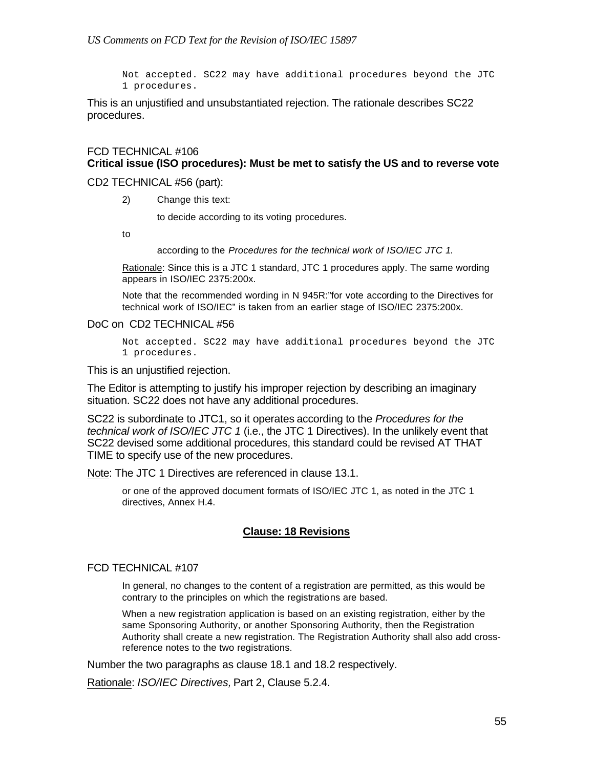Not accepted. SC22 may have additional procedures beyond the JTC 1 procedures.

This is an unjustified and unsubstantiated rejection. The rationale describes SC22 procedures.

### FCD TECHNICAL #106 **Critical issue (ISO procedures): Must be met to satisfy the US and to reverse vote**

#### CD2 TECHNICAL #56 (part):

2) Change this text:

to decide according to its voting procedures.

to

according to the *Procedures for the technical work of ISO/IEC JTC 1*.

Rationale: Since this is a JTC 1 standard, JTC 1 procedures apply. The same wording appears in ISO/IEC 2375:200x.

Note that the recommended wording in N 945R:"for vote according to the Directives for technical work of ISO/IEC" is taken from an earlier stage of ISO/IEC 2375:200x.

#### DoC on CD2 TECHNICAL #56

Not accepted. SC22 may have additional procedures beyond the JTC 1 procedures.

This is an unjustified rejection.

The Editor is attempting to justify his improper rejection by describing an imaginary situation. SC22 does not have any additional procedures.

SC22 is subordinate to JTC1, so it operates according to the *Procedures for the technical work of ISO/IEC JTC 1* (i.e., the JTC 1 Directives). In the unlikely event that SC22 devised some additional procedures, this standard could be revised AT THAT TIME to specify use of the new procedures.

Note: The JTC 1 Directives are referenced in clause 13.1.

or one of the approved document formats of ISO/IEC JTC 1, as noted in the JTC 1 directives, Annex H.4.

### **Clause: 18 Revisions**

#### FCD TECHNICAL #107

In general, no changes to the content of a registration are permitted, as this would be contrary to the principles on which the registrations are based.

When a new registration application is based on an existing registration, either by the same Sponsoring Authority, or another Sponsoring Authority, then the Registration Authority shall create a new registration. The Registration Authority shall also add crossreference notes to the two registrations.

Number the two paragraphs as clause 18.1 and 18.2 respectively.

Rationale: *ISO/IEC Directives,* Part 2, Clause 5.2.4.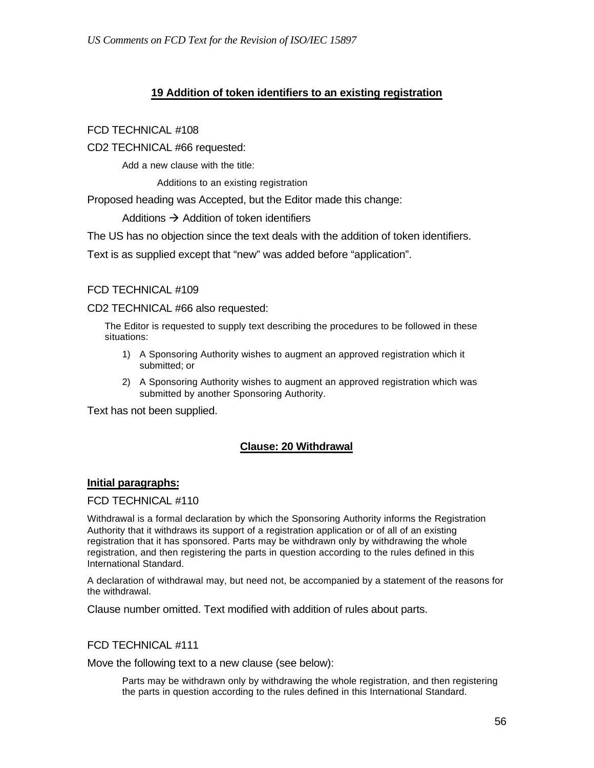## **19 Addition of token identifiers to an existing registration**

### FCD TECHNICAL #108

CD2 TECHNICAL #66 requested:

Add a new clause with the title:

Additions to an existing registration

Proposed heading was Accepted, but the Editor made this change:

Additions  $\rightarrow$  Addition of token identifiers

The US has no objection since the text deals with the addition of token identifiers.

Text is as supplied except that "new" was added before "application".

#### FCD TECHNICAL #109

CD2 TECHNICAL #66 also requested:

The Editor is requested to supply text describing the procedures to be followed in these situations:

- 1) A Sponsoring Authority wishes to augment an approved registration which it submitted; or
- 2) A Sponsoring Authority wishes to augment an approved registration which was submitted by another Sponsoring Authority.

Text has not been supplied.

### **Clause: 20 Withdrawal**

#### **Initial paragraphs:**

#### FCD TECHNICAL #110

Withdrawal is a formal declaration by which the Sponsoring Authority informs the Registration Authority that it withdraws its support of a registration application or of all of an existing registration that it has sponsored. Parts may be withdrawn only by withdrawing the whole registration, and then registering the parts in question according to the rules defined in this International Standard.

A declaration of withdrawal may, but need not, be accompanied by a statement of the reasons for the withdrawal.

Clause number omitted. Text modified with addition of rules about parts.

#### FCD TECHNICAL #111

Move the following text to a new clause (see below):

Parts may be withdrawn only by withdrawing the whole registration, and then registering the parts in question according to the rules defined in this International Standard.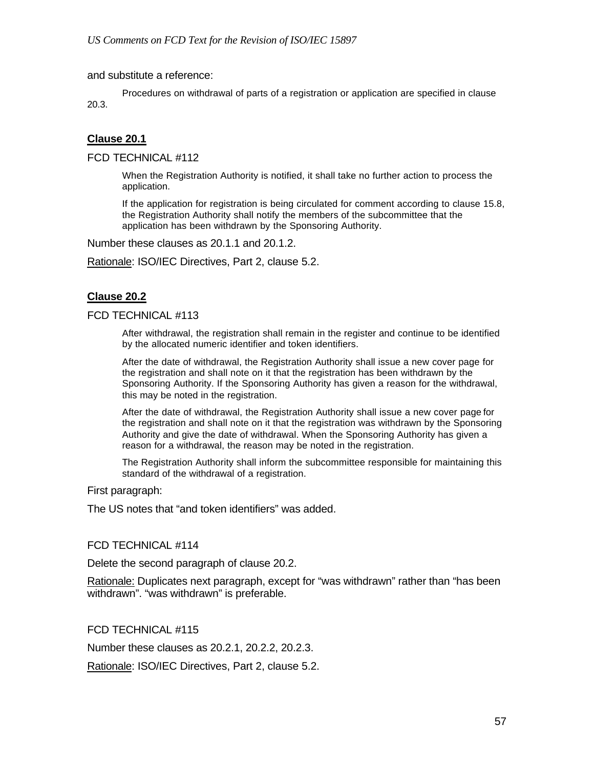and substitute a reference:

Procedures on withdrawal of parts of a registration or application are specified in clause 20.3.

### **Clause 20.1**

FCD TECHNICAL #112

When the Registration Authority is notified, it shall take no further action to process the application.

If the application for registration is being circulated for comment according to clause 15.8, the Registration Authority shall notify the members of the subcommittee that the application has been withdrawn by the Sponsoring Authority.

Number these clauses as 20.1.1 and 20.1.2.

Rationale: ISO/IEC Directives, Part 2, clause 5.2.

### **Clause 20.2**

#### FCD TECHNICAL #113

After withdrawal, the registration shall remain in the register and continue to be identified by the allocated numeric identifier and token identifiers.

After the date of withdrawal, the Registration Authority shall issue a new cover page for the registration and shall note on it that the registration has been withdrawn by the Sponsoring Authority. If the Sponsoring Authority has given a reason for the withdrawal, this may be noted in the registration.

After the date of withdrawal, the Registration Authority shall issue a new cover page for the registration and shall note on it that the registration was withdrawn by the Sponsoring Authority and give the date of withdrawal. When the Sponsoring Authority has given a reason for a withdrawal, the reason may be noted in the registration.

The Registration Authority shall inform the subcommittee responsible for maintaining this standard of the withdrawal of a registration.

First paragraph:

The US notes that "and token identifiers" was added.

#### FCD TECHNICAL #114

Delete the second paragraph of clause 20.2.

Rationale: Duplicates next paragraph, except for "was withdrawn" rather than "has been withdrawn". "was withdrawn" is preferable.

FCD TECHNICAL #115

Number these clauses as 20.2.1, 20.2.2, 20.2.3.

Rationale: ISO/IEC Directives, Part 2, clause 5.2.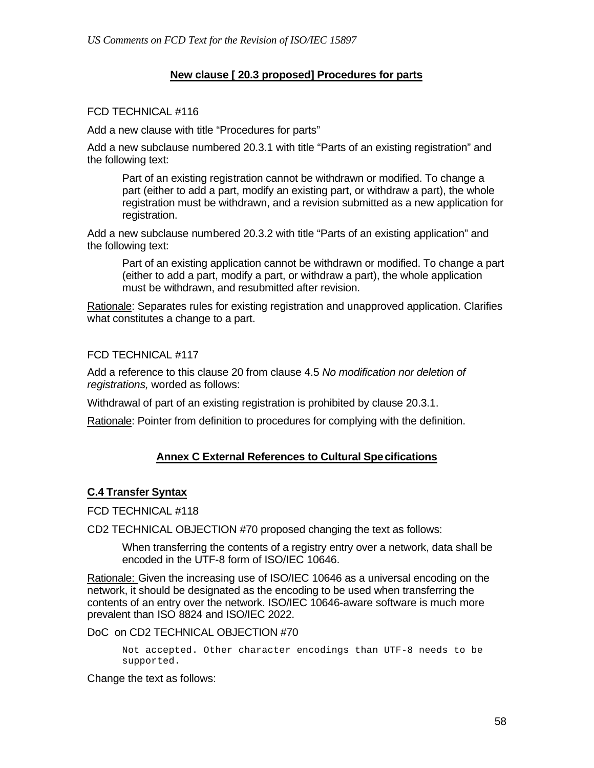## **New clause [ 20.3 proposed] Procedures for parts**

### FCD TECHNICAL #116

Add a new clause with title "Procedures for parts"

Add a new subclause numbered 20.3.1 with title "Parts of an existing registration" and the following text:

Part of an existing registration cannot be withdrawn or modified. To change a part (either to add a part, modify an existing part, or withdraw a part), the whole registration must be withdrawn, and a revision submitted as a new application for registration.

Add a new subclause numbered 20.3.2 with title "Parts of an existing application" and the following text:

Part of an existing application cannot be withdrawn or modified. To change a part (either to add a part, modify a part, or withdraw a part), the whole application must be withdrawn, and resubmitted after revision.

Rationale: Separates rules for existing registration and unapproved application. Clarifies what constitutes a change to a part.

FCD TECHNICAL #117

Add a reference to this clause 20 from clause 4.5 *No modification nor deletion of registrations,* worded as follows:

Withdrawal of part of an existing registration is prohibited by clause 20.3.1.

Rationale: Pointer from definition to procedures for complying with the definition.

### **Annex C External References to Cultural Specifications**

### **C.4 Transfer Syntax**

FCD TECHNICAL #118

CD2 TECHNICAL OBJECTION #70 proposed changing the text as follows:

When transferring the contents of a registry entry over a network, data shall be encoded in the UTF-8 form of ISO/IEC 10646.

Rationale: Given the increasing use of ISO/IEC 10646 as a universal encoding on the network, it should be designated as the encoding to be used when transferring the contents of an entry over the network. ISO/IEC 10646-aware software is much more prevalent than ISO 8824 and ISO/IEC 2022.

#### DoC on CD2 TECHNICAL OBJECTION #70

Not accepted. Other character encodings than UTF-8 needs to be supported.

Change the text as follows: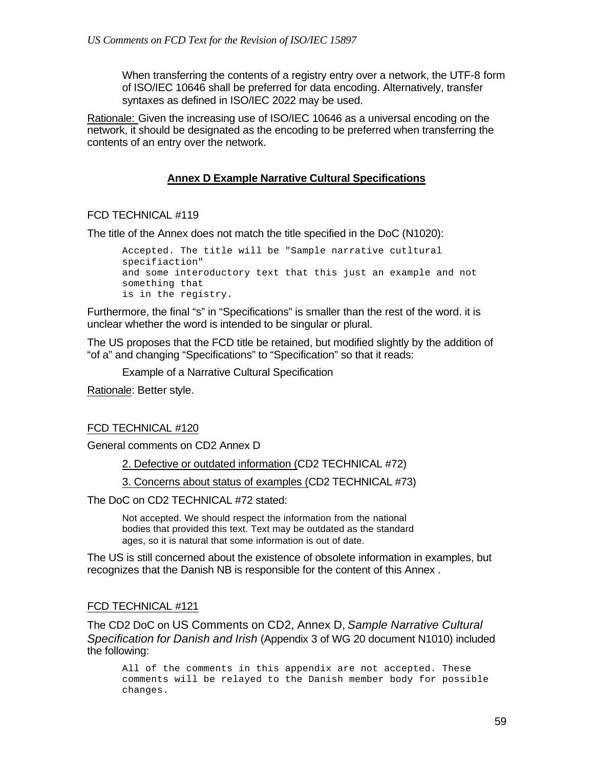When transferring the contents of a registry entry over a network, the UTF-8 form of ISO/IEC 10646 shall be preferred for data encoding. Alternatively, transfer syntaxes as defined in ISO/IEC 2022 may be used.

Rationale: Given the increasing use of ISO/IEC 10646 as a universal encoding on the network, it should be designated as the encoding to be preferred when transferring the contents of an entry over the network.

### **Annex D Example Narrative Cultural Specifications**

#### FCD TECHNICAL #119

The title of the Annex does not match the title specified in the DoC (N1020):

Accepted. The title will be "Sample narrative cutltural specifiaction" and some interoductory text that this just an example and not something that is in the registry.

Furthermore, the final "s" in "Specifications" is smaller than the rest of the word. it is unclear whether the word is intended to be singular or plural.

The US proposes that the FCD title be retained, but modified slightly by the addition of "of a" and changing "Specifications" to "Specification" so that it reads:

Example of a Narrative Cultural Specification

Rationale: Better style.

#### FCD TECHNICAL #120

General comments on CD2 Annex D

2. Defective or outdated information (CD2 TECHNICAL #72)

3. Concerns about status of examples (CD2 TECHNICAL #73)

The DoC on CD2 TECHNICAL #72 stated:

Not accepted. We should respect the information from the national bodies that provided this text. Text may be outdated as the standard ages, so it is natural that some information is out of date.

The US is still concerned about the existence of obsolete information in examples, but recognizes that the Danish NB is responsible for the content of this Annex .

#### FCD TECHNICAL #121

The CD2 DoC on US Comments on CD2, Annex D, *Sample Narrative Cultural Specification for Danish and Irish* (Appendix 3 of WG 20 document N1010) included the following:

All of the comments in this appendix are not accepted. These comments will be relayed to the Danish member body for possible changes.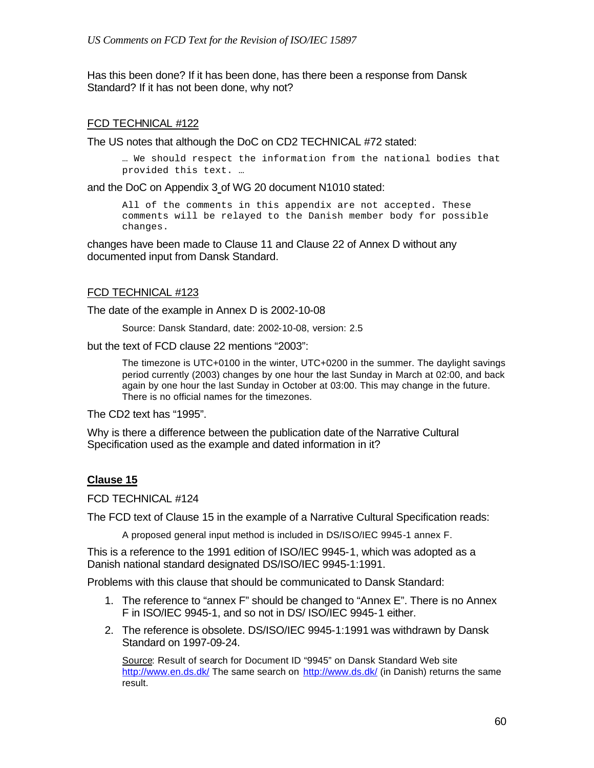Has this been done? If it has been done, has there been a response from Dansk Standard? If it has not been done, why not?

### FCD TECHNICAL #122

The US notes that although the DoC on CD2 TECHNICAL #72 stated:

… We should respect the information from the national bodies that provided this text. …

and the DoC on Appendix 3 of WG 20 document N1010 stated:

All of the comments in this appendix are not accepted. These comments will be relayed to the Danish member body for possible changes.

changes have been made to Clause 11 and Clause 22 of Annex D without any documented input from Dansk Standard.

### FCD TECHNICAL #123

The date of the example in Annex D is 2002-10-08

Source: Dansk Standard, date: 2002-10-08, version: 2.5

but the text of FCD clause 22 mentions "2003":

The timezone is UTC+0100 in the winter, UTC+0200 in the summer. The daylight savings period currently (2003) changes by one hour the last Sunday in March at 02:00, and back again by one hour the last Sunday in October at 03:00. This may change in the future. There is no official names for the timezones.

The CD2 text has "1995".

Why is there a difference between the publication date of the Narrative Cultural Specification used as the example and dated information in it?

### **Clause 15**

FCD TECHNICAL #124

The FCD text of Clause 15 in the example of a Narrative Cultural Specification reads:

A proposed general input method is included in DS/ISO/IEC 9945-1 annex F.

This is a reference to the 1991 edition of ISO/IEC 9945-1, which was adopted as a Danish national standard designated DS/ISO/IEC 9945-1:1991.

Problems with this clause that should be communicated to Dansk Standard:

- 1. The reference to "annex F" should be changed to "Annex E". There is no Annex F in ISO/IEC 9945-1, and so not in DS/ ISO/IEC 9945-1 either.
- 2. The reference is obsolete. DS/ISO/IEC 9945-1:1991 was withdrawn by Dansk Standard on 1997-09-24.

Source: Result of search for Document ID "9945" on Dansk Standard Web site http://www.en.ds.dk/ The same search on http://www.ds.dk/ (in Danish) returns the same result.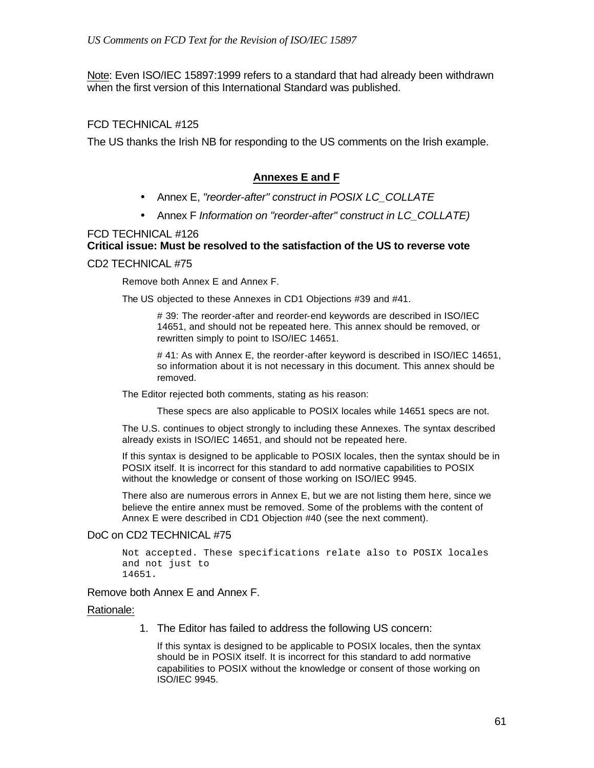Note: Even ISO/IEC 15897:1999 refers to a standard that had already been withdrawn when the first version of this International Standard was published.

### FCD TECHNICAL #125

The US thanks the Irish NB for responding to the US comments on the Irish example.

### **Annexes E and F**

- Annex E, *"reorder-after" construct in POSIX LC\_COLLATE*
- Annex F *Information on "reorder-after" construct in LC\_COLLATE)*

# FCD TECHNICAL #126 **Critical issue: Must be resolved to the satisfaction of the US to reverse vote**

#### CD2 TECHNICAL #75

Remove both Annex E and Annex F.

The US objected to these Annexes in CD1 Objections #39 and #41.

# 39: The reorder-after and reorder-end keywords are described in ISO/IEC 14651, and should not be repeated here. This annex should be removed, or rewritten simply to point to ISO/IEC 14651.

# 41: As with Annex E, the reorder-after keyword is described in ISO/IEC 14651, so information about it is not necessary in this document. This annex should be removed.

The Editor rejected both comments, stating as his reason:

These specs are also applicable to POSIX locales while 14651 specs are not.

The U.S. continues to object strongly to including these Annexes. The syntax described already exists in ISO/IEC 14651, and should not be repeated here.

If this syntax is designed to be applicable to POSIX locales, then the syntax should be in POSIX itself. It is incorrect for this standard to add normative capabilities to POSIX without the knowledge or consent of those working on ISO/IEC 9945.

There also are numerous errors in Annex E, but we are not listing them here, since we believe the entire annex must be removed. Some of the problems with the content of Annex E were described in CD1 Objection #40 (see the next comment).

#### DoC on CD2 TECHNICAL #75

```
Not accepted. These specifications relate also to POSIX locales 
and not just to
14651.
```
#### Remove both Annex E and Annex F.

#### Rationale:

1. The Editor has failed to address the following US concern:

If this syntax is designed to be applicable to POSIX locales, then the syntax should be in POSIX itself. It is incorrect for this standard to add normative capabilities to POSIX without the knowledge or consent of those working on ISO/IEC 9945.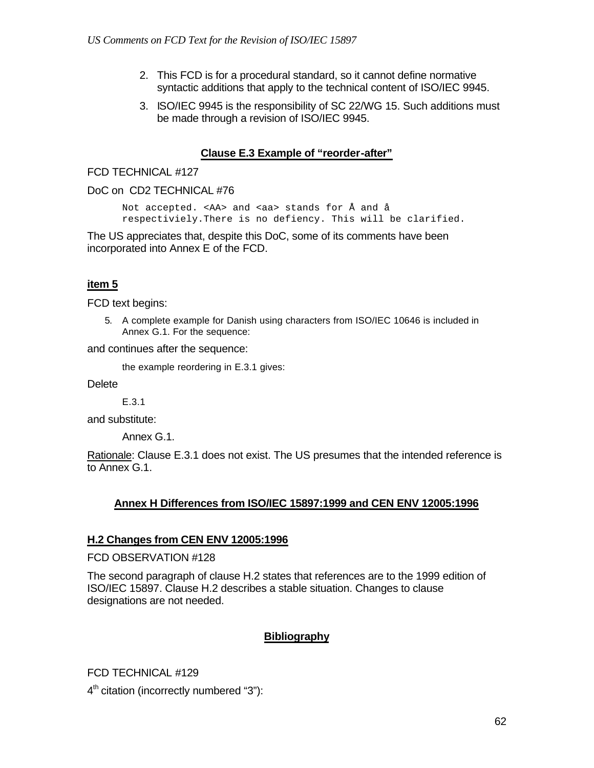- 2. This FCD is for a procedural standard, so it cannot define normative syntactic additions that apply to the technical content of ISO/IEC 9945.
- 3. ISO/IEC 9945 is the responsibility of SC 22/WG 15. Such additions must be made through a revision of ISO/IEC 9945.

### **Clause E.3 Example of "reorder-after"**

### FCD TECHNICAL #127

#### DoC on CD2 TECHNICAL #76

Not accepted. <AA> and <aa> stands for Å and å respectiviely.There is no defiency. This will be clarified.

The US appreciates that, despite this DoC, some of its comments have been incorporated into Annex E of the FCD.

## **item 5**

FCD text begins:

5. A complete example for Danish using characters from ISO/IEC 10646 is included in Annex G.1. For the sequence:

and continues after the sequence:

the example reordering in E.3.1 gives:

**Delete** 

E.3.1

and substitute:

Annex G.1.

Rationale: Clause E.3.1 does not exist. The US presumes that the intended reference is to Annex G.1.

### **Annex H Differences from ISO/IEC 15897:1999 and CEN ENV 12005:1996**

### **H.2 Changes from CEN ENV 12005:1996**

FCD OBSERVATION #128

The second paragraph of clause H.2 states that references are to the 1999 edition of ISO/IEC 15897. Clause H.2 describes a stable situation. Changes to clause designations are not needed.

## **Bibliography**

FCD TECHNICAL #129

4<sup>th</sup> citation (incorrectly numbered "3"):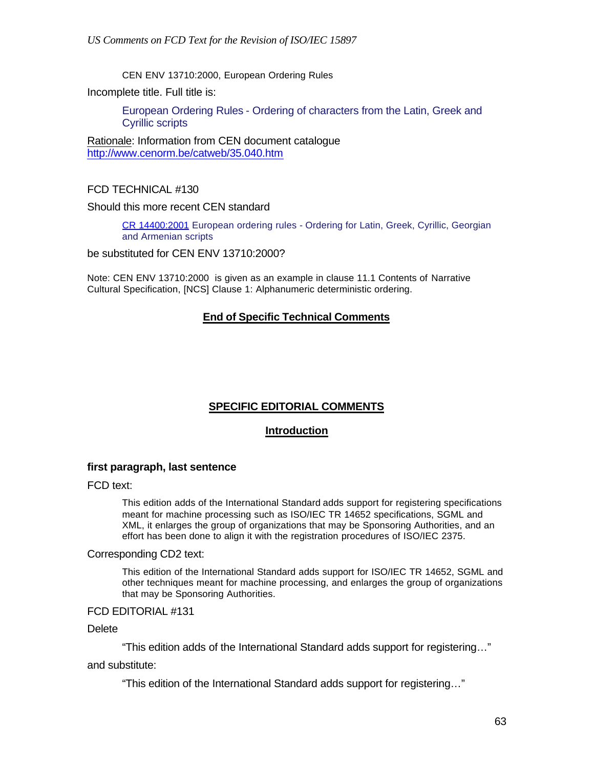CEN ENV 13710:2000, European Ordering Rules

Incomplete title. Full title is:

European Ordering Rules - Ordering of characters from the Latin, Greek and Cyrillic scripts

Rationale: Information from CEN document catalogue http://www.cenorm.be/catweb/35.040.htm

FCD TECHNICAL #130

Should this more recent CEN standard

CR 14400:2001 European ordering rules - Ordering for Latin, Greek, Cyrillic, Georgian and Armenian scripts

be substituted for CEN ENV 13710:2000?

Note: CEN ENV 13710:2000 is given as an example in clause 11.1 Contents of Narrative Cultural Specification, [NCS] Clause 1: Alphanumeric deterministic ordering.

### **End of Specific Technical Comments**

### **SPECIFIC EDITORIAL COMMENTS**

### **Introduction**

#### **first paragraph, last sentence**

FCD text:

This edition adds of the International Standard adds support for registering specifications meant for machine processing such as ISO/IEC TR 14652 specifications, SGML and XML, it enlarges the group of organizations that may be Sponsoring Authorities, and an effort has been done to align it with the registration procedures of ISO/IEC 2375.

#### Corresponding CD2 text:

This edition of the International Standard adds support for ISO/IEC TR 14652, SGML and other techniques meant for machine processing, and enlarges the group of organizations that may be Sponsoring Authorities.

#### FCD EDITORIAL #131

**Delete** 

"This edition adds of the International Standard adds support for registering…"

and substitute:

"This edition of the International Standard adds support for registering…"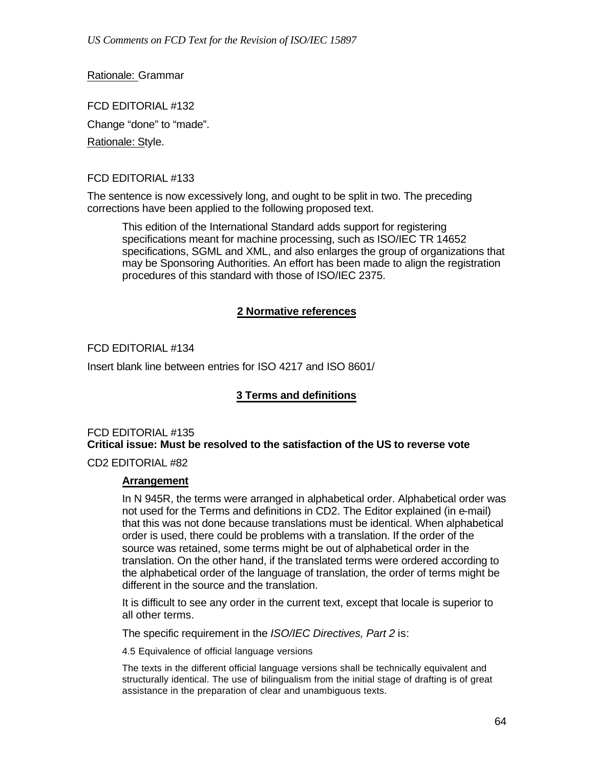Rationale: Grammar

FCD EDITORIAL #132 Change "done" to "made". Rationale: Style.

## FCD EDITORIAL #133

The sentence is now excessively long, and ought to be split in two. The preceding corrections have been applied to the following proposed text.

This edition of the International Standard adds support for registering specifications meant for machine processing, such as ISO/IEC TR 14652 specifications, SGML and XML, and also enlarges the group of organizations that may be Sponsoring Authorities. An effort has been made to align the registration procedures of this standard with those of ISO/IEC 2375.

## **2 Normative references**

## FCD EDITORIAL #134

Insert blank line between entries for ISO 4217 and ISO 8601/

## **3 Terms and definitions**

### FCD EDITORIAL #135 **Critical issue: Must be resolved to the satisfaction of the US to reverse vote**

CD2 EDITORIAL #82

### **Arrangement**

In N 945R, the terms were arranged in alphabetical order. Alphabetical order was not used for the Terms and definitions in CD2. The Editor explained (in e-mail) that this was not done because translations must be identical. When alphabetical order is used, there could be problems with a translation. If the order of the source was retained, some terms might be out of alphabetical order in the translation. On the other hand, if the translated terms were ordered according to the alphabetical order of the language of translation, the order of terms might be different in the source and the translation.

It is difficult to see any order in the current text, except that locale is superior to all other terms.

The specific requirement in the *ISO/IEC Directives, Part 2* is:

4.5 Equivalence of official language versions

The texts in the different official language versions shall be technically equivalent and structurally identical. The use of bilingualism from the initial stage of drafting is of great assistance in the preparation of clear and unambiguous texts.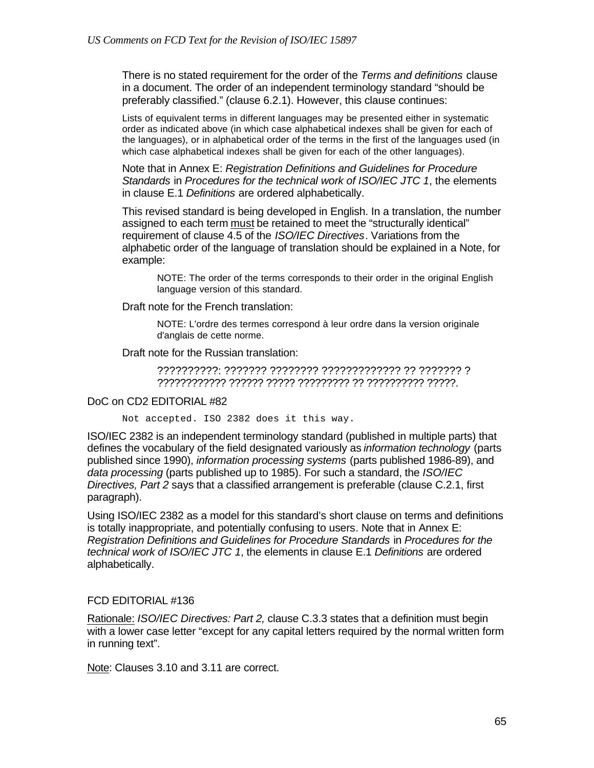There is no stated requirement for the order of the *Terms and definitions* clause in a document. The order of an independent terminology standard "should be preferably classified." (clause 6.2.1). However, this clause continues:

Lists of equivalent terms in different languages may be presented either in systematic order as indicated above (in which case alphabetical indexes shall be given for each of the languages), or in alphabetical order of the terms in the first of the languages used (in which case alphabetical indexes shall be given for each of the other languages).

Note that in Annex E: *Registration Definitions and Guidelines for Procedure Standards* in *Procedures for the technical work of ISO/IEC JTC 1*, the elements in clause E.1 *Definitions* are ordered alphabetically.

This revised standard is being developed in English. In a translation, the number assigned to each term must be retained to meet the "structurally identical" requirement of clause 4.5 of the *ISO/IEC Directives*. Variations from the alphabetic order of the language of translation should be explained in a Note, for example:

NOTE: The order of the terms corresponds to their order in the original English language version of this standard.

Draft note for the French translation:

NOTE: L'ordre des termes correspond à leur ordre dans la version originale d'anglais de cette norme.

Draft note for the Russian translation:

??????????: ??????? ???????? ????????????? ?? ??????? ? ???????????? ?????? ????? ????????? ?? ?????????? ?????.

#### DoC on CD2 EDITORIAL #82

Not accepted. ISO 2382 does it this way.

ISO/IEC 2382 is an independent terminology standard (published in multiple parts) that defines the vocabulary of the field designated variously as *information technology* (parts published since 1990), *information processing systems* (parts published 1986-89), and *data processing* (parts published up to 1985). For such a standard, the *ISO/IEC Directives, Part 2* says that a classified arrangement is preferable (clause C.2.1, first paragraph).

Using ISO/IEC 2382 as a model for this standard's short clause on terms and definitions is totally inappropriate, and potentially confusing to users. Note that in Annex E: *Registration Definitions and Guidelines for Procedure Standards* in *Procedures for the technical work of ISO/IEC JTC 1*, the elements in clause E.1 *Definitions* are ordered alphabetically.

#### FCD EDITORIAL #136

Rationale: *ISO/IEC Directives: Part 2,* clause C.3.3 states that a definition must begin with a lower case letter "except for any capital letters required by the normal written form in running text".

Note: Clauses 3.10 and 3.11 are correct.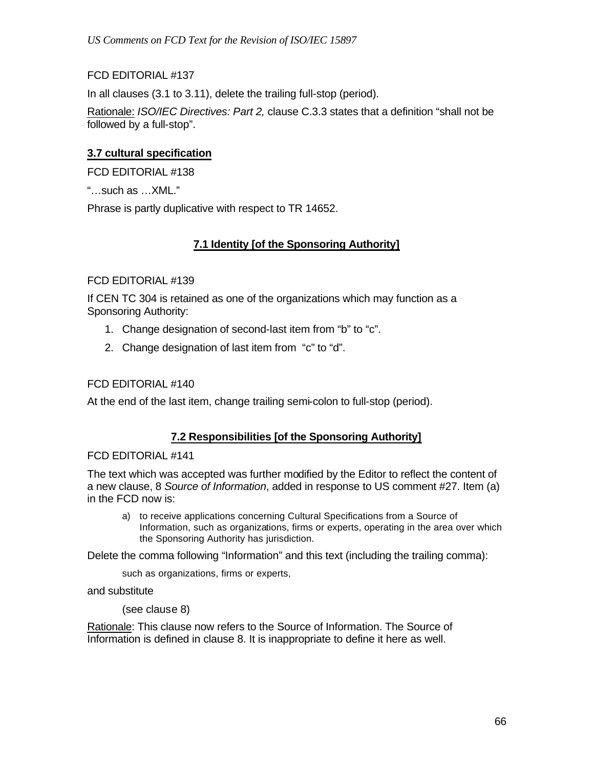## FCD EDITORIAL #137

In all clauses (3.1 to 3.11), delete the trailing full-stop (period).

Rationale: *ISO/IEC Directives: Part 2,* clause C.3.3 states that a definition "shall not be followed by a full-stop".

### **3.7 cultural specification**

FCD EDITORIAL #138

"…such as …XML."

Phrase is partly duplicative with respect to TR 14652.

## **7.1 Identity [of the Sponsoring Authority]**

### FCD EDITORIAL #139

If CEN TC 304 is retained as one of the organizations which may function as a Sponsoring Authority:

- 1. Change designation of second-last item from "b" to "c".
- 2. Change designation of last item from "c" to "d".

### FCD EDITORIAL #140

At the end of the last item, change trailing semi-colon to full-stop (period).

### **7.2 Responsibilities [of the Sponsoring Authority]**

#### FCD EDITORIAL #141

The text which was accepted was further modified by the Editor to reflect the content of a new clause, 8 *Source of Information*, added in response to US comment #27. Item (a) in the FCD now is:

a) to receive applications concerning Cultural Specifications from a Source of Information, such as organizations, firms or experts, operating in the area over which the Sponsoring Authority has jurisdiction.

Delete the comma following "Information" and this text (including the trailing comma):

such as organizations, firms or experts,

and substitute

(see clause 8)

Rationale: This clause now refers to the Source of Information. The Source of Information is defined in clause 8. It is inappropriate to define it here as well.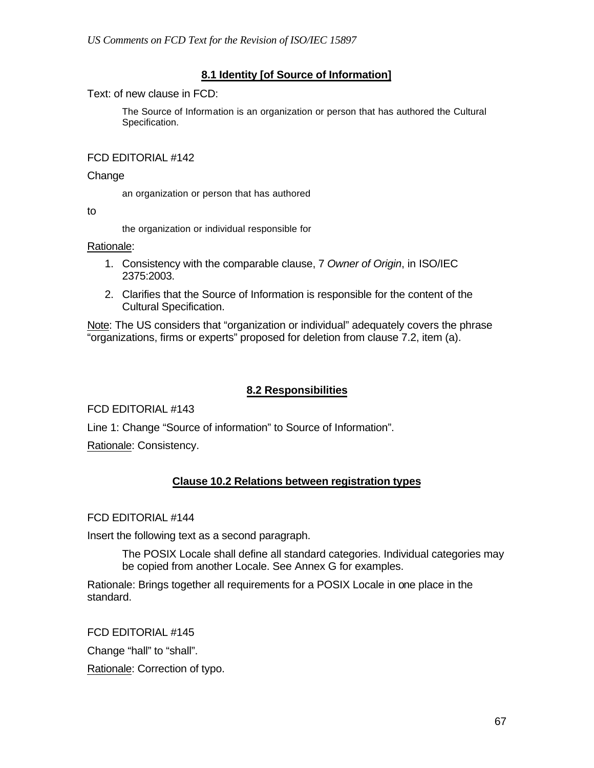## **8.1 Identity [of Source of Information]**

Text: of new clause in FCD:

The Source of Information is an organization or person that has authored the Cultural Specification.

### FCD EDITORIAL #142

#### Change

an organization or person that has authored

to

the organization or individual responsible for

#### Rationale:

- 1. Consistency with the comparable clause, 7 *Owner of Origin*, in ISO/IEC 2375:2003.
- 2. Clarifies that the Source of Information is responsible for the content of the Cultural Specification.

Note: The US considers that "organization or individual" adequately covers the phrase "organizations, firms or experts" proposed for deletion from clause 7.2, item (a).

### **8.2 Responsibilities**

FCD EDITORIAL #143

Line 1: Change "Source of information" to Source of Information".

Rationale: Consistency.

### **Clause 10.2 Relations between registration types**

### FCD EDITORIAL #144

Insert the following text as a second paragraph.

The POSIX Locale shall define all standard categories. Individual categories may be copied from another Locale. See Annex G for examples.

Rationale: Brings together all requirements for a POSIX Locale in one place in the standard.

FCD EDITORIAL #145 Change "hall" to "shall". Rationale: Correction of typo.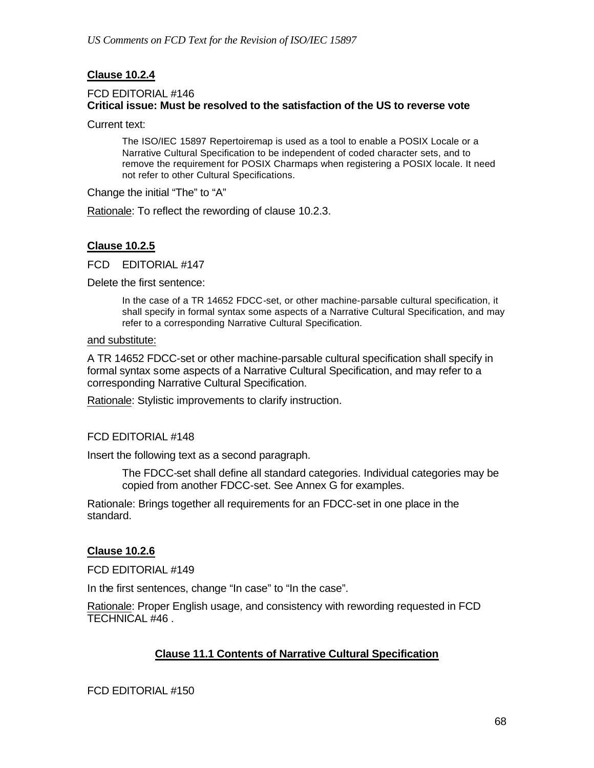## **Clause 10.2.4**

### FCD EDITORIAL #146 **Critical issue: Must be resolved to the satisfaction of the US to reverse vote**

Current text:

The ISO/IEC 15897 Repertoiremap is used as a tool to enable a POSIX Locale or a Narrative Cultural Specification to be independent of coded character sets, and to remove the requirement for POSIX Charmaps when registering a POSIX locale. It need not refer to other Cultural Specifications.

Change the initial "The" to "A"

Rationale: To reflect the rewording of clause 10.2.3.

### **Clause 10.2.5**

FCD EDITORIAL #147

Delete the first sentence:

In the case of a TR 14652 FDCC-set, or other machine-parsable cultural specification, it shall specify in formal syntax some aspects of a Narrative Cultural Specification, and may refer to a corresponding Narrative Cultural Specification.

#### and substitute:

A TR 14652 FDCC-set or other machine-parsable cultural specification shall specify in formal syntax some aspects of a Narrative Cultural Specification, and may refer to a corresponding Narrative Cultural Specification.

Rationale: Stylistic improvements to clarify instruction.

#### FCD EDITORIAL #148

Insert the following text as a second paragraph.

The FDCC-set shall define all standard categories. Individual categories may be copied from another FDCC-set. See Annex G for examples.

Rationale: Brings together all requirements for an FDCC-set in one place in the standard.

#### **Clause 10.2.6**

FCD EDITORIAL #149

In the first sentences, change "In case" to "In the case".

Rationale: Proper English usage, and consistency with rewording requested in FCD TECHNICAL #46 .

### **Clause 11.1 Contents of Narrative Cultural Specification**

FCD EDITORIAL #150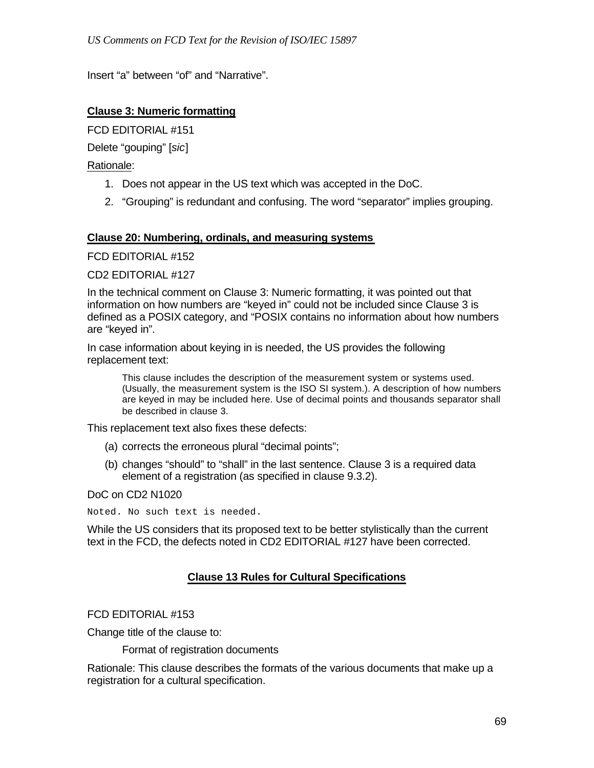Insert "a" between "of" and "Narrative".

## **Clause 3: Numeric formatting**

FCD EDITORIAL #151

Delete "gouping" [*sic*]

Rationale:

- 1. Does not appear in the US text which was accepted in the DoC.
- 2. "Grouping" is redundant and confusing. The word "separator" implies grouping.

### **Clause 20: Numbering, ordinals, and measuring systems**

FCD EDITORIAL #152

CD2 EDITORIAL #127

In the technical comment on Clause 3: Numeric formatting, it was pointed out that information on how numbers are "keyed in" could not be included since Clause 3 is defined as a POSIX category, and "POSIX contains no information about how numbers are "keyed in".

In case information about keying in is needed, the US provides the following replacement text:

This clause includes the description of the measurement system or systems used. (Usually, the measurement system is the ISO SI system.). A description of how numbers are keyed in may be included here. Use of decimal points and thousands separator shall be described in clause 3.

This replacement text also fixes these defects:

- (a) corrects the erroneous plural "decimal points";
- (b) changes "should" to "shall" in the last sentence. Clause 3 is a required data element of a registration (as specified in clause 9.3.2).

DoC on CD2 N1020

Noted. No such text is needed.

While the US considers that its proposed text to be better stylistically than the current text in the FCD, the defects noted in CD2 EDITORIAL #127 have been corrected.

### **Clause 13 Rules for Cultural Specifications**

FCD EDITORIAL #153

Change title of the clause to:

Format of registration documents

Rationale: This clause describes the formats of the various documents that make up a registration for a cultural specification.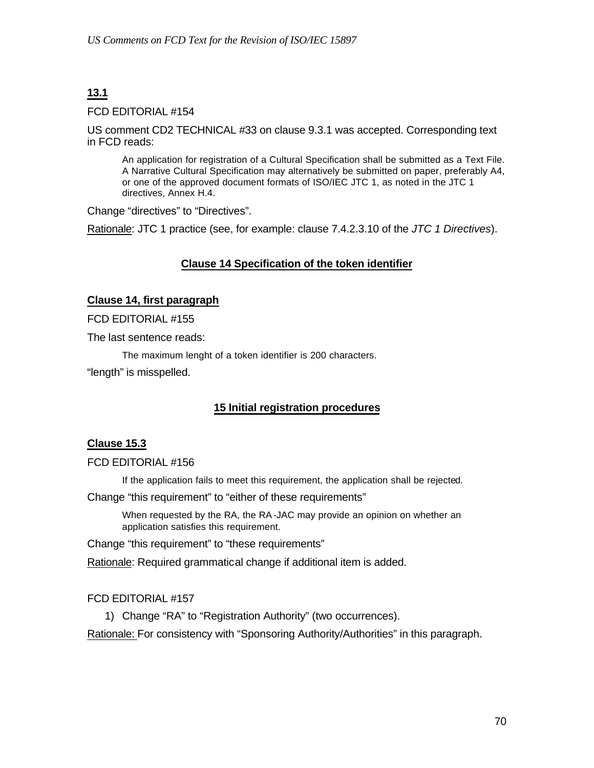# **13.1**

### FCD EDITORIAL #154

US comment CD2 TECHNICAL #33 on clause 9.3.1 was accepted. Corresponding text in FCD reads:

An application for registration of a Cultural Specification shall be submitted as a Text File. A Narrative Cultural Specification may alternatively be submitted on paper, preferably A4, or one of the approved document formats of ISO/IEC JTC 1, as noted in the JTC 1 directives, Annex H.4.

Change "directives" to "Directives".

Rationale: JTC 1 practice (see, for example: clause 7.4.2.3.10 of the *JTC 1 Directives*).

## **Clause 14 Specification of the token identifier**

### **Clause 14, first paragraph**

FCD EDITORIAL #155

The last sentence reads:

The maximum lenght of a token identifier is 200 characters.

"length" is misspelled.

## **15 Initial registration procedures**

### **Clause 15.3**

#### FCD EDITORIAL #156

If the application fails to meet this requirement, the application shall be rejected.

Change "this requirement" to "either of these requirements"

When requested by the RA, the RA-JAC may provide an opinion on whether an application satisfies this requirement.

Change "this requirement" to "these requirements"

Rationale: Required grammatical change if additional item is added.

### FCD EDITORIAL #157

1) Change "RA" to "Registration Authority" (two occurrences).

Rationale: For consistency with "Sponsoring Authority/Authorities" in this paragraph.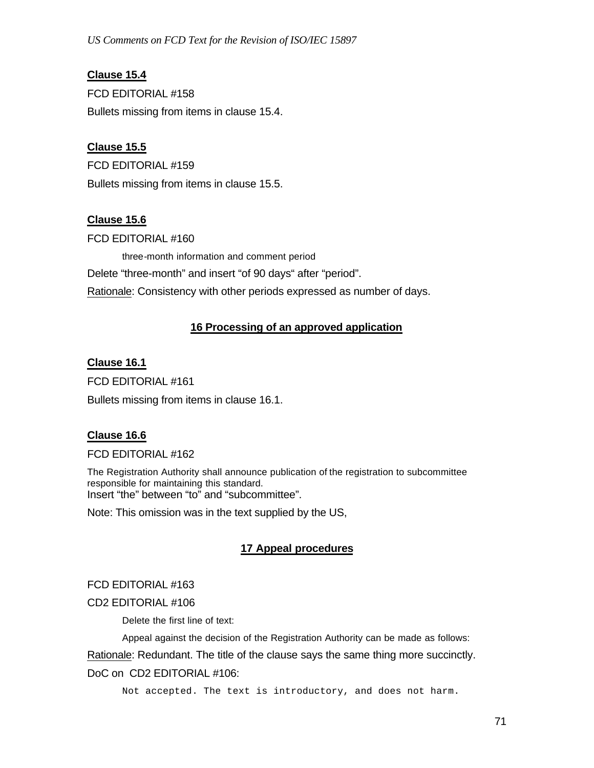**Clause 15.4** FCD EDITORIAL #158 Bullets missing from items in clause 15.4.

## **Clause 15.5**

FCD EDITORIAL #159 Bullets missing from items in clause 15.5.

### **Clause 15.6**

FCD EDITORIAL #160

three-month information and comment period

Delete "three-month" and insert "of 90 days" after "period".

Rationale: Consistency with other periods expressed as number of days.

## **16 Processing of an approved application**

### **Clause 16.1**

FCD EDITORIAL #161 Bullets missing from items in clause 16.1.

### **Clause 16.6**

#### FCD EDITORIAL #162

The Registration Authority shall announce publication of the registration to subcommittee responsible for maintaining this standard. Insert "the" between "to" and "subcommittee".

Note: This omission was in the text supplied by the US,

## **17 Appeal procedures**

### FCD EDITORIAL #163

CD2 EDITORIAL #106

Delete the first line of text:

Appeal against the decision of the Registration Authority can be made as follows:

Rationale: Redundant. The title of the clause says the same thing more succinctly.

### DoC on CD2 EDITORIAL #106:

Not accepted. The text is introductory, and does not harm.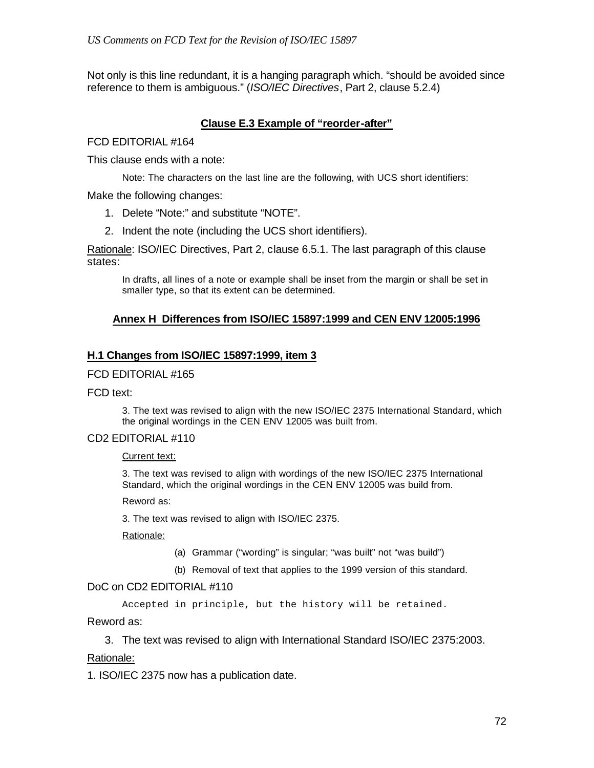Not only is this line redundant, it is a hanging paragraph which. "should be avoided since reference to them is ambiguous." (*ISO/IEC Directives*, Part 2, clause 5.2.4)

### **Clause E.3 Example of "reorder-after"**

FCD EDITORIAL #164

This clause ends with a note:

Note: The characters on the last line are the following, with UCS short identifiers:

Make the following changes:

- 1. Delete "Note:" and substitute "NOTE".
- 2. Indent the note (including the UCS short identifiers).

Rationale: ISO/IEC Directives, Part 2, clause 6.5.1. The last paragraph of this clause states:

In drafts, all lines of a note or example shall be inset from the margin or shall be set in smaller type, so that its extent can be determined.

#### **Annex H Differences from ISO/IEC 15897:1999 and CEN ENV 12005:1996**

#### **H.1 Changes from ISO/IEC 15897:1999, item 3**

#### FCD EDITORIAL #165

FCD text:

3. The text was revised to align with the new ISO/IEC 2375 International Standard, which the original wordings in the CEN ENV 12005 was built from.

#### CD2 EDITORIAL #110

Current text:

3. The text was revised to align with wordings of the new ISO/IEC 2375 International Standard, which the original wordings in the CEN ENV 12005 was build from.

Reword as:

3. The text was revised to align with ISO/IEC 2375.

Rationale:

- (a) Grammar ("wording" is singular; "was built" not "was build")
- (b) Removal of text that applies to the 1999 version of this standard.

#### DoC on CD2 EDITORIAL #110

Accepted in principle, but the history will be retained.

Reword as:

3. The text was revised to align with International Standard ISO/IEC 2375:2003.

#### Rationale:

1. ISO/IEC 2375 now has a publication date.